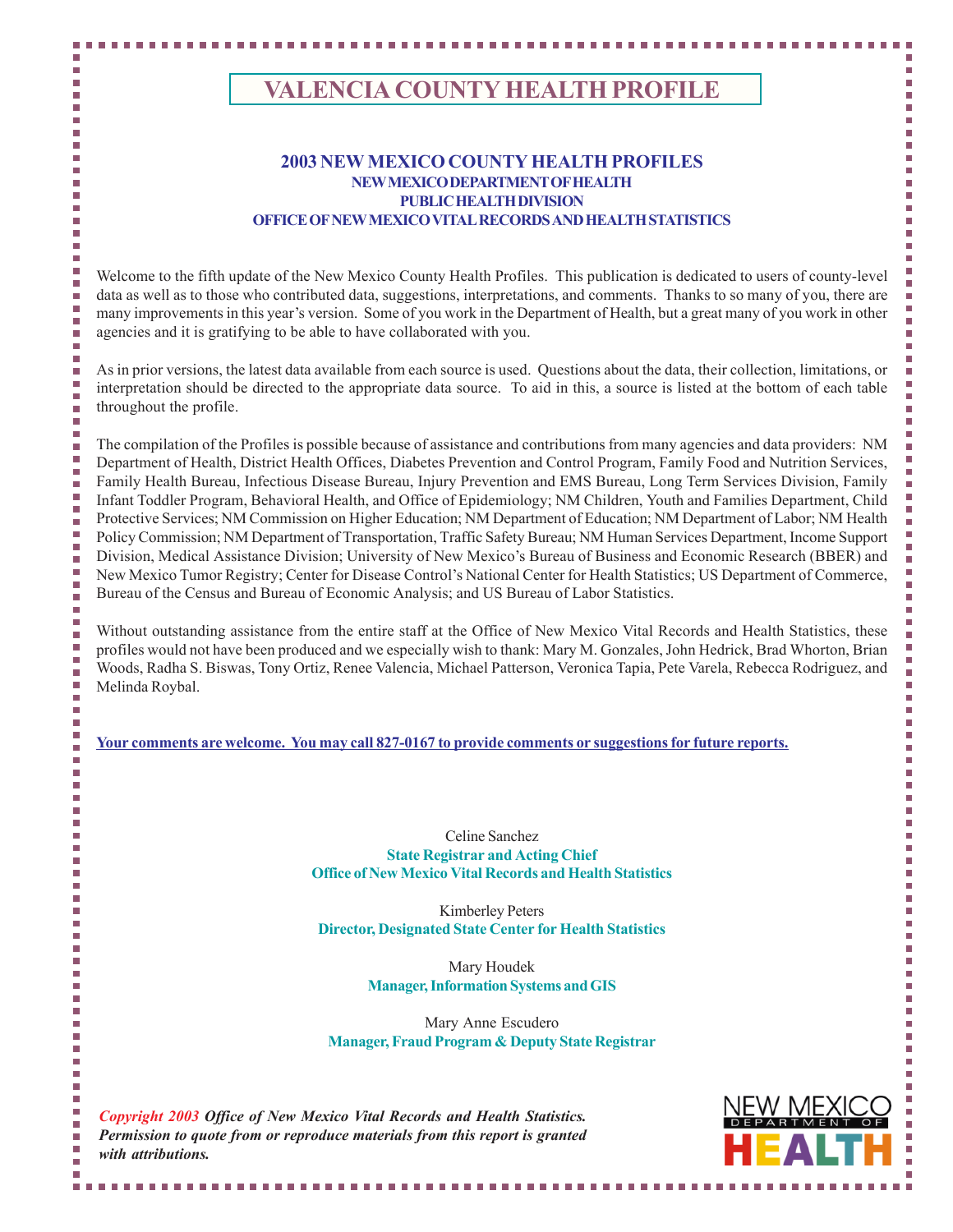# **VALENCIA COUNTY HEALTH PROFILE**

### **2003 NEW MEXICO COUNTY HEALTH PROFILES NEW MEXICO DEPARTMENT OF HEALTH PUBLIC HEALTH DIVISION OFFICE OF NEW MEXICO VITAL RECORDS AND HEALTH STATISTICS**

Welcome to the fifth update of the New Mexico County Health Profiles. This publication is dedicated to users of county-level data as well as to those who contributed data, suggestions, interpretations, and comments. Thanks to so many of you, there are many improvements in this year's version. Some of you work in the Department of Health, but a great many of you work in other agencies and it is gratifying to be able to have collaborated with you.

As in prior versions, the latest data available from each source is used. Questions about the data, their collection, limitations, or interpretation should be directed to the appropriate data source. To aid in this, a source is listed at the bottom of each table throughout the profile.

The compilation of the Profiles is possible because of assistance and contributions from many agencies and data providers: NM Department of Health, District Health Offices, Diabetes Prevention and Control Program, Family Food and Nutrition Services, Family Health Bureau, Infectious Disease Bureau, Injury Prevention and EMS Bureau, Long Term Services Division, Family Infant Toddler Program, Behavioral Health, and Office of Epidemiology; NM Children, Youth and Families Department, Child Protective Services; NM Commission on Higher Education; NM Department of Education; NM Department of Labor; NM Health Policy Commission; NM Department of Transportation, Traffic Safety Bureau; NM Human Services Department, Income Support Division, Medical Assistance Division; University of New Mexico's Bureau of Business and Economic Research (BBER) and New Mexico Tumor Registry; Center for Disease Control's National Center for Health Statistics; US Department of Commerce, Bureau of the Census and Bureau of Economic Analysis; and US Bureau of Labor Statistics.

Without outstanding assistance from the entire staff at the Office of New Mexico Vital Records and Health Statistics, these profiles would not have been produced and we especially wish to thank: Mary M. Gonzales, John Hedrick, Brad Whorton, Brian Woods, Radha S. Biswas, Tony Ortiz, Renee Valencia, Michael Patterson, Veronica Tapia, Pete Varela, Rebecca Rodriguez, and Melinda Roybal.

**Your comments are welcome. You may call 827-0167 to provide comments or suggestions for future reports.**

Celine Sanchez **State Registrar and Acting Chief Office of New Mexico Vital Records and Health Statistics**

Kimberley Peters **Director, Designated State Center for Health Statistics**

> Mary Houdek **Manager, Information Systems and GIS**

Mary Anne Escudero **Manager, Fraud Program & Deputy State Registrar**

*Copyright 2003 Office of New Mexico Vital Records and Health Statistics. Permission to quote from or reproduce materials from this report is granted with attributions.*



Ì,

П

П

m. П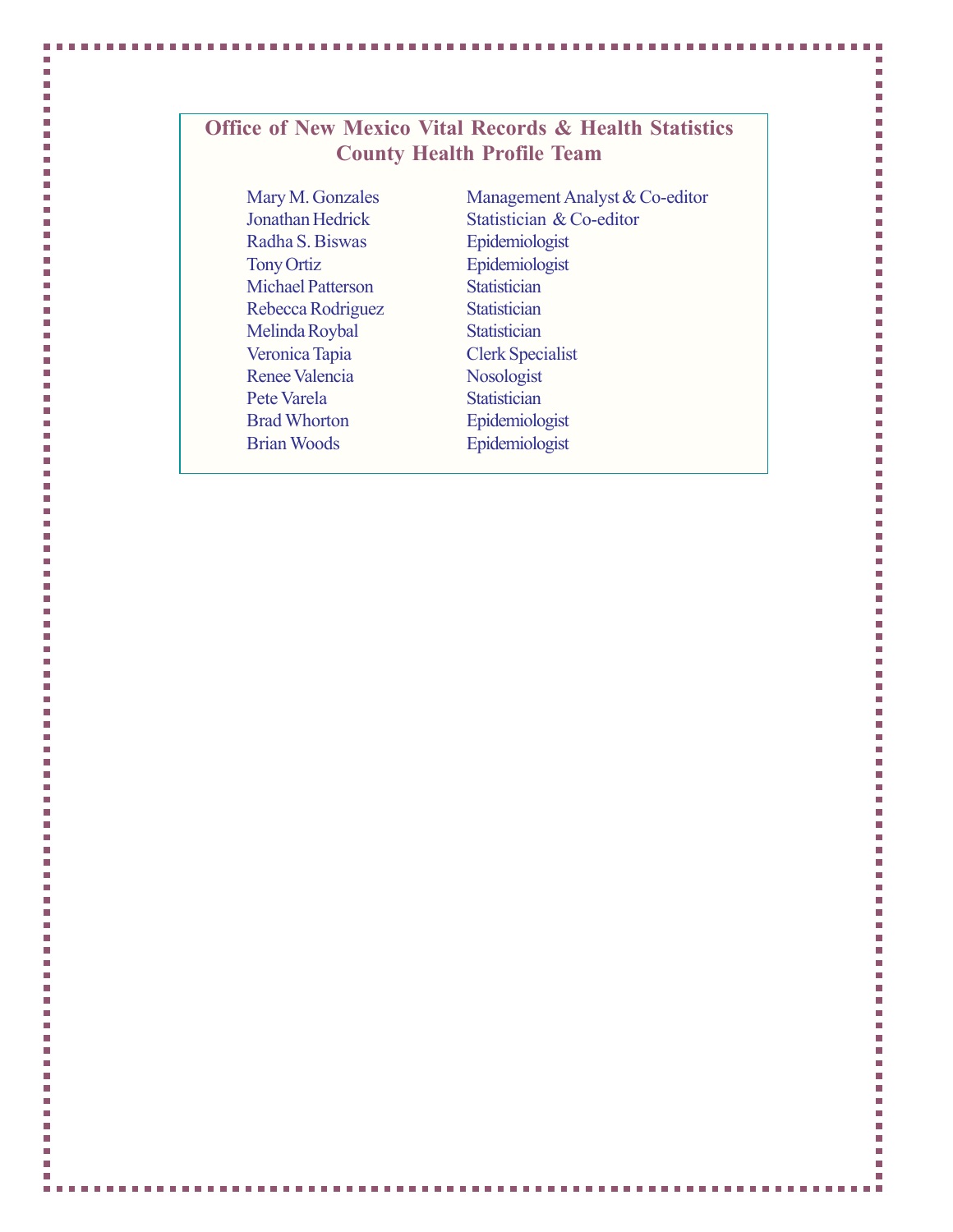# **Office of New Mexico Vital Records & Health Statistics County Health Profile Team**

Mary M. Gonzales Jonathan Hedrick Radha S. Biswas Tony Ortiz Michael Patterson Rebecca Rodriguez Melinda Roybal Veronica Tapia Renee Valencia Pete Varela Brad Whorton Brian Woods

I.

П Ĩ.

Ì.

L.

Ì.

Ė

Ė

L.

Ì.

Ē.

Ì.

Ľ.

Ĥ.

Ī.

Ľ.

L.

Ì.

l.

Ē.

I.

L.

Ì.

L.

Ē

L.

Ľ

Ė

Ė

L.

Ē

Ĥ.

Ē.

L.

Ī.

Ē,

Ì.

L.

L.

Ē,

I.

Ė

L.

Ì.

Ė

Ē.

Ì.

L.

Ė

П

П

П

I.

I.

F L

Ľ.

Ľ.

Ì.

Ē,

Ì.

Ė

Ì.

Ē,

Ì.

Ē

П

Ē.

Ì.

Ì.

L.

П H

Ì.

L.

Ì.

L.

Ė

Ė

Ì.

Ì.

Ė

Ì.

Ē.

n.

П

n.

Management Analyst & Co-editor Statistician & Co-editor Epidemiologist Epidemiologist **Statistician Statistician Statistician** Clerk Specialist Nosologist **Statistician** Epidemiologist Epidemiologist

г

i<br>I Ì,

Ì,

Ì.

Ì.

Ì,

Ė

L

Ľ

Ì.

Ì.

Ì.

Ē.

r.

E

Ì.

Ì.

Ì.

l.

i.

Ì.

L.

Ì.

Ì.

L

L

Ľ

L

Ì.

L

ř.

r.

ř.

L.

ř.

Ì.

Ì.

Ì.

L.

Ì.

T.

Ė

Ľ

l.

l.

Ì,

F

Ì.

Ì.

r.

F

r

I. Ē.

Ì,

E

Ì.

Ì.

Ì.

Ľ

Ì.

L

Ė

Ì.

L.

Ė

r

r.

L.

Ē.

L Ì.

L.

Ì,

L.

Ì.

Ì.

Ė

Ė

Ì,

Ì,

Ė

Ì.

Ľ

г

F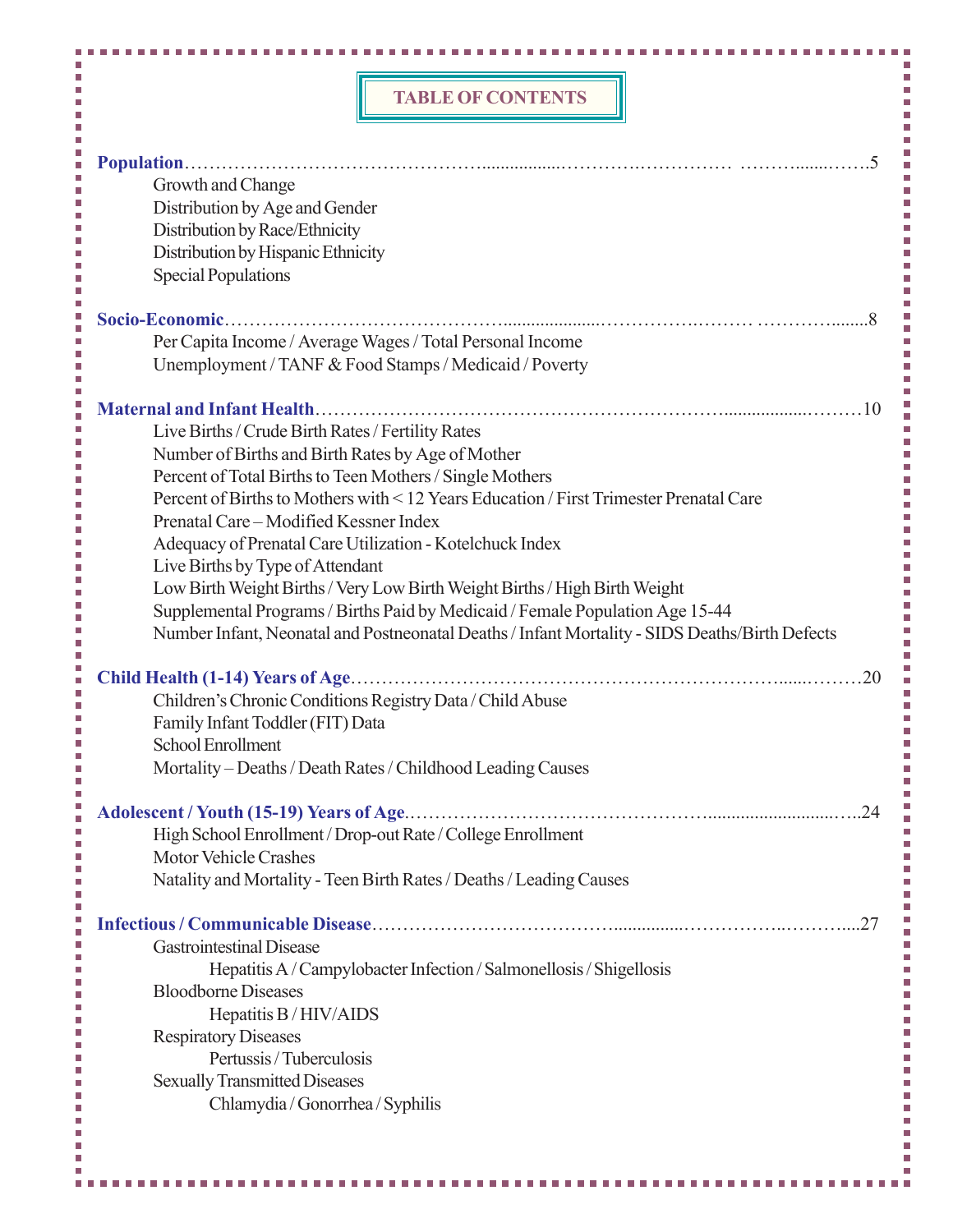### **TABLE OF CONTENTS**

m.

 $\mathcal{L}_{\mathcal{A}}$ 

T,  $\overline{\phantom{a}}$ 

 $\overline{\phantom{a}}$ Ľ. Ì. Ì. Ì. Ē. Ì.  $\overline{\phantom{a}}$ i<br>D l.  $\Box$ L.  $\blacksquare$  $\overline{\phantom{a}}$ T. L. Ì. L. Ì.  $\overline{\phantom{a}}$  $\overline{\phantom{a}}$  $\overline{\phantom{a}}$ à. Ī I. I. T. L. ×  $\overline{\phantom{a}}$ L. Ľ. L. Ī Ì. Ì. Ī, Ī L.  $\overline{\phantom{a}}$ L. T, L.  $\overline{\phantom{a}}$ Ľ. Ì. Ē. Ľ.  $\overline{\phantom{a}}$ Ì. Ì. i<br>I T, I. I.  $\overline{\phantom{a}}$  $\overline{\phantom{a}}$  $\overline{\phantom{a}}$ L. Ľ. Ì. Ì.  $\overline{\phantom{a}}$  $\overline{\phantom{a}}$  $\overline{\phantom{a}}$ Ì. I. L. L. T, I.  $\overline{\phantom{a}}$  $\overline{\phantom{a}}$ ×.

L.  $\overline{\phantom{a}}$ 

H.

F.

|                                                                | <b>TABLE OF CONTENTS</b>                                                                       |    |
|----------------------------------------------------------------|------------------------------------------------------------------------------------------------|----|
|                                                                |                                                                                                |    |
| Ī.                                                             |                                                                                                |    |
| Growth and Change                                              |                                                                                                |    |
| Distribution by Age and Gender                                 |                                                                                                |    |
| Distribution by Race/Ethnicity                                 |                                                                                                |    |
| Distribution by Hispanic Ethnicity                             |                                                                                                |    |
| <b>Special Populations</b>                                     |                                                                                                |    |
| F.<br>Socio-Economic.<br>Ì.                                    |                                                                                                |    |
|                                                                | Per Capita Income / Average Wages / Total Personal Income                                      |    |
|                                                                | Unemployment / TANF & Food Stamps / Medicaid / Poverty                                         |    |
| Ш<br>П                                                         |                                                                                                |    |
| Live Births / Crude Birth Rates / Fertility Rates              |                                                                                                |    |
| Number of Births and Birth Rates by Age of Mother              |                                                                                                |    |
| Percent of Total Births to Teen Mothers / Single Mothers       |                                                                                                |    |
|                                                                | Percent of Births to Mothers with < 12 Years Education / First Trimester Prenatal Care         |    |
| Prenatal Care – Modified Kessner Index                         |                                                                                                |    |
| Adequacy of Prenatal Care Utilization - Kotelchuck Index       |                                                                                                |    |
| Live Births by Type of Attendant                               |                                                                                                |    |
|                                                                | Low Birth Weight Births / Very Low Birth Weight Births / High Birth Weight                     |    |
|                                                                | Supplemental Programs / Births Paid by Medicaid / Female Population Age 15-44                  |    |
|                                                                | Number Infant, Neonatal and Postneonatal Deaths / Infant Mortality - SIDS Deaths/Birth Defects |    |
| Child Health (1-14) Years of Age<br>L.                         |                                                                                                | 20 |
| П<br>Children's Chronic Conditions Registry Data / Child Abuse |                                                                                                |    |
| Family Infant Toddler (FIT) Data                               |                                                                                                |    |
| School Enrollment                                              |                                                                                                |    |
|                                                                | Mortality - Deaths / Death Rates / Childhood Leading Causes                                    |    |
| Ш<br>Adolescent / Youth (15-19) Years of Age<br>Ĥ.             |                                                                                                | 24 |
|                                                                | High School Enrollment / Drop-out Rate / College Enrollment                                    |    |
| <b>Motor Vehicle Crashes</b>                                   |                                                                                                |    |
|                                                                | Natality and Mortality - Teen Birth Rates / Deaths / Leading Causes                            |    |
| П                                                              |                                                                                                | 27 |
| <b>Gastrointestinal Disease</b>                                |                                                                                                |    |
|                                                                | Hepatitis A/Campylobacter Infection/Salmonellosis/Shigellosis                                  |    |
| <b>Bloodborne Diseases</b>                                     |                                                                                                |    |
| Hepatitis B/HIV/AIDS                                           |                                                                                                |    |
| <b>Respiratory Diseases</b>                                    |                                                                                                |    |
| Pertussis / Tuberculosis                                       |                                                                                                |    |
| <b>Sexually Transmitted Diseases</b>                           |                                                                                                |    |
| Chlamydia / Gonorrhea / Syphilis                               |                                                                                                |    |
|                                                                |                                                                                                |    |
|                                                                |                                                                                                |    |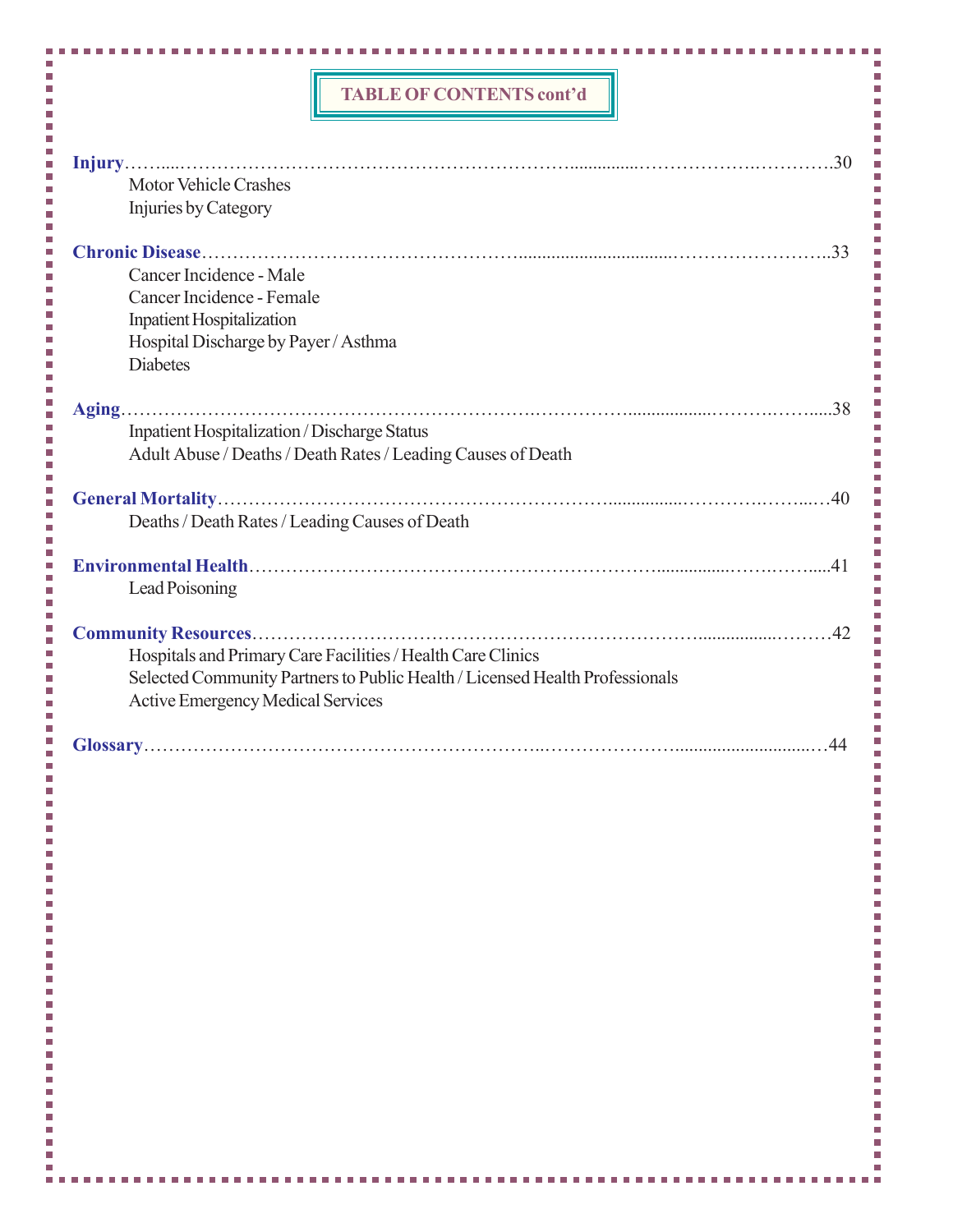### **TABLE OF CONTENTS cont'd**

T,  $\overline{\phantom{a}}$ i<br>I l.<br>L I<br>I Ī

l.<br>L l.<br>D  $\overline{\phantom{a}}$ I. l. Ī Ī

l. Ī

l.<br>D Ē Ē

L.  $\overline{\phantom{a}}$ i<br>I l. Ē Ī Ī

,,,,,,,,,,,,,

Ì.

 $\overline{\phantom{a}}$ 

 $\overline{\phantom{a}}$ l. Ì.

Ì.

| <b>Motor Vehicle Crashes</b><br>Injuries by Category                                                                                                                                    |
|-----------------------------------------------------------------------------------------------------------------------------------------------------------------------------------------|
| Cancer Incidence - Male<br>Cancer Incidence - Female<br><b>Inpatient Hospitalization</b><br>Hospital Discharge by Payer / Asthma<br><b>Diabetes</b>                                     |
| <b>Inpatient Hospitalization / Discharge Status</b><br>Adult Abuse / Deaths / Death Rates / Leading Causes of Death                                                                     |
| Deaths / Death Rates / Leading Causes of Death                                                                                                                                          |
| Lead Poisoning                                                                                                                                                                          |
| Hospitals and Primary Care Facilities / Health Care Clinics<br>Selected Community Partners to Public Health / Licensed Health Professionals<br><b>Active Emergency Medical Services</b> |
| 44                                                                                                                                                                                      |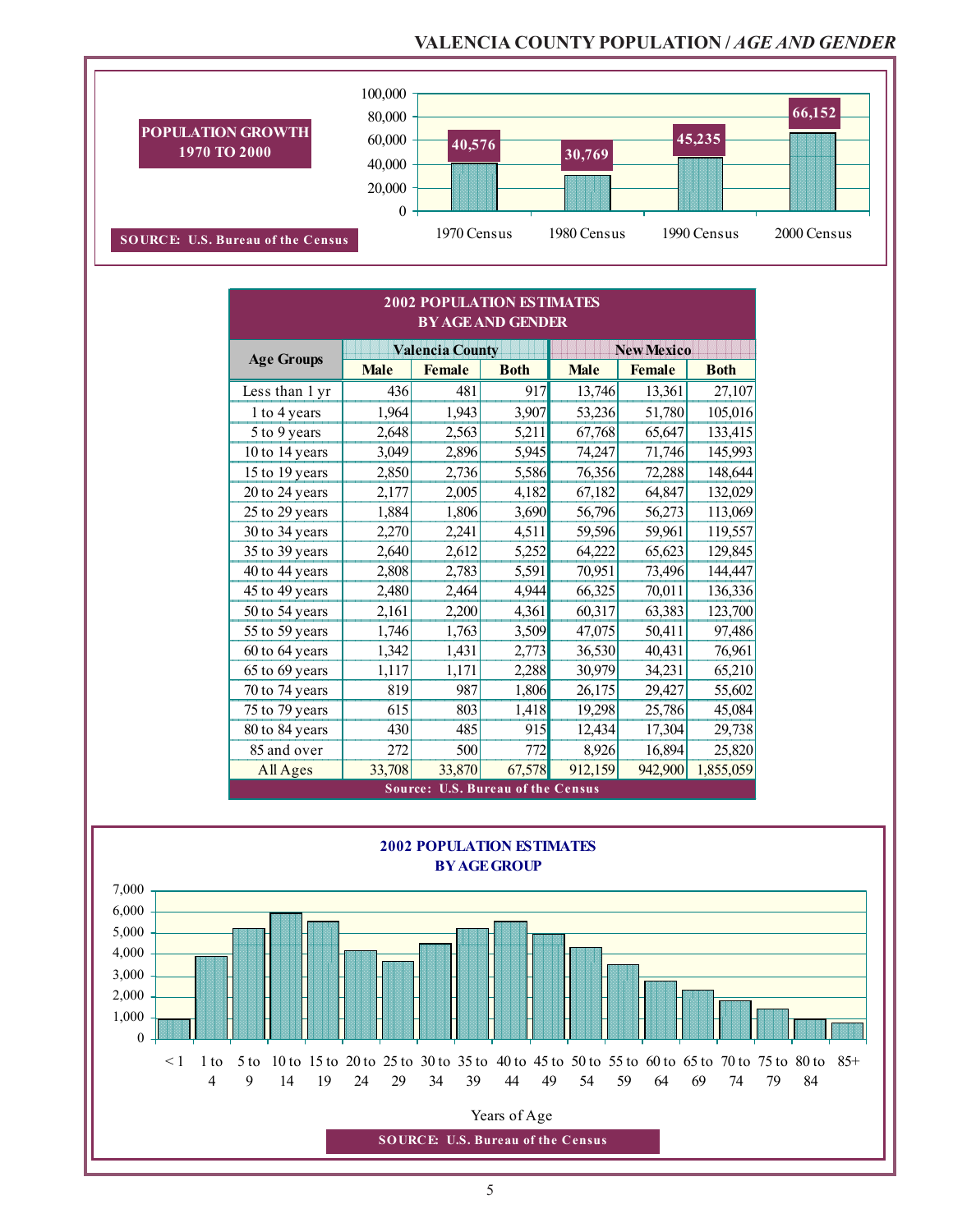## **VALENCIA COUNTY POPULATION /** *AGE AND GENDER*



|                   |             |                        | <b>2002 POPULATION ESTIMATES</b><br><b>BY AGE AND GENDER</b> |             |                   |             |
|-------------------|-------------|------------------------|--------------------------------------------------------------|-------------|-------------------|-------------|
| <b>Age Groups</b> |             | <b>Valencia County</b> |                                                              |             | <b>New Mexico</b> |             |
|                   | <b>Male</b> | <b>Female</b>          | <b>Both</b>                                                  | <b>Male</b> | <b>Female</b>     | <b>Both</b> |
| Less than 1 yr    | 436         | 481                    | 917                                                          | 13,746      | 13,361            | 27,107      |
| 1 to 4 years      | 1,964       | 1,943                  | 3,907                                                        | 53,236      | 51,780            | 105,016     |
| 5 to 9 years      | 2,648       | 2,563                  | 5,211                                                        | 67,768      | 65,647            | 133,415     |
| 10 to 14 years    | 3,049       | 2,896                  | 5,945                                                        | 74,247      | 71,746            | 145,993     |
| 15 to 19 years    | 2,850       | 2,736                  | 5,586                                                        | 76,356      | 72,288            | 148,644     |
| 20 to 24 years    | 2,177       | 2,005                  | 4,182                                                        | 67,182      | 64,847            | 132,029     |
| 25 to 29 years    | 1,884       | 1,806                  | 3,690                                                        | 56,796      | 56,273            | 113,069     |
| 30 to 34 years    | 2,270       | 2,241                  | 4,511                                                        | 59,596      | 59,961            | 119,557     |
| 35 to 39 years    | 2,640       | 2,612                  | 5,252                                                        | 64,222      | 65,623            | 129,845     |
| 40 to 44 years    | 2,808       | 2,783                  | 5,591                                                        | 70,951      | 73,496            | 144,447     |
| 45 to 49 years    | 2,480       | 2,464                  | 4,944                                                        | 66,325      | 70,011            | 136,336     |
| 50 to 54 years    | 2,161       | 2,200                  | 4,361                                                        | 60,317      | 63,383            | 123,700     |
| 55 to 59 years    | 1,746       | 1,763                  | 3,509                                                        | 47,075      | 50,411            | 97,486      |
| 60 to 64 years    | 1,342       | 1,431                  | 2,773                                                        | 36,530      | 40,431            | 76,961      |
| 65 to 69 years    | 1,117       | 1,171                  | 2,288                                                        | 30,979      | 34,231            | 65,210      |
| 70 to 74 years    | 819         | 987                    | 1,806                                                        | 26,175      | 29,427            | 55,602      |
| 75 to 79 years    | 615         | 803                    | 1,418                                                        | 19,298      | 25,786            | 45,084      |
| 80 to 84 years    | 430         | 485                    | 915                                                          | 12,434      | 17,304            | 29,738      |
| 85 and over       | 272         | 500                    | 772                                                          | 8,926       | 16,894            | 25,820      |
| All Ages          | 33,708      | 33,870                 | 67,578                                                       | 912,159     | 942,900           | 1,855,059   |
|                   |             |                        | <b>Source: U.S. Bureau of the Census</b>                     |             |                   |             |

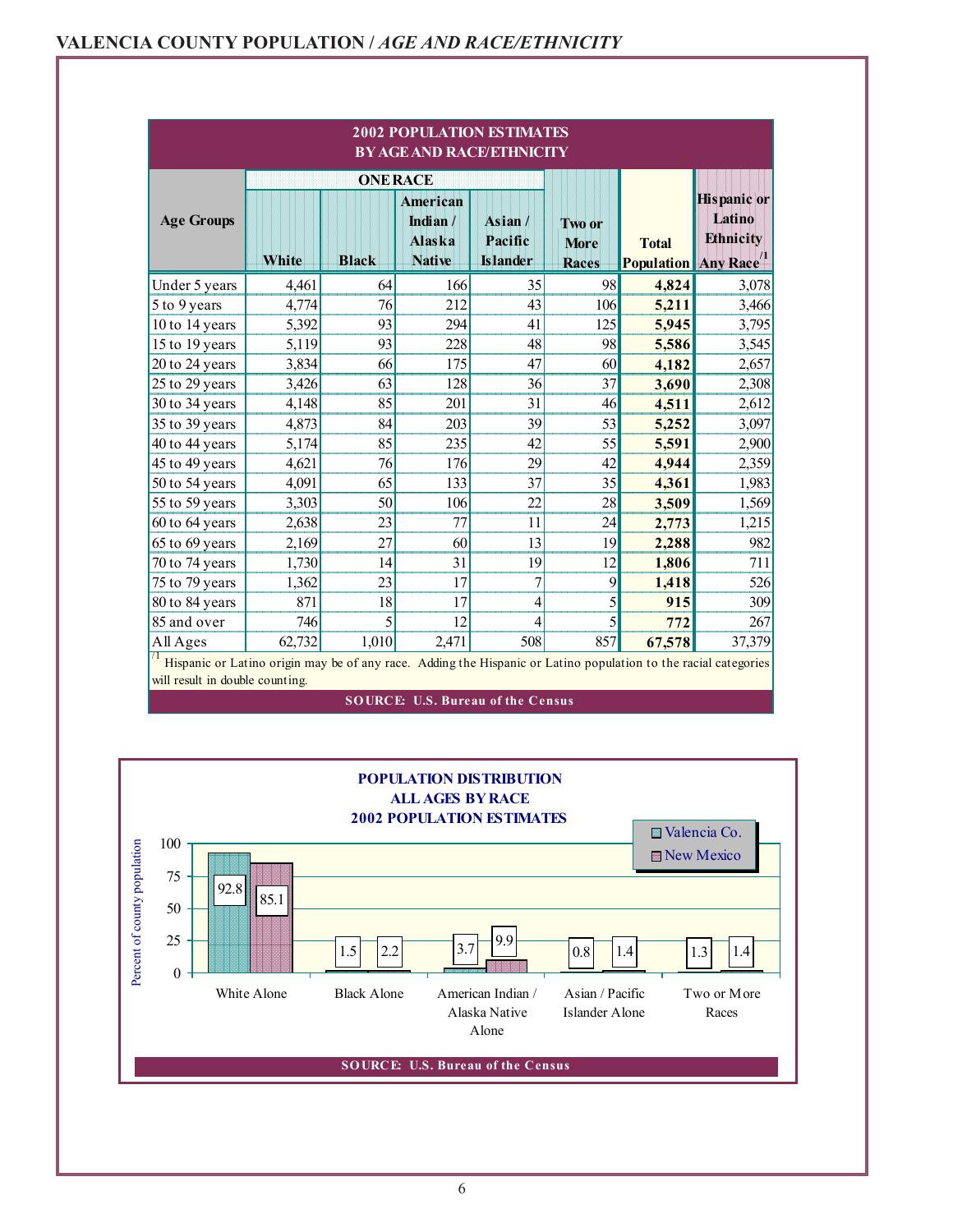|                                                                                                                                                                  |        |                | <b>2002 POPULATION ESTIMATES</b><br><b>BY AGE AND RACE/ETHNICITY</b> |                                               |                                       |                                            |                                                  |  |  |
|------------------------------------------------------------------------------------------------------------------------------------------------------------------|--------|----------------|----------------------------------------------------------------------|-----------------------------------------------|---------------------------------------|--------------------------------------------|--------------------------------------------------|--|--|
|                                                                                                                                                                  |        | <b>ONERACE</b> |                                                                      |                                               |                                       |                                            |                                                  |  |  |
| <b>Age Groups</b>                                                                                                                                                | White  | <b>Black</b>   | <b>American</b><br>Indian/<br><b>Alaska</b><br><b>Native</b>         | $\text{Asian}/$<br>Pacific<br><b>Islander</b> | Two or<br><b>More</b><br><b>Races</b> | <b>Total</b><br><b>Population</b> Any Race | <b>Hispanic</b> or<br>Latino<br><b>Ethnicity</b> |  |  |
| Under 5 years                                                                                                                                                    | 4,461  | 64             | 166                                                                  | 35                                            | 98                                    | 4,824                                      | 3,078                                            |  |  |
| 5 to 9 years                                                                                                                                                     | 4,774  | 76             | 212                                                                  | 43                                            | 106                                   | 5,211                                      | 3,466                                            |  |  |
| 10 to 14 years                                                                                                                                                   | 5,392  | 93             | 294                                                                  | 41                                            | 125                                   | 5,945                                      | 3,795                                            |  |  |
| 15 to 19 years                                                                                                                                                   | 5,119  | 93             | 228                                                                  | 48                                            | 98                                    | 5,586                                      | 3,545                                            |  |  |
| 20 to 24 years                                                                                                                                                   | 3,834  | 66             | 175                                                                  | 47                                            | 60                                    | 4,182                                      | 2,657                                            |  |  |
| 25 to 29 years                                                                                                                                                   | 3,426  | 63             | 128                                                                  | 36                                            | 37                                    | 3,690                                      | 2,308                                            |  |  |
| 30 to 34 years                                                                                                                                                   | 4,148  | 85             | 201                                                                  | 31                                            | 46                                    | 4,511                                      | 2,612                                            |  |  |
| 35 to 39 years                                                                                                                                                   | 4,873  | 84             | 203                                                                  | 39                                            | 53                                    | 5,252                                      | 3,097                                            |  |  |
| 40 to 44 years                                                                                                                                                   | 5,174  | 85             | 235                                                                  | 42                                            | 55                                    | 5,591                                      | 2,900                                            |  |  |
| 45 to 49 years                                                                                                                                                   | 4,621  | 76             | 176                                                                  | 29                                            | 42                                    | 4,944                                      | 2,359                                            |  |  |
| 50 to 54 years                                                                                                                                                   | 4,091  | 65             | 133                                                                  | 37                                            | 35                                    | 4,361                                      | 1,983                                            |  |  |
| 55 to 59 years                                                                                                                                                   | 3,303  | 50             | 106                                                                  | 22                                            | 28                                    | 3,509                                      | 1,569                                            |  |  |
| 60 to 64 years                                                                                                                                                   | 2,638  | 23             | 77                                                                   | 11                                            | 24                                    | 2,773                                      | 1,215                                            |  |  |
| 65 to 69 years                                                                                                                                                   | 2,169  | 27             | 60                                                                   | 13                                            | 19                                    | 2,288                                      | 982                                              |  |  |
| 70 to 74 years                                                                                                                                                   | 1,730  | 14             | 31                                                                   | 19                                            | 12                                    | 1,806                                      | 711                                              |  |  |
| 75 to 79 years                                                                                                                                                   | 1,362  | 23             | 17                                                                   | $\overline{7}$                                | 9                                     | 1,418                                      | 526                                              |  |  |
| 80 to 84 years                                                                                                                                                   | 871    | 18             | 17                                                                   | 4                                             | 5                                     | 915                                        | 309                                              |  |  |
| 85 and over                                                                                                                                                      | 746    | 5              | 12                                                                   | 4                                             | 5                                     | 772                                        | 267                                              |  |  |
| All Ages                                                                                                                                                         | 62,732 | 1,010          | 2,471                                                                | 508                                           | 857                                   | 67,578                                     | 37,379                                           |  |  |
| $\prime$ 1<br>Hispanic or Latino origin may be of any race. Adding the Hispanic or Latino population to the racial categories<br>will result in double counting. |        |                |                                                                      |                                               |                                       |                                            |                                                  |  |  |

**SOURCE: U.S. Bureau of the Census** 

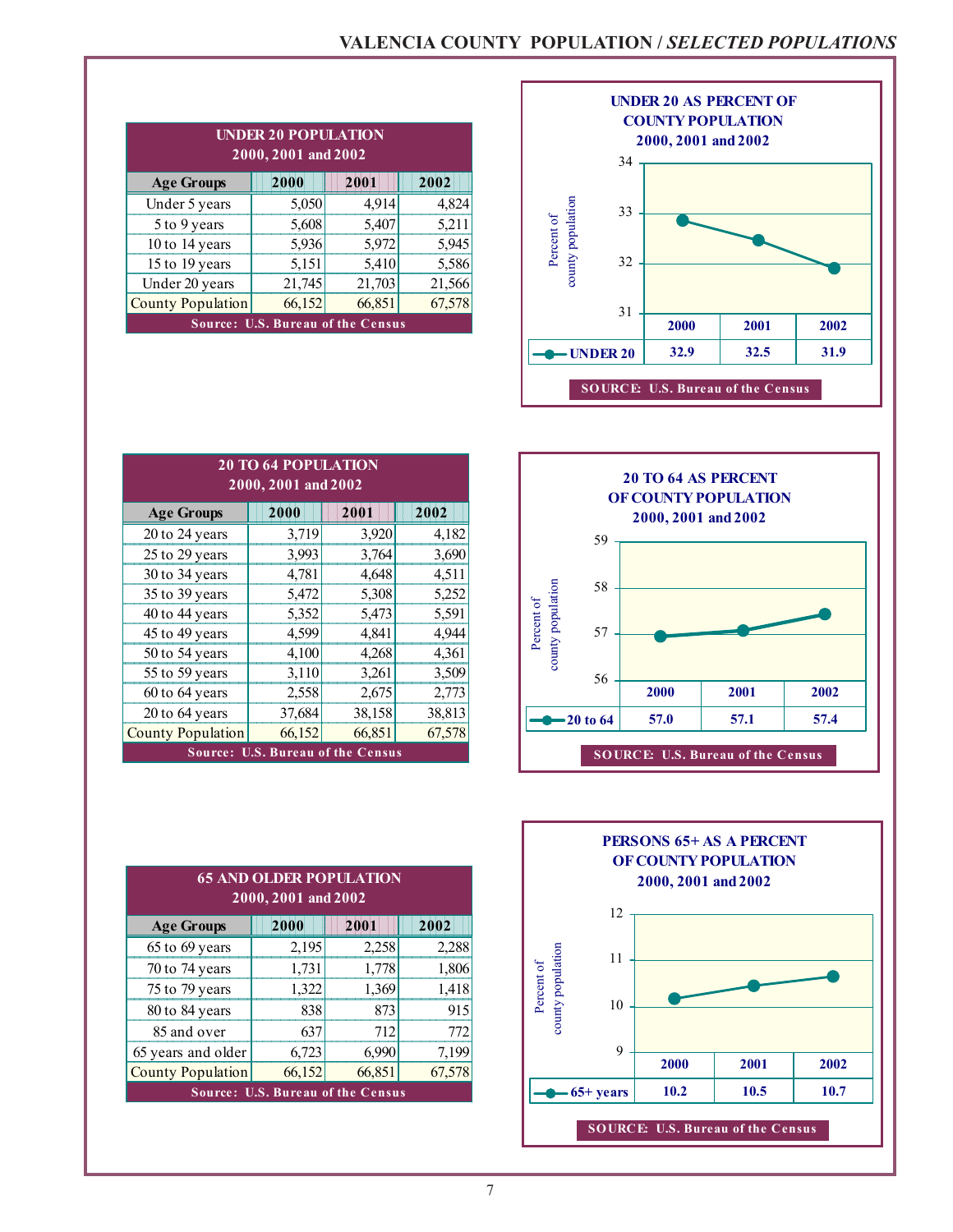|                                          | <b>UNDER 20 POPULATION</b><br>$2000, 2001$ and $2002$ |        |        |  |  |  |  |  |
|------------------------------------------|-------------------------------------------------------|--------|--------|--|--|--|--|--|
| <b>Age Groups</b>                        | 2000                                                  | 2001   | 2002   |  |  |  |  |  |
| Under 5 years                            | 5,050                                                 | 4,914  | 4,824  |  |  |  |  |  |
| 5 to 9 years                             | 5,608                                                 | 5,407  | 5,211  |  |  |  |  |  |
| 10 to 14 years                           | 5,936                                                 | 5,972  | 5,945  |  |  |  |  |  |
| 15 to 19 years                           | 5,151                                                 | 5,410  | 5,586  |  |  |  |  |  |
| Under 20 years                           | 21,745                                                | 21,703 | 21,566 |  |  |  |  |  |
| <b>County Population</b>                 | 66,152                                                | 66,851 | 67,578 |  |  |  |  |  |
| <b>Source: U.S. Bureau of the Census</b> |                                                       |        |        |  |  |  |  |  |



|      |        |                   |          |                     | <b>20 TO 64 AS PERCENT</b><br>OF COUNTY POPULATION |      |
|------|--------|-------------------|----------|---------------------|----------------------------------------------------|------|
|      | 2002   |                   |          | 2000, 2001 and 2002 |                                                    |      |
| 20   | 4,182  |                   | 59       |                     |                                                    |      |
| 64   | 3,690  |                   |          |                     |                                                    |      |
| 48   | 4,511  |                   |          |                     |                                                    |      |
| 08   | 5,252  |                   | 58       |                     |                                                    |      |
| 73   | 5,591  | Percent of        |          |                     |                                                    |      |
| 41   | 4,944  |                   | 57       |                     |                                                    |      |
| 68   | 4,361  | county population |          |                     |                                                    |      |
| 61   | 3,509  |                   | 56       |                     |                                                    |      |
| 75   | 2,773  |                   |          | 2000                | 2001                                               | 2002 |
| 58   | 38,813 |                   | 20 to 64 | 57.0                | 57.1                                               | 57.4 |
| 51   | 67,578 |                   |          |                     |                                                    |      |
| isus |        |                   |          |                     | <b>SOURCE: U.S. Bureau of the Census</b>           |      |



**2002** 

| <b>20 TO 64 POPULATION</b><br>2000, 2001 and 2002 |                                  |        |        |  |  |  |  |  |  |  |
|---------------------------------------------------|----------------------------------|--------|--------|--|--|--|--|--|--|--|
| <b>Age Groups</b>                                 | 2000                             | 2001   | 2002   |  |  |  |  |  |  |  |
| 20 to 24 years                                    | 3,719                            | 3,920  | 4,182  |  |  |  |  |  |  |  |
| 25 to 29 years                                    | 3,993                            | 3,764  | 3,690  |  |  |  |  |  |  |  |
| 30 to 34 years                                    | 4,781                            | 4,648  | 4,511  |  |  |  |  |  |  |  |
| 35 to 39 years                                    | 5,472                            | 5,308  | 5,252  |  |  |  |  |  |  |  |
| 40 to 44 years                                    | 5,352                            | 5,473  | 5,591  |  |  |  |  |  |  |  |
| 45 to 49 years                                    | 4,599                            | 4,841  | 4,944  |  |  |  |  |  |  |  |
| 50 to 54 years                                    | 4,100                            | 4,268  | 4,361  |  |  |  |  |  |  |  |
| 55 to 59 years                                    | 3,110                            | 3,261  | 3,509  |  |  |  |  |  |  |  |
| 60 to 64 years                                    | 2,558                            | 2,675  | 2,773  |  |  |  |  |  |  |  |
| 20 to 64 years                                    | 37,684                           | 38,158 | 38,813 |  |  |  |  |  |  |  |
| <b>County Population</b>                          | 66,152                           | 66,851 | 67,578 |  |  |  |  |  |  |  |
| Source:                                           | <b>U.S. Bureau of the Census</b> |        |        |  |  |  |  |  |  |  |

| <b>65 AND OLDER POPULATION</b><br>2000, 2001 and 2002 |                                          |        |        |  |  |  |  |  |
|-------------------------------------------------------|------------------------------------------|--------|--------|--|--|--|--|--|
| <b>Age Groups</b>                                     | 2000                                     | 2001   | 2002   |  |  |  |  |  |
| 65 to 69 years                                        | 2,195                                    | 2,258  | 2,288  |  |  |  |  |  |
| 70 to 74 years                                        | 1,731                                    | 1,778  | 1,806  |  |  |  |  |  |
| 75 to 79 years                                        | 1,322                                    | 1,369  | 1,418  |  |  |  |  |  |
| 80 to 84 years                                        | 838                                      | 873    | 915    |  |  |  |  |  |
| 85 and over                                           | 637                                      | 712    | 772    |  |  |  |  |  |
| 65 years and older                                    | 6,723                                    | 6,990  | 7,199  |  |  |  |  |  |
| <b>County Population</b>                              | 66,152                                   | 66,851 | 67,578 |  |  |  |  |  |
|                                                       | <b>Source: U.S. Bureau of the Census</b> |        |        |  |  |  |  |  |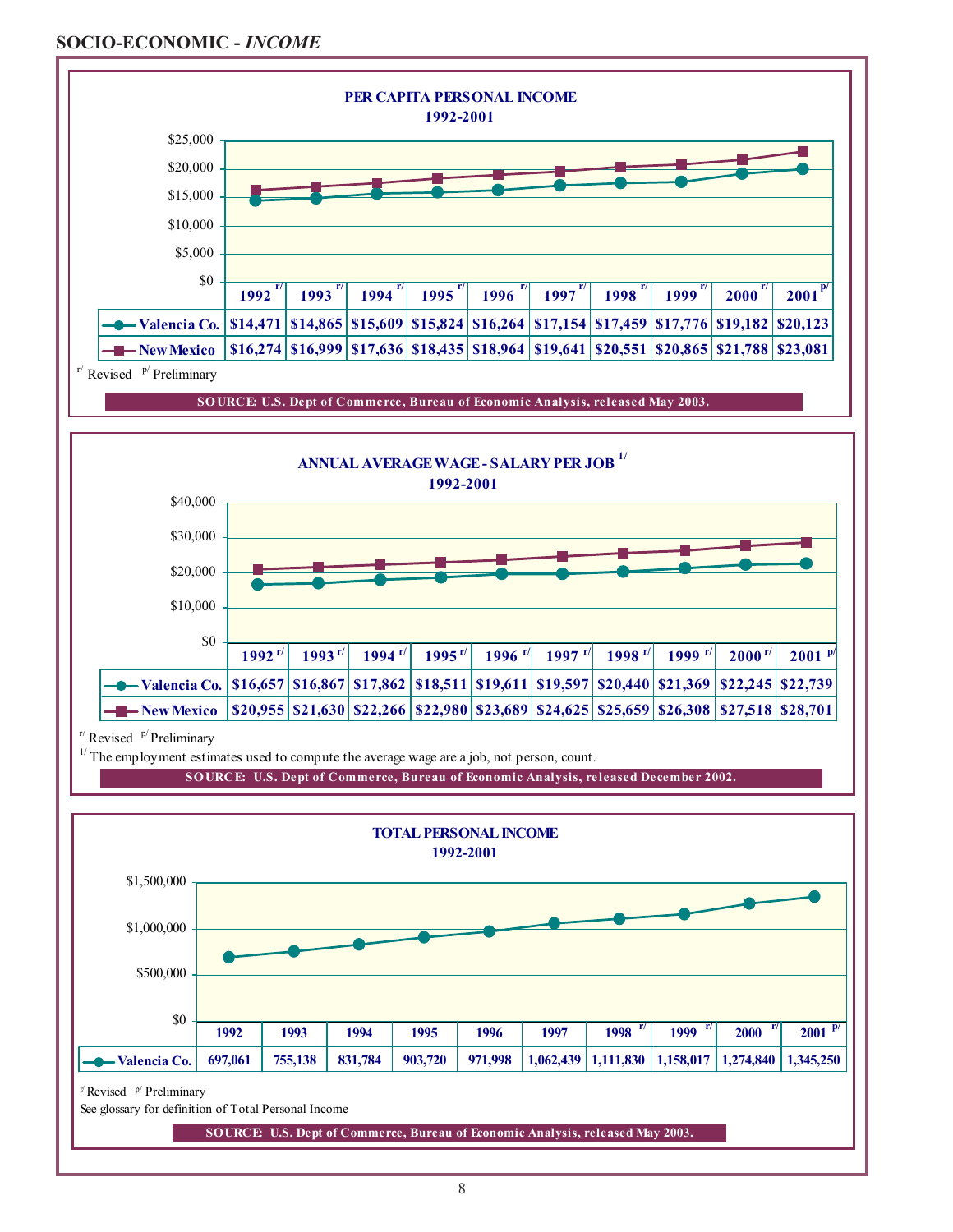### **SOCIO-ECONOMIC -** *INCOME*





 $r/R$ evised  $p/$  Preliminary

 $1/$  The employment estimates used to compute the average wage are a job, not person, count.

**SOURCE: U.S. Dept of Commerce, Bureau of Economic Analysis, released December 2002.**



**SOURCE: U.S. Dept of Commerce, Bureau of Economic Analysis, released May 2003.**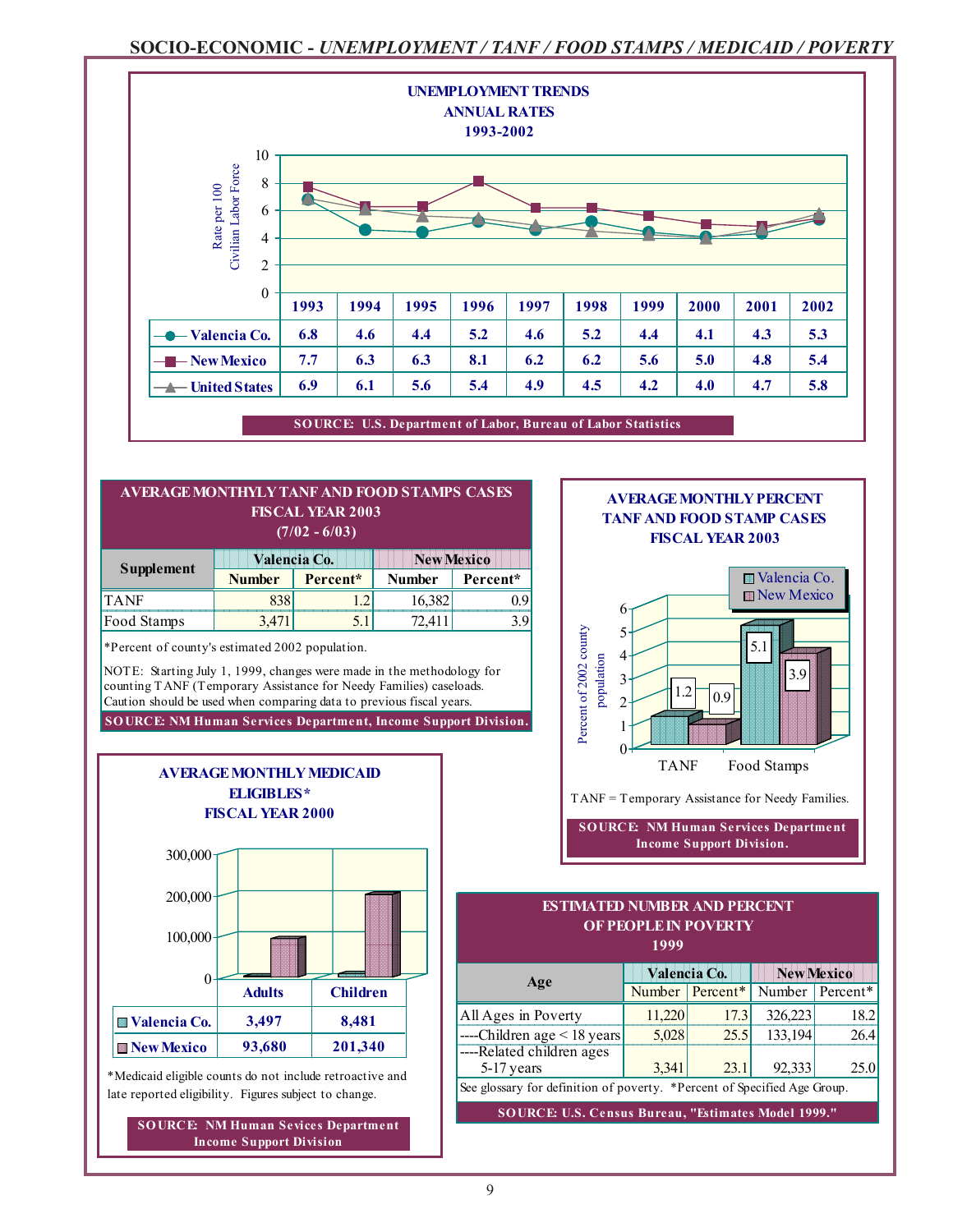### **SOCIO-ECONOMIC -** *UNEMPLOYMENT / TANF / FOOD STAMPS / MEDICAID / POVERTY*



#### **(7/02 - 6/03) Valencia Co.** New Mexico ,我们也不会有什么。""我们,我们也不会有什么?""我们,我们也不会有什么?""我们,我们也不会有什么?""我们,我们也不会有什么?""我们,我们也不会有什么? **AVERAGE MONTHYLY TANF AND FOOD STAMPS CASES FISCAL YEAR 2003**

|             |               | <u>Maria di Labia di Labia di Labia di Labia di Labia di Labia di Labia di Labia di Labia di Labia di Labia di La</u> | ,,,,,,,,,,,,,,,,,,,, |          |  |  |
|-------------|---------------|-----------------------------------------------------------------------------------------------------------------------|----------------------|----------|--|--|
| Supplement  | <b>Number</b> | Percent*                                                                                                              | <b>Number</b>        | Percent* |  |  |
| <b>TANE</b> |               |                                                                                                                       |                      |          |  |  |
| Food Stamps |               |                                                                                                                       |                      |          |  |  |
|             |               |                                                                                                                       |                      |          |  |  |

\*Percent of county's estimated 2002 population.

**SOURCE: NM Human Services Department, Income Support Division.** NOTE: Starting July 1, 1999, changes were made in the methodology for counting TANF (Temporary Assistance for Needy Families) caseloads. Caution should be used when comparing data to previous fiscal years.



\*Medicaid eligible counts do not include retroactive and late reported eligibility. Figures subject to change.

**SOURCE: NM Human Sevices Department Income Support Division**

#### **AVERAGE MONTHLY PERCENT TANF AND FOOD STAMP CASES FISCAL YEAR 2003**



**SOURCE: NM Human Services Department Income Support Division.**

#### **1999 这个人都是在这个人的时候,我们也不能在这个人的时候,我们也不能**是我们的人,我们也不能是我们的人,我们也不能是我们的人,我们也不能是我们的人,我们也不能是我们的人 **ESTIMATED NUMBER AND PERCENT OF PEOPLE IN POVERTY**

|                                                                          |        | Valencia Co.    |         | <b>New Mexico</b>           |
|--------------------------------------------------------------------------|--------|-----------------|---------|-----------------------------|
| Age                                                                      |        | Number Percent* |         | Number Percent <sup>*</sup> |
| All Ages in Poverty                                                      | 11,220 | 17.3            | 326,223 | 18.2                        |
| ----Children age $\leq$ 18 years                                         | 5,028  | 25.5            | 133,194 | 26.4                        |
| ----Related children ages<br>5-17 years                                  | 3,341  | 23.1            | 92,333  | 25.0                        |
| See glossary for definition of poverty. *Percent of Specified Age Group. |        |                 |         |                             |

**SOURCE: U.S. Census Bureau, "Estimates Model 1999."**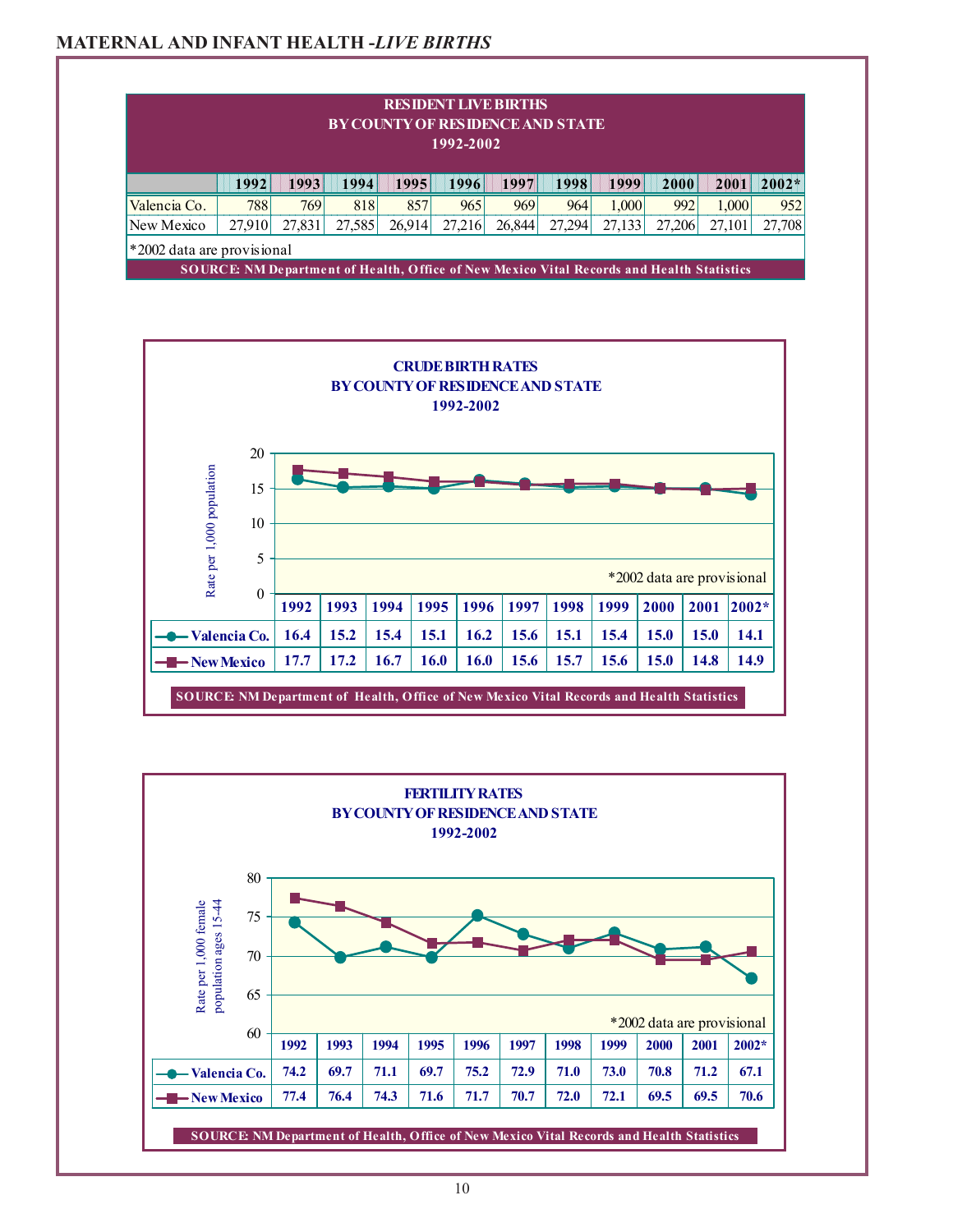### **MATERNAL AND INFANT HEALTH -***LIVE BIRTHS*

|                                                                                                  |                            |        | <b>BY COUNTY OF RESIDENCE AND STATE</b> |        | <b>RESIDENT LIVE BIRTHS</b><br>1992-2002 |        |                  |        |        |        |         |
|--------------------------------------------------------------------------------------------------|----------------------------|--------|-----------------------------------------|--------|------------------------------------------|--------|------------------|--------|--------|--------|---------|
|                                                                                                  | 1992                       | 1993   | 1994                                    | 1995   | 1996                                     | 1997   | 1998             | 1999   | 2000   | 2001   | $2002*$ |
| Valencia Co.                                                                                     | 788                        | 769    | 818                                     | 857    | 965                                      | 969    | 964 <sub>1</sub> | 1.000  | 992    | 1.000  | 952     |
| New Mexico                                                                                       | 27,910                     | 27,831 | 27,585                                  | 26,914 | 27,216                                   | 26,844 | 27,294           | 27,133 | 27,206 | 27,101 | 27,708  |
|                                                                                                  | *2002 data are provisional |        |                                         |        |                                          |        |                  |        |        |        |         |
| <b>SOURCE: NM Department of Health, Office of New Mexico Vital Records and Health Statistics</b> |                            |        |                                         |        |                                          |        |                  |        |        |        |         |



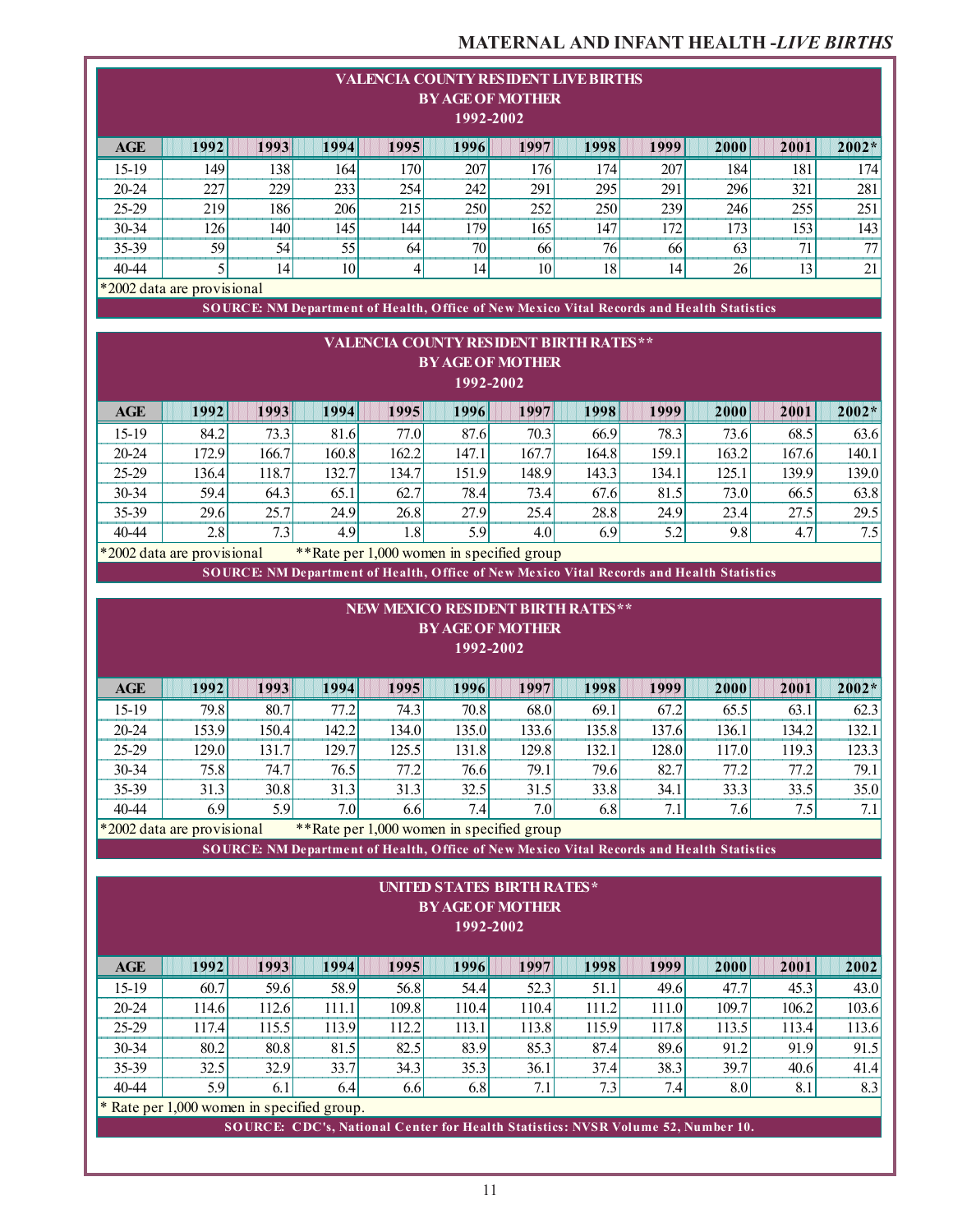### **MATERNAL AND INFANT HEALTH -***LIVE BIRTHS*

|                                                                                       |                                                                                                                                                               |                |                |                | 1992-2002      | <b>VALENCIA COUNTY RESIDENT LIVE BIRTHS</b><br><b>BY AGE OF MOTHER</b>                                                                                    |                |                |                |                |                |  |
|---------------------------------------------------------------------------------------|---------------------------------------------------------------------------------------------------------------------------------------------------------------|----------------|----------------|----------------|----------------|-----------------------------------------------------------------------------------------------------------------------------------------------------------|----------------|----------------|----------------|----------------|----------------|--|
| <b>AGE</b>                                                                            | 1992                                                                                                                                                          | 1993           | 1994           | 1995           | 1996           | 1997                                                                                                                                                      | 1998           | 1999           | 2000           | 2001           | 2002*          |  |
| $15-19$                                                                               | 149                                                                                                                                                           | 138            | 164            | 170            | 207            | 176                                                                                                                                                       | 174            | 207            | 184            | 181            | 174            |  |
| 20-24                                                                                 | 227                                                                                                                                                           | 229            | 233            | 254            | 242            | 291                                                                                                                                                       | 295            | 291            | 296            | 321            | 281            |  |
| 25-29                                                                                 | 219                                                                                                                                                           | 186            | 206            | 215            | 250            | 252                                                                                                                                                       | 250            | 239            | 246            | 255            | 251            |  |
| 30-34                                                                                 | 126                                                                                                                                                           | 140            | 145            | 144            | 179            | 165                                                                                                                                                       | 147            | 172            | 173            | 153            | 143            |  |
| 35-39                                                                                 | 59                                                                                                                                                            | 54             | 55             | 64             | 70             | 66                                                                                                                                                        | 76             | 66             | 63             | 71             | 77             |  |
| 40-44                                                                                 | 5                                                                                                                                                             | 14             | 10             | 4              | 14             | 10                                                                                                                                                        | 18             | 14             | 26             | 13             | 21             |  |
|                                                                                       | *2002 data are provisional                                                                                                                                    |                |                |                |                |                                                                                                                                                           |                |                |                |                |                |  |
|                                                                                       |                                                                                                                                                               |                |                |                |                | SOURCE: NM Department of Health, Office of New Mexico Vital Records and Health Statistics                                                                 |                |                |                |                |                |  |
| <b>VALENCIA COUNTY RESIDENT BIRTH RATES**</b><br><b>BY AGE OF MOTHER</b><br>1992-2002 |                                                                                                                                                               |                |                |                |                |                                                                                                                                                           |                |                |                |                |                |  |
| <b>AGE</b>                                                                            | 1992                                                                                                                                                          | 1993           | 1994           | 1995           | 1996           | 1997                                                                                                                                                      | 1998           | 1999           | 2000           | 2001           | $2002*$        |  |
| 15-19                                                                                 | 84.2                                                                                                                                                          | 73.3           | 81.6           | 77.0           | 87.6           | 70.3                                                                                                                                                      | 66.9           | 78.3           | 73.6           | 68.5           | 63.6           |  |
| 20-24                                                                                 | 172.9                                                                                                                                                         | 166.7          | 160.8          | 162.2          | 147.1          | 167.7                                                                                                                                                     | 164.8          | 159.1          | 163.2          | 167.6          | 140.1          |  |
| 25-29                                                                                 | 136.4                                                                                                                                                         | 118.7          | 132.7          | 134.7          | 151.9          | 148.9                                                                                                                                                     | 143.3          | 134.1          | 125.1          | 139.9          | 139.0          |  |
| 30-34                                                                                 | 59.4                                                                                                                                                          | 64.3           | 65.1           | 62.7           | 78.4           | 73.4                                                                                                                                                      | 67.6           | 81.5           | 73.0           | 66.5           | 63.8           |  |
| 35-39                                                                                 | 29.6                                                                                                                                                          | 25.7           | 24.9           | 26.8           | 27.9           | 25.4                                                                                                                                                      | 28.8           | 24.9           | 23.4           | 27.5           | 29.5           |  |
|                                                                                       | 40-44<br>2.8<br>7.3<br>4.9<br>1.8<br>5.9<br>6.9<br>5.2<br>9.8<br>4.7<br>7.5<br>4.0<br>**Rate per 1,000 women in specified group<br>*2002 data are provisional |                |                |                |                |                                                                                                                                                           |                |                |                |                |                |  |
|                                                                                       |                                                                                                                                                               |                |                |                |                | SOURCE: NM Department of Health, Office of New Mexico Vital Records and Health Statistics                                                                 |                |                |                |                |                |  |
|                                                                                       |                                                                                                                                                               |                |                |                |                |                                                                                                                                                           |                |                |                |                |                |  |
|                                                                                       |                                                                                                                                                               |                |                |                | 1992-2002      | <b>NEW MEXICO RESIDENT BIRTH RATES**</b><br><b>BY AGE OF MOTHER</b>                                                                                       |                |                |                |                |                |  |
|                                                                                       |                                                                                                                                                               |                |                |                |                |                                                                                                                                                           |                |                |                |                |                |  |
| <b>AGE</b>                                                                            | 1992                                                                                                                                                          | 1993           | 1994           | 1995           | 1996           | 1997                                                                                                                                                      | 1998           | 1999           | 2000           | 2001           | $2002*$        |  |
| 15-19                                                                                 | 79.8                                                                                                                                                          | 80.7           | 77.2           | 74.3           | 70.8           | 68.0                                                                                                                                                      | 69.1           | 67.2           | 65.5           | 63.1           | 62.3           |  |
| 20-24                                                                                 | 153.9                                                                                                                                                         | 150.4          | 142.2          | 134.0          | 135.0          | 133.6                                                                                                                                                     | 135.8          | 137.6          | 136.1          | 134.2          | 132.1          |  |
| 25-29                                                                                 | 129.0                                                                                                                                                         | 131.7          | 129.7          | 125.5          | 131.8          | 129.8                                                                                                                                                     | 132.1          | 128.0          | 117.0          | 119.3          | 123.3          |  |
| 30-34                                                                                 | 75.8                                                                                                                                                          | 74.7           | 76.5           | 77.2           | 76.6           | 79.1                                                                                                                                                      | 79.6           | 82.7           | 77.2           | 77.2           | 79.1           |  |
| 35-39                                                                                 | 31.3                                                                                                                                                          | 30.8           | 31.3           | 31.3           | 32.5           | 31.5                                                                                                                                                      | 33.8           | 34.1           | 33.3           | 33.5           | 35.0           |  |
| 40-44                                                                                 | 6.9                                                                                                                                                           | 5.9            | 7.0            | 6.6            | 7.4            | 7.0                                                                                                                                                       | 6.8            | 7.1            | 7.6            | 7.5            | 7.1            |  |
|                                                                                       | *2002 data are provisional                                                                                                                                    |                |                |                |                | **Rate per 1,000 women in specified group                                                                                                                 |                |                |                |                |                |  |
|                                                                                       |                                                                                                                                                               |                |                |                | 1992-2002      | SOURCE: NM Department of Health, Office of New Mexico Vital Records and Health Statistics<br><b>UNITED STATES BIRTH RATES*</b><br><b>BY AGE OF MOTHER</b> |                |                |                |                |                |  |
|                                                                                       |                                                                                                                                                               |                |                |                |                |                                                                                                                                                           |                |                |                |                |                |  |
| AGE                                                                                   | 1992                                                                                                                                                          | 1993           | 1994           | 1995           | 1996           | 1997                                                                                                                                                      | 1998           | 1999           | 2000           | 2001           | 2002           |  |
| 15-19                                                                                 | 60.7                                                                                                                                                          | 59.6           | 58.9           | 56.8           | 54.4           | 52.3                                                                                                                                                      | 51.1           | 49.6           | 47.7           | 45.3           | 43.0           |  |
| $20 - 24$<br>25-29                                                                    | 114.6<br>117.4                                                                                                                                                | 112.6<br>115.5 | 111.1<br>113.9 | 109.8<br>112.2 | 110.4<br>113.1 | 110.4<br>113.8                                                                                                                                            | 111.2<br>115.9 | 111.0<br>117.8 | 109.7<br>113.5 | 106.2<br>113.4 | 103.6<br>113.6 |  |
| 30-34                                                                                 | 80.2                                                                                                                                                          | 80.8           | 81.5           | 82.5           | 83.9           | 85.3                                                                                                                                                      | 87.4           | 89.6           | 91.2           | 91.9           | 91.5           |  |
| 35-39                                                                                 | 32.5                                                                                                                                                          | 32.9           | 33.7           | 34.3           | 35.3           | 36.1                                                                                                                                                      | 37.4           | 38.3           | 39.7           | 40.6           | 41.4           |  |
| 40-44                                                                                 | 5.9                                                                                                                                                           | 6.1            | 6.4            | 6.6            | 6.8            | 7.1                                                                                                                                                       | 7.3            | 7.4            | 8.0            | 8.1            | 8.3            |  |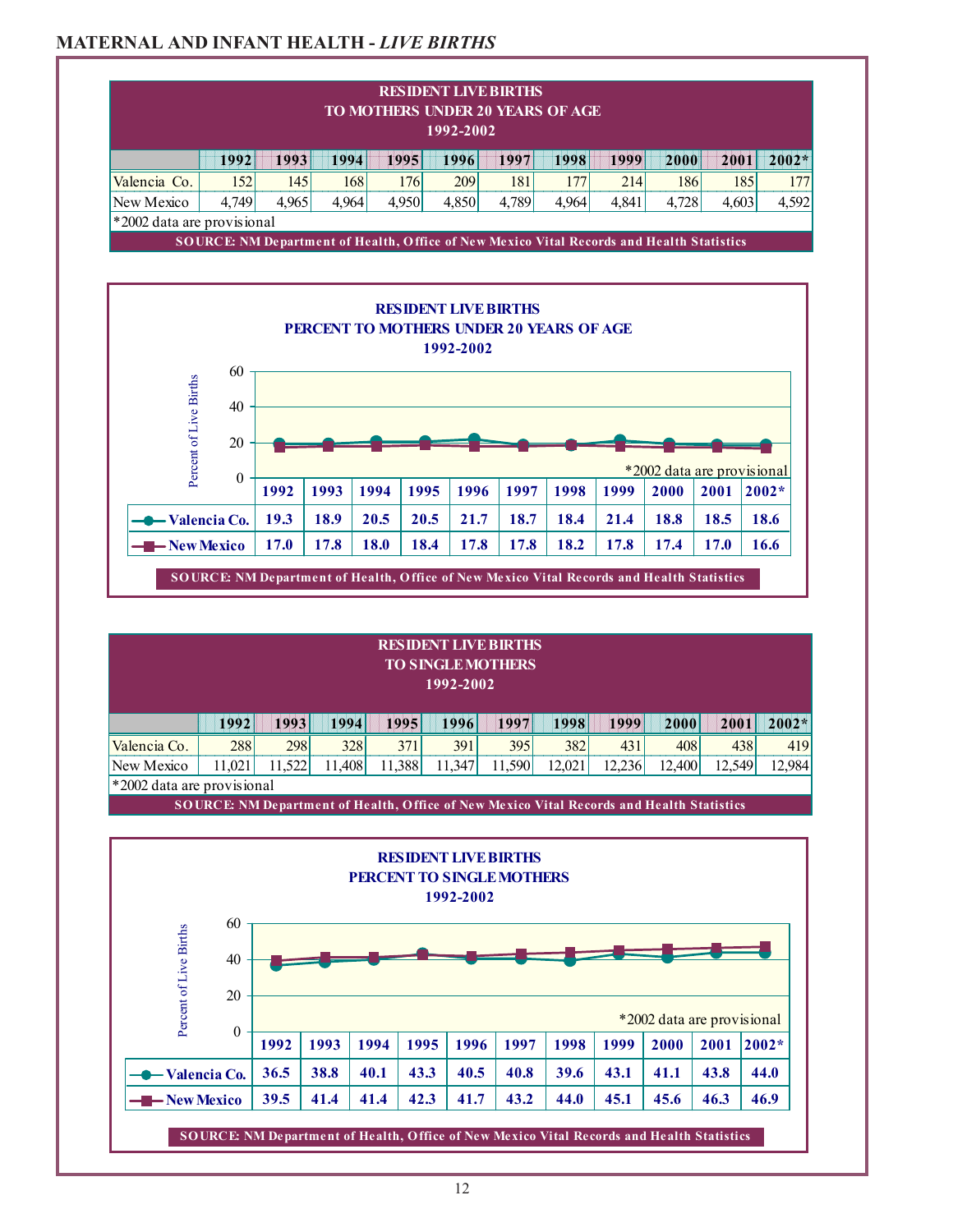## **MATERNAL AND INFANT HEALTH -** *LIVE BIRTHS*

| TO MOTHERS UNDER 20 YEARS OF AGE<br>1992-2002 |          |                                                                                           |       |                                                 |      |                                          |       |       |       |       |       |                                       |
|-----------------------------------------------|----------|-------------------------------------------------------------------------------------------|-------|-------------------------------------------------|------|------------------------------------------|-------|-------|-------|-------|-------|---------------------------------------|
|                                               | 1992     | 1993                                                                                      | 1994  | 1995                                            |      | 1996                                     | 1997  | 1998  | 1999  | 2000  | 2001  | $2002*$                               |
| Valencia Co.                                  | 152      | 145                                                                                       | 168   |                                                 | 176  | 209                                      | 181   | 177   | 214   | 186   |       | 185<br>177                            |
| New Mexico                                    | 4,749    | 4.965                                                                                     | 4,964 | 4,950                                           |      | 4,850                                    | 4,789 | 4,964 | 4,841 | 4,728 | 4,603 | 4,592                                 |
| *2002 data are provisional                    |          |                                                                                           |       |                                                 |      |                                          |       |       |       |       |       |                                       |
|                                               |          | SOURCE: NM Department of Health, Office of New Mexico Vital Records and Health Statistics |       |                                                 |      |                                          |       |       |       |       |       |                                       |
|                                               |          |                                                                                           |       | <b>PERCENT TO MOTHERS UNDER 20 YEARS OF AGE</b> |      | <b>RESIDENT LIVE BIRTHS</b><br>1992-2002 |       |       |       |       |       |                                       |
|                                               | 60<br>40 |                                                                                           |       |                                                 |      |                                          |       |       |       |       |       |                                       |
|                                               | 20       |                                                                                           |       |                                                 |      |                                          |       |       |       |       |       |                                       |
| Percent of Live Births                        | $\theta$ | 1992                                                                                      | 1993  | 1994                                            | 1995 | 1996                                     | 1997  | 1998  | 1999  | 2000  | 2001  | *2002 data are provisional<br>$2002*$ |
| $\blacktriangleright$ Valencia Co.            |          | 19.3                                                                                      | 18.9  | 20.5                                            | 20.5 | 21.7                                     | 18.7  | 18.4  | 21.4  | 18.8  | 18.5  | 18.6                                  |

#### **RESIDENT LIVE BIRTHS TO SINGLE MOTHERS 1992-2002**

|                                   | 19921  | 1993   | 1994   | 1995   | 1996   | 1997   | 1998   | <b>1999</b> | 2000   | 2001   | $2002*$ |
|-----------------------------------|--------|--------|--------|--------|--------|--------|--------|-------------|--------|--------|---------|
| Valencia Co.                      | 288    | 298    | 328    | 371    | 391    | 395    | 382    | 431         | 408    | 438    | 419     |
| New Mexico                        | 1.0211 | 11.522 | 11,408 | 11.388 | 11,347 | 11,590 | 12,021 | 12,236      | 12,400 | 12.549 | 12,984  |
| $\mid$ *2002 data are provisional |        |        |        |        |        |        |        |             |        |        |         |

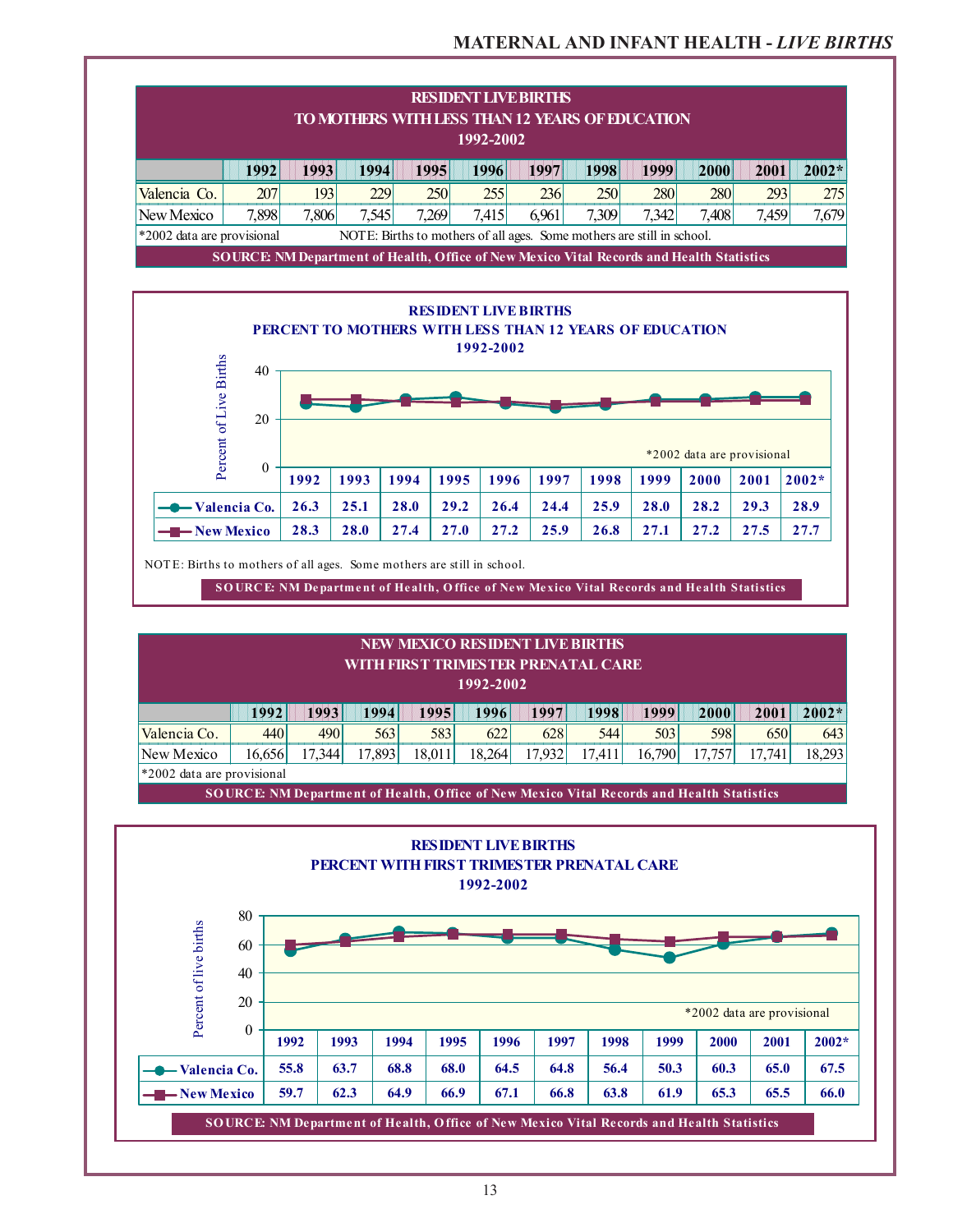### **MATERNAL AND INFANT HEALTH -** *LIVE BIRTHS*

| <b>RESIDENT LIVE BIRTHS</b><br>TO MOTHERS WITH LESS THAN 12 YEARS OF EDUCATION<br>1992-2002          |                                                                                                 |       |       |            |       |       |       |       |            |       |       |
|------------------------------------------------------------------------------------------------------|-------------------------------------------------------------------------------------------------|-------|-------|------------|-------|-------|-------|-------|------------|-------|-------|
|                                                                                                      | 1993<br>1994<br>1995<br>1997<br>1998<br>1999<br>2000<br>1992<br>1996<br>2001                    |       |       |            |       |       |       |       | $2002*$    |       |       |
| Valencia Co.                                                                                         | <b>207</b>                                                                                      | 1931  | 229   | <b>250</b> | 255   | 236   | 250   | 280   | <b>280</b> | 293   | 275   |
| New Mexico                                                                                           | 7,898                                                                                           | 1,806 | 7,545 | 7.269      | 7,415 | 6,961 | 7,309 | 7,342 | 7,408      | 7,459 | 7,679 |
| *2002 data are provisional<br>NOTE: Births to mothers of all ages. Some mothers are still in school. |                                                                                                 |       |       |            |       |       |       |       |            |       |       |
|                                                                                                      | <b>SOURCE NM Department of Health, Office of New Mexico Vital Records and Health Statistics</b> |       |       |            |       |       |       |       |            |       |       |



| <b>NEW MEXICO RESIDENT LIVE BIRTHS</b><br>WITH FIRST TRIMESTER PRENATAL CARE<br>1992-2002 |                                                                                                            |      |      |      |      |      |      |      |      |      |         |
|-------------------------------------------------------------------------------------------|------------------------------------------------------------------------------------------------------------|------|------|------|------|------|------|------|------|------|---------|
|                                                                                           | 1992                                                                                                       | 1993 | 1994 | 1995 | 1996 | 1997 | 1998 | 1999 | 2000 | 2001 | $2002*$ |
| Valencia Co.                                                                              | 440                                                                                                        | 490  | 563  | 583  | 622  | 628  | 544  | 503  | 598  | 650  | 643     |
| New Mexico                                                                                | 18,293<br>17.893<br>17.932<br>16.790<br>18.264<br>16.656<br>17.344<br>18.011<br>17.741<br>17.411<br>17.757 |      |      |      |      |      |      |      |      |      |         |
| $*2002$ data are provisional                                                              |                                                                                                            |      |      |      |      |      |      |      |      |      |         |

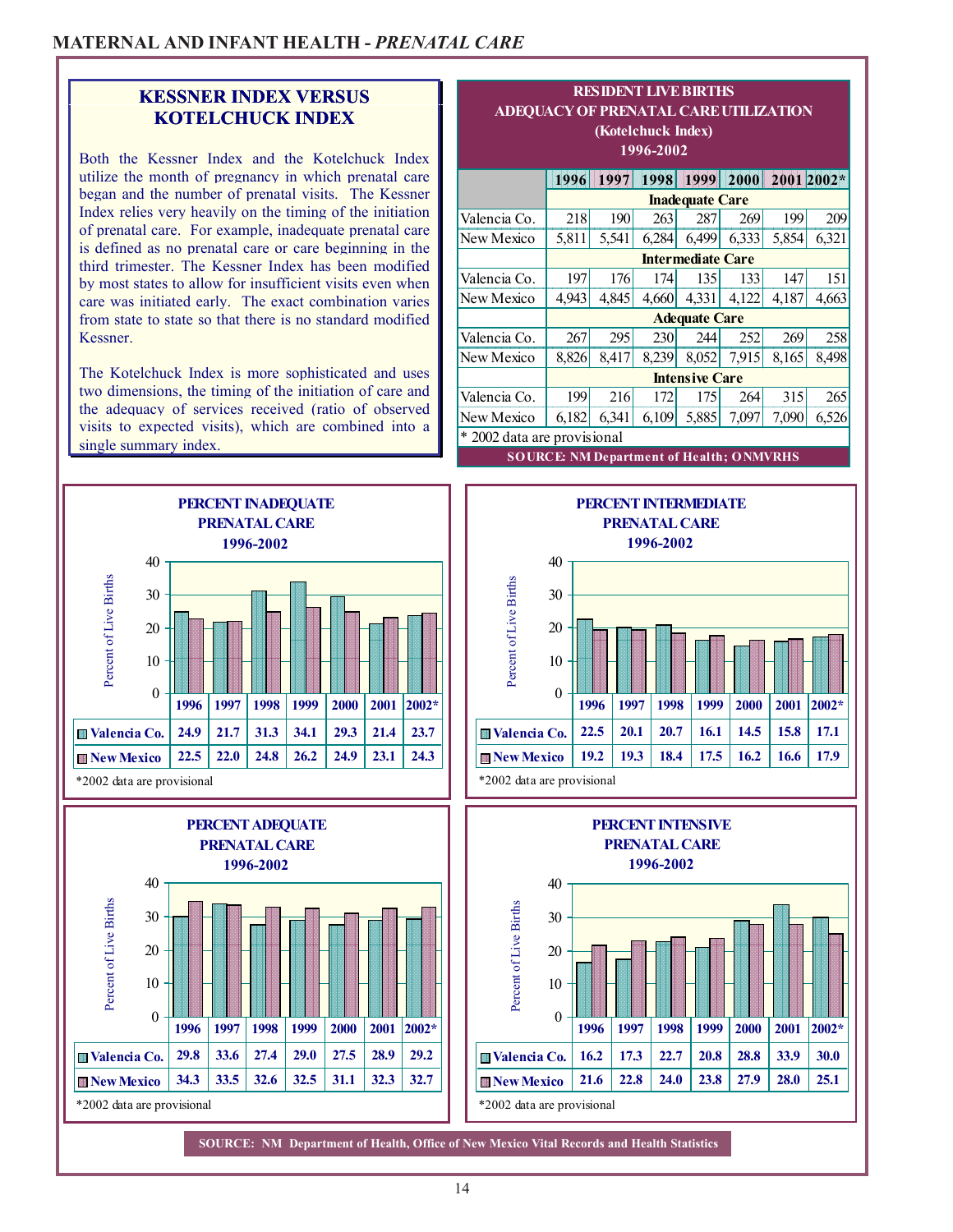### **KESSNER INDEX VERSUS KOTELCHUCK INDEX**

Both the Kessner Index and the Kotelchuck Index utilize the month of pregnancy in which prenatal care began and the number of prenatal visits. The Kessner Index relies very heavily on the timing of the initiation of prenatal care. For example, inadequate prenatal care is defined as no prenatal care or care beginning in the third trimester. The Kessner Index has been modified by most states to allow for insufficient visits even when care was initiated early. The exact combination varies from state to state so that there is no standard modified Kessner.

The Kotelchuck Index is more sophisticated and uses two dimensions, the timing of the initiation of care and the adequacy of services received (ratio of observed visits to expected visits), which are combined into a single summary index.



| ADEQUACY OF PRENATAL CARE UTILIZATION<br>(Kotelchuck Index)<br>1996-2002 |                                                 |                                               |       |                          |       |                 |       |  |  |
|--------------------------------------------------------------------------|-------------------------------------------------|-----------------------------------------------|-------|--------------------------|-------|-----------------|-------|--|--|
|                                                                          | 1996                                            | 1997                                          | 1998  | 1999                     |       | 2000 2001 2002* |       |  |  |
|                                                                          |                                                 |                                               |       | <b>Inadequate Care</b>   |       |                 |       |  |  |
| Valencia Co.                                                             | 218                                             | <b>190</b><br>199<br>263<br>287<br>209<br>269 |       |                          |       |                 |       |  |  |
| New Mexico                                                               | 5,811                                           | 5,541                                         | 6,284 | 6,499                    | 6,333 | 5,854           | 6,321 |  |  |
|                                                                          |                                                 |                                               |       | <b>Intermediate Care</b> |       |                 |       |  |  |
| Valencia Co.                                                             | 197                                             | 151<br>176<br>147<br>135<br>133<br>174        |       |                          |       |                 |       |  |  |
| New Mexico                                                               | 4,943                                           | 4,845                                         | 4,660 | 4,331                    | 4,122 | 4,187           | 4,663 |  |  |
|                                                                          |                                                 |                                               |       | <b>Adequate Care</b>     |       |                 |       |  |  |
| Valencia Co.                                                             | 267                                             | 295                                           | 230   | 244                      | 252   | 269             | 258   |  |  |
| New Mexico                                                               | 8,826                                           | 8,417                                         | 8,239 | 8,052                    | 7,915 | 8,165           | 8,498 |  |  |
|                                                                          |                                                 |                                               |       | <b>Intensive Care</b>    |       |                 |       |  |  |
| Valencia Co.                                                             | 199                                             | 216                                           | 172   | 175                      | 264   | 315             | 265   |  |  |
| New Mexico                                                               | 6,182                                           | 6,341                                         | 6,109 | 5,885                    | 7,097 | 7,090           | 6,526 |  |  |
| * 2002 data are provisional                                              |                                                 |                                               |       |                          |       |                 |       |  |  |
|                                                                          | <b>SOURCE: NM Department of Health; ONMVRHS</b> |                                               |       |                          |       |                 |       |  |  |

**RESIDENT LIVE BIRTHS**

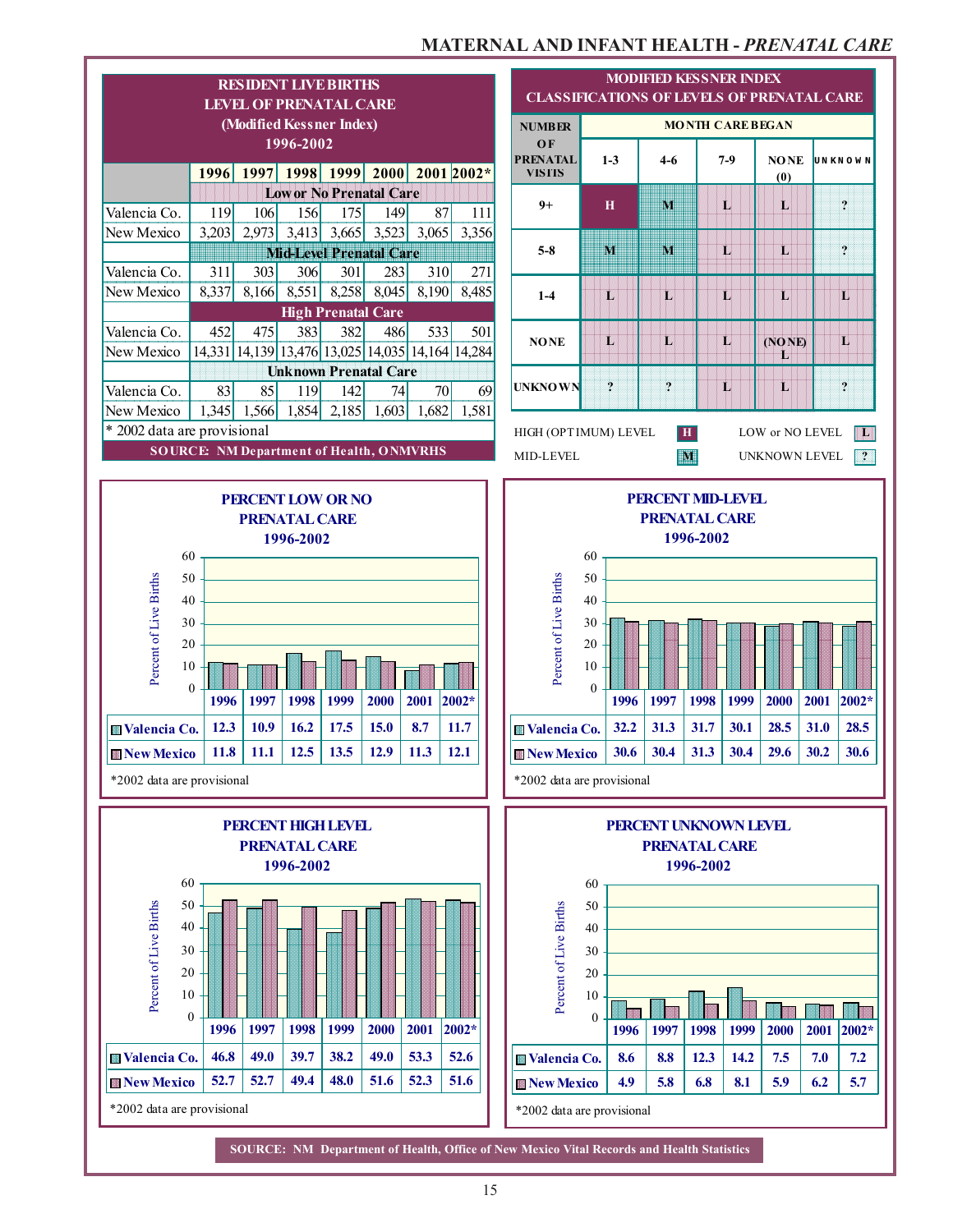### **MATERNAL AND INFANT HEALTH -** *PRENATAL CARE*

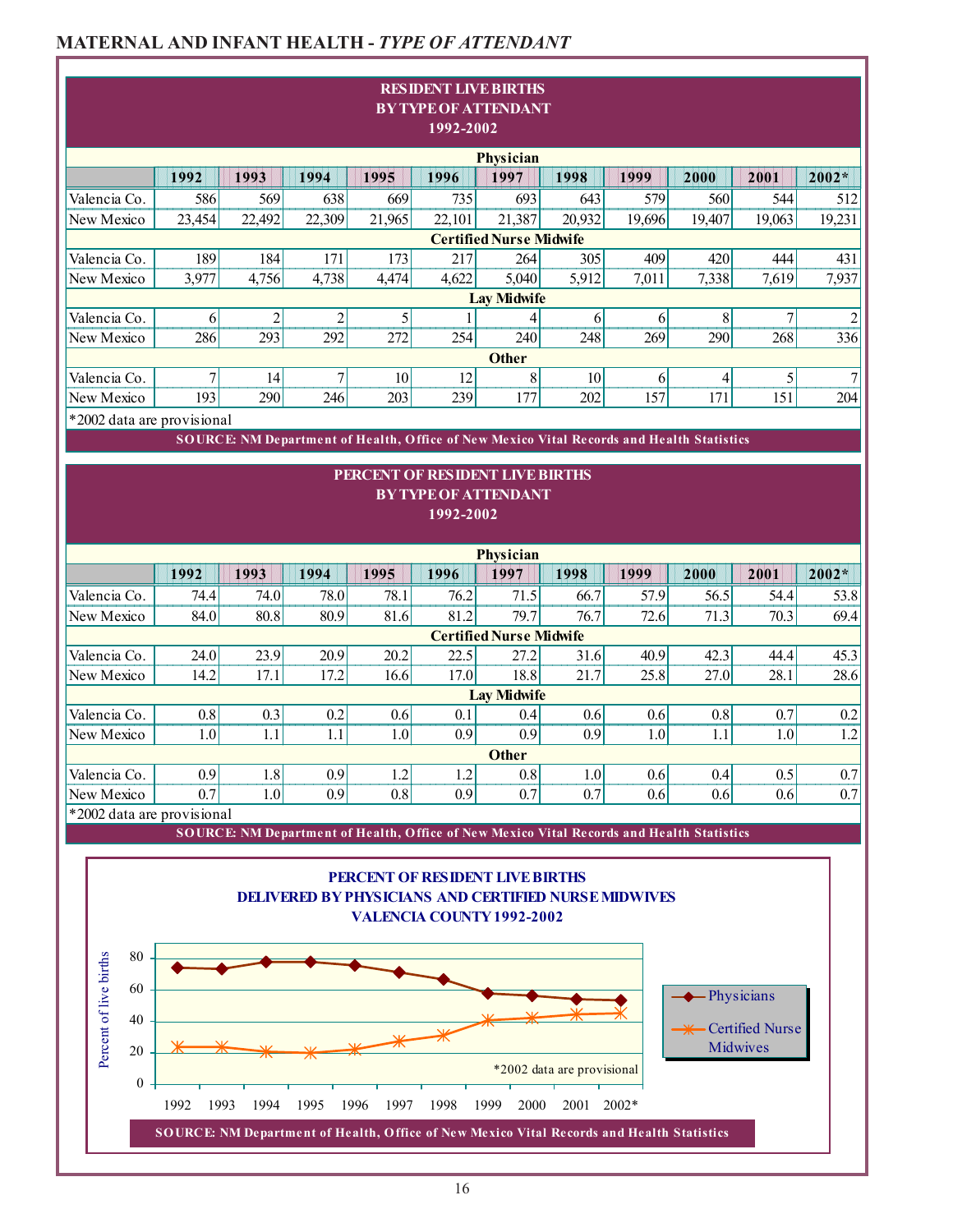# **MATERNAL AND INFANT HEALTH -** *TYPE OF ATTENDANT*

|                              |          |                                                                                           |                       |              |           | <b>RESIDENT LIVE BIRTHS</b>                                 |                            |          |          |                        |                       |
|------------------------------|----------|-------------------------------------------------------------------------------------------|-----------------------|--------------|-----------|-------------------------------------------------------------|----------------------------|----------|----------|------------------------|-----------------------|
|                              |          |                                                                                           |                       |              | 1992-2002 | <b>BY TYPE OF ATTENDANT</b>                                 |                            |          |          |                        |                       |
|                              |          |                                                                                           |                       |              |           | Physician                                                   |                            |          |          |                        |                       |
|                              | 1992     | 1993                                                                                      | 1994                  | 1995         | 1996      | 1997                                                        | 1998                       | 1999     | 2000     | 2001                   | 2002*                 |
| Valencia Co.                 | 586      | 569                                                                                       | 638                   | 669          | 735       | 693                                                         | 643                        | 579      | 560      | 544                    | 512                   |
| New Mexico                   | 23,454   | 22,492                                                                                    | 22,309                | 21,965       | 22,101    | 21,387                                                      | 20,932                     | 19,696   | 19,407   | 19,063                 | 19,231                |
|                              |          |                                                                                           |                       |              |           | <b>Certified Nurse Midwife</b>                              |                            |          |          |                        |                       |
| Valencia Co.                 | 189      | 184                                                                                       | 171                   | 173          | 217       | 264                                                         | 305                        | 409      | 420      | 444                    | 431                   |
| New Mexico                   | 3,977    | 4,756                                                                                     | 4,738                 | 4,474        | 4,622     | 5,040                                                       | 5,912                      | 7,011    | 7,338    | 7,619                  | 7,937                 |
|                              |          |                                                                                           |                       |              |           | <b>Lay Midwife</b>                                          |                            |          |          |                        |                       |
| Valencia Co.<br>New Mexico   | 6<br>286 | $\overline{c}$<br>293                                                                     | $\overline{c}$<br>292 | 5<br>272     | 254       | 4<br>240                                                    | 6<br>248                   | 6<br>269 | 8<br>290 | 7<br>268               | $\overline{2}$<br>336 |
|                              |          |                                                                                           |                       |              |           | <b>Other</b>                                                |                            |          |          |                        |                       |
| Valencia Co.                 | 7        | 14                                                                                        | $\tau$                | 10           | 12        | 8                                                           | 10                         | 6        | 4        | $\vert 5 \vert$        | $\overline{7}$        |
| New Mexico                   | 193      | 290                                                                                       | 246                   | 203          | 239       | 177                                                         | 202                        | 157      | 171      | 151                    | 204                   |
| *2002 data are provisional   |          |                                                                                           |                       |              |           |                                                             |                            |          |          |                        |                       |
|                              |          | SOURCE: NM Department of Health, Office of New Mexico Vital Records and Health Statistics |                       |              |           |                                                             |                            |          |          |                        |                       |
|                              |          |                                                                                           |                       |              |           | PERCENT OF RESIDENT LIVE BIRTHS                             |                            |          |          |                        |                       |
|                              |          |                                                                                           |                       |              |           | <b>BY TYPE OF ATTENDANT</b>                                 |                            |          |          |                        |                       |
|                              |          |                                                                                           |                       |              | 1992-2002 |                                                             |                            |          |          |                        |                       |
|                              |          |                                                                                           |                       |              |           |                                                             |                            |          |          |                        |                       |
|                              |          |                                                                                           |                       |              |           | Physician                                                   |                            |          |          |                        |                       |
|                              | 1992     | 1993                                                                                      | 1994                  | 1995         | 1996      | 1997                                                        | 1998                       | 1999     | 2000     | 2001                   | $2002*$               |
| Valencia Co.                 | 74.4     | 74.0                                                                                      | 78.0                  | 78.1         | 76.2      | 71.5                                                        | 66.7                       | 57.9     | 56.5     | 54.4                   | 53.8                  |
| New Mexico                   | 84.0     | 80.8                                                                                      | 80.9                  | 81.6         | 81.2      | 79.7                                                        | 76.7                       | 72.6     | 71.3     | 70.3                   | 69.4                  |
|                              |          |                                                                                           |                       |              |           | <b>Certified Nurse Midwife</b>                              |                            |          |          |                        |                       |
| Valencia Co.                 | 24.0     | 23.9                                                                                      | 20.9                  | 20.2         | 22.5      | 27.2                                                        | 31.6                       | 40.9     | 42.3     | 44.4                   | 45.3                  |
| New Mexico                   | 14.2     | 17.1                                                                                      | 17.2                  | 16.6         | 17.0      | 18.8                                                        | 21.7                       | 25.8     | 27.0     | 28.1                   | 28.6                  |
|                              |          |                                                                                           |                       |              |           | <b>Lay Midwife</b>                                          |                            |          |          |                        |                       |
| Valencia Co.                 | 0.8      | 0.3                                                                                       | 0.2                   | 0.6          | 0.1       | 0.4                                                         | 0.6                        | 0.6      | 0.8      | 0.7                    | 0.2                   |
| New Mexico                   | 1.0      | 1.1                                                                                       | 1.1                   | 1.0          | 0.9       | 0.9<br><b>Other</b>                                         | 0.9                        | 1.0      | 1.1      | 1.0                    | 1.2                   |
| Valencia Co.                 | 0.9      | 1.8                                                                                       | 0.9                   | 1.2          | 1.2       | 0.8                                                         | 1.0                        | 0.6      | 0.4      | 0.5                    | 0.7                   |
| New Mexico                   | 0.7      | 1.0                                                                                       | 0.9                   | 0.8          | 0.9       | 0.7                                                         | 0.7                        | 0.6      | 0.6      | 0.6                    | 0.7                   |
| *2002 data are provisional   |          |                                                                                           |                       |              |           |                                                             |                            |          |          |                        |                       |
|                              |          | SOURCE: NM Department of Health, Office of New Mexico Vital Records and Health Statistics |                       |              |           |                                                             |                            |          |          |                        |                       |
|                              |          |                                                                                           |                       |              |           |                                                             |                            |          |          |                        |                       |
|                              |          |                                                                                           |                       |              |           | PERCENT OF RESIDENT LIVE BIRTHS                             |                            |          |          |                        |                       |
|                              |          |                                                                                           |                       |              |           | <b>DELIVERED BY PHYSICIANS AND CERTIFIED NURSE MIDWIVES</b> |                            |          |          |                        |                       |
|                              |          |                                                                                           |                       |              |           | <b>VALENCIA COUNTY 1992-2002</b>                            |                            |          |          |                        |                       |
|                              |          |                                                                                           |                       |              |           |                                                             |                            |          |          |                        |                       |
| 80                           |          |                                                                                           |                       |              |           |                                                             |                            |          |          |                        |                       |
|                              |          |                                                                                           |                       |              |           |                                                             |                            |          |          |                        |                       |
| 60                           |          |                                                                                           |                       |              |           |                                                             |                            |          |          | -Physicians            |                       |
| 40                           |          |                                                                                           |                       |              |           |                                                             |                            |          |          | <b>Certified Nurse</b> |                       |
| Percent of live births<br>20 |          |                                                                                           |                       |              |           |                                                             |                            |          |          | Midwives               |                       |
|                              |          |                                                                                           |                       |              |           |                                                             | *2002 data are provisional |          |          |                        |                       |
| $\mathbf{0}$                 |          |                                                                                           |                       |              |           |                                                             |                            |          |          |                        |                       |
|                              | 1992     | 1993<br>1994                                                                              | 1995                  | 1996<br>1997 | 1998      | 1999<br>2000                                                | 2001                       | $2002*$  |          |                        |                       |
|                              |          | SOURCE: NM Department of Health, Office of New Mexico Vital Records and Health Statistics |                       |              |           |                                                             |                            |          |          |                        |                       |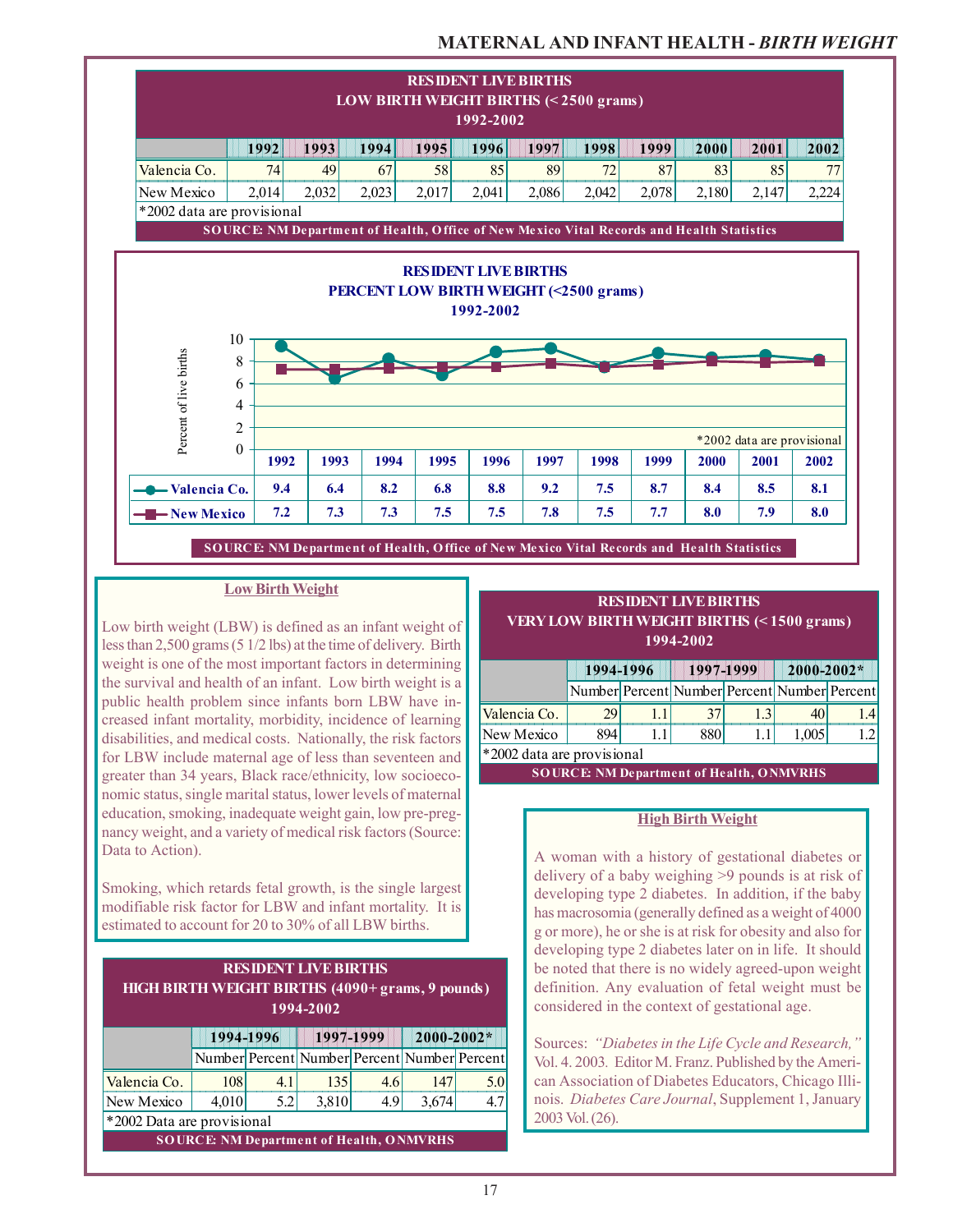# **MATERNAL AND INFANT HEALTH -** *BIRTH WEIGHT*



#### **Low Birth Weight**

Low birth weight (LBW) is defined as an infant weight of less than 2,500 grams (5 1/2 lbs) at the time of delivery. Birth weight is one of the most important factors in determining the survival and health of an infant. Low birth weight is a public health problem since infants born LBW have increased infant mortality, morbidity, incidence of learning disabilities, and medical costs. Nationally, the risk factors for LBW include maternal age of less than seventeen and greater than 34 years, Black race/ethnicity, low socioeconomic status, single marital status, lower levels of maternal education, smoking, inadequate weight gain, low pre-pregnancy weight, and a variety of medical risk factors (Source: Data to Action).

Smoking, which retards fetal growth, is the single largest modifiable risk factor for LBW and infant mortality. It is estimated to account for 20 to 30% of all LBW births.

### **RESIDENT LIVE BIRTHS HIGH BIRTH WEIGHT BIRTHS (4090+ grams, 9 pounds) 1994-2002**

|                                                 |       | 1994-1996 | 1997-1999                                    |     | 2000-2002* |     |  |
|-------------------------------------------------|-------|-----------|----------------------------------------------|-----|------------|-----|--|
|                                                 |       |           | Number Percent Number Percent Number Percent |     |            |     |  |
| Valencia Co.                                    | 108   | 41        | 135                                          | 4.6 | <b>147</b> | 5.0 |  |
| New Mexico                                      | 4,010 | 5.2       | 3,810                                        | 4.9 | 3,674      | 4.7 |  |
| *2002 Data are provisional                      |       |           |                                              |     |            |     |  |
| <b>SOURCE: NM Department of Health, ONMVRHS</b> |       |           |                                              |     |            |     |  |

#### **RESIDENT LIVE BIRTHS VERY LOW BIRTH WEIGHT BIRTHS (< 1500 grams) 1994-2002**

|                            | 1994-1996                                    |  | 1997-1999 |  | $2000 - 2002*$ |  |  |
|----------------------------|----------------------------------------------|--|-----------|--|----------------|--|--|
|                            | Number Percent Number Percent Number Percent |  |           |  |                |  |  |
| Valencia Co.               | 29                                           |  | 37        |  |                |  |  |
| New Mexico                 | 894                                          |  | 880       |  | 1,005          |  |  |
| *2002 data are provisional |                                              |  |           |  |                |  |  |

**SOURCE: NM Department of Health, ONMVRHS**

### **High Birth Weight**

A woman with a history of gestational diabetes or delivery of a baby weighing >9 pounds is at risk of developing type 2 diabetes. In addition, if the baby has macrosomia (generally defined as a weight of 4000 g or more), he or she is at risk for obesity and also for developing type 2 diabetes later on in life. It should be noted that there is no widely agreed-upon weight definition. Any evaluation of fetal weight must be considered in the context of gestational age.

Sources: *"Diabetes in the Life Cycle and Research,"* Vol. 4. 2003*.* Editor M. Franz. Published by the American Association of Diabetes Educators, Chicago Illinois. *Diabetes Care Journal*, Supplement 1, January 2003 Vol. (26).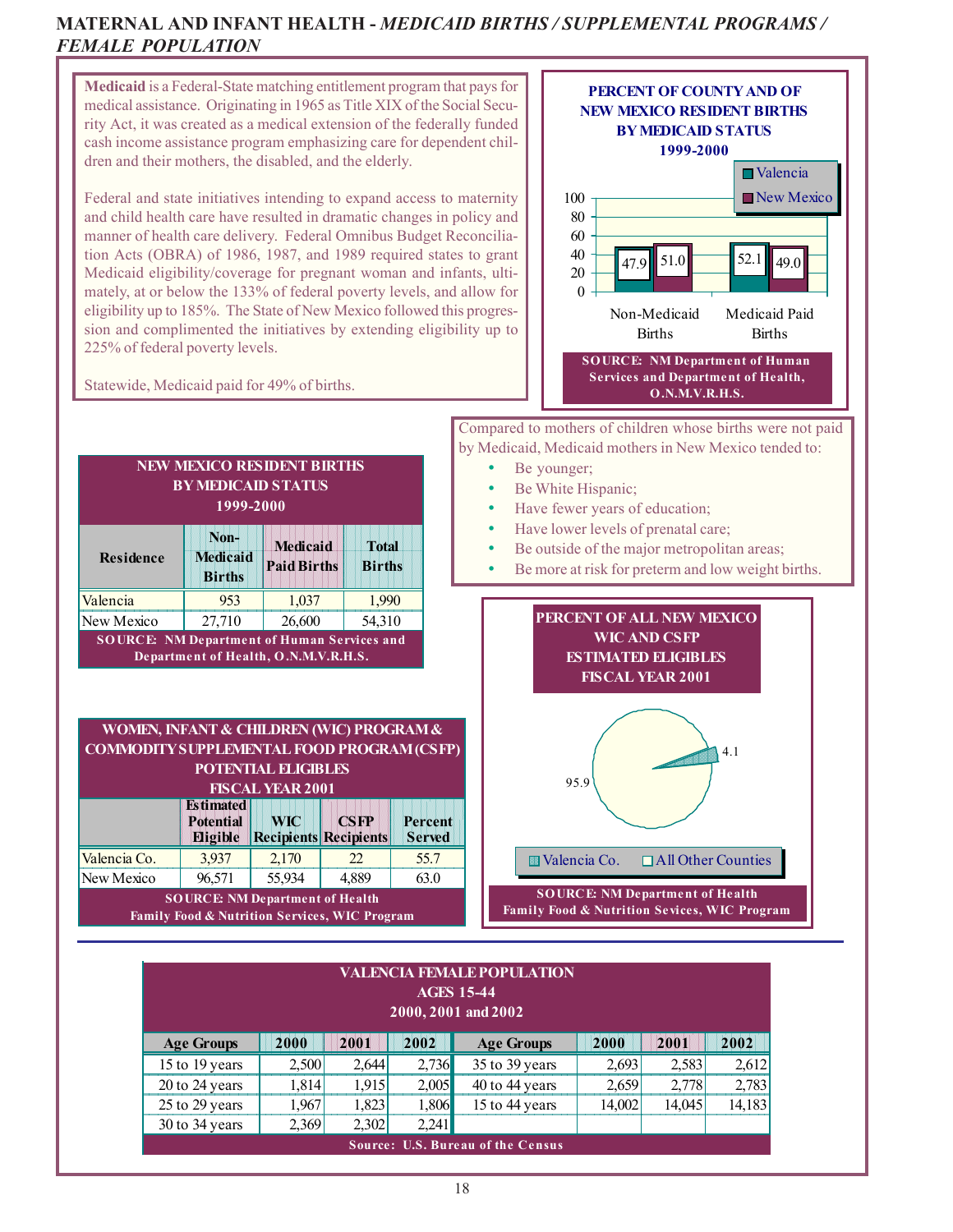### **MATERNAL AND INFANT HEALTH -** *MEDICAID BIRTHS / SUPPLEMENTAL PROGRAMS / FEMALE POPULATION*



| <b>Age Groups</b>                        | 2000   | 2001  | 2002  | <b>Age Groups</b>  | 2000   | 2001   | 2002   |  |
|------------------------------------------|--------|-------|-------|--------------------|--------|--------|--------|--|
| 15 to 19 years                           | 2.500  | 2.644 | 2,736 | $35$ to 39 years   | 2.693  | 2.583  | 2.612  |  |
| 20 to 24 years                           | 1.8141 | 1.915 | 2.005 | $40$ to $44$ vears | 2.659  | 2,778  | 2,783  |  |
| 25 to 29 years                           | .967'  | 1,823 | 1.806 | 15 to 44 years     | 14.002 | 14.045 | 14,183 |  |
| $30$ to 34 years                         | 2.369  | 2.302 | 2.241 |                    |        |        |        |  |
| <b>Source: U.S. Bureau of the Census</b> |        |       |       |                    |        |        |        |  |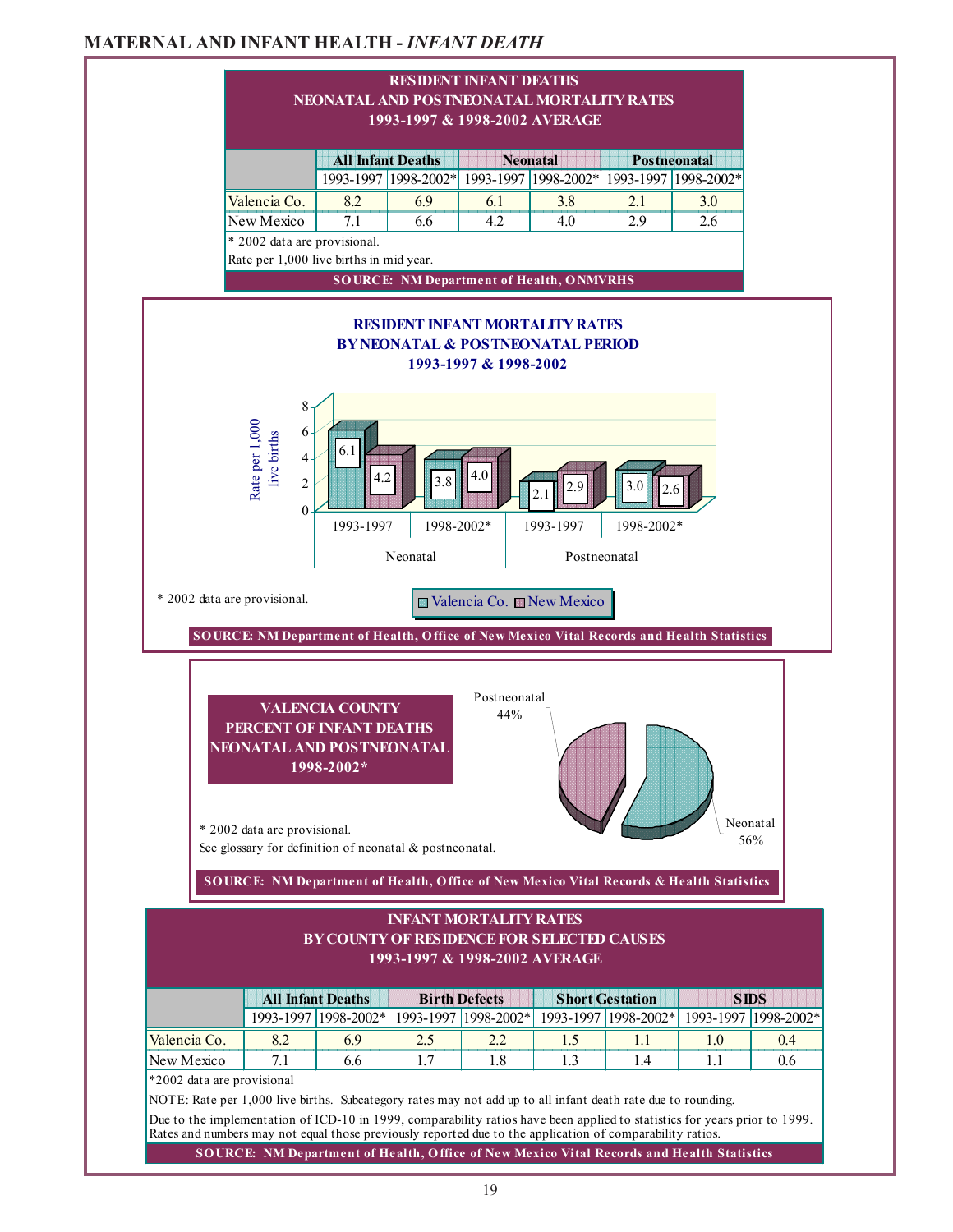### **MATERNAL AND INFANT HEALTH -** *INFANT DEATH*

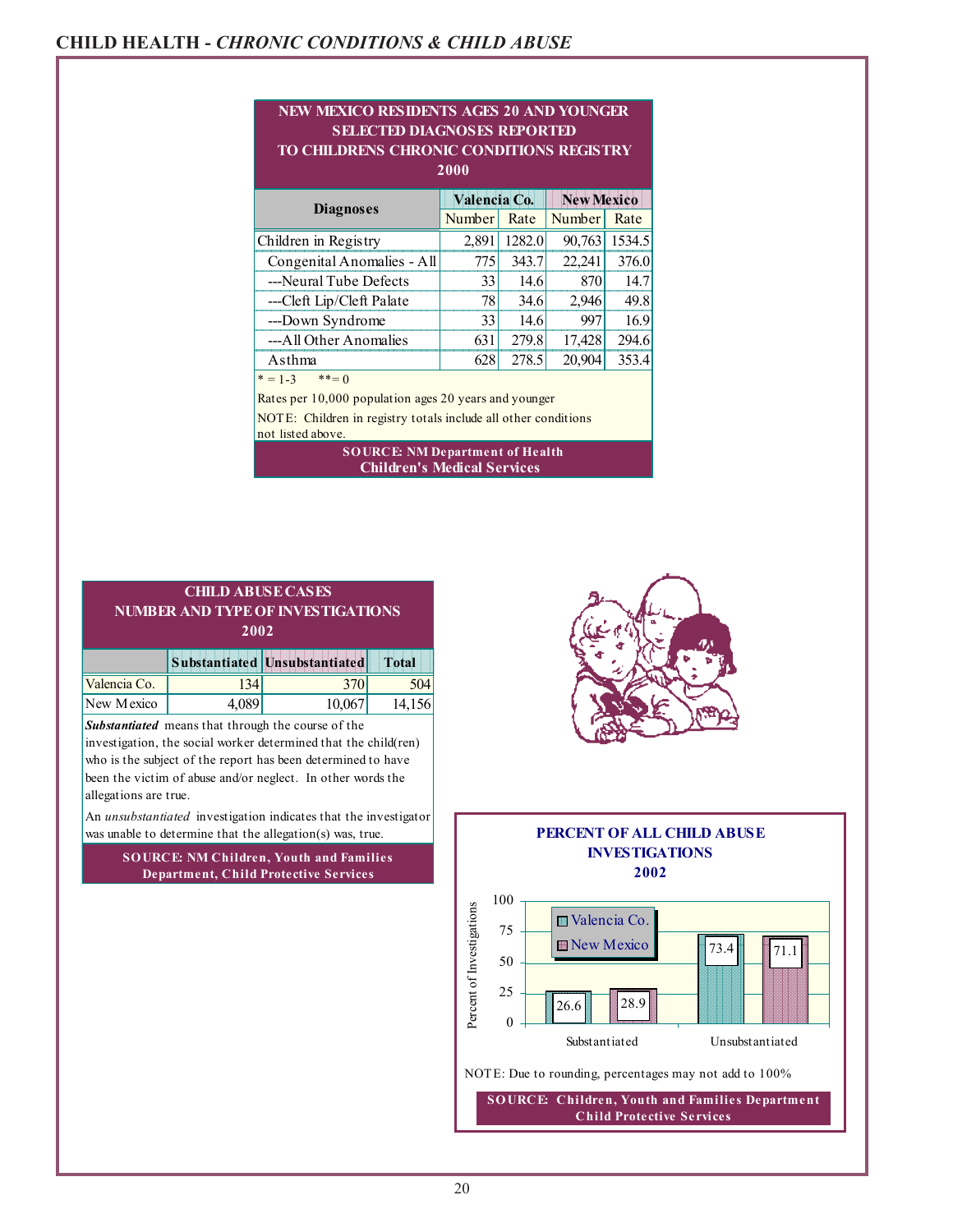### **CHILD HEALTH -** *CHRONIC CONDITIONS & CHILD ABUSE*

#### **2000** and the state of the state of the state of the state of the state of the state of the state of the state of th Number Rate Number Rate **NEW MEXICO RESIDENTS AGES 20 AND YOUNGER SELECTED DIAGNOSES REPORTED TO CHILDRENS CHRONIC CONDITIONS REGISTRY Diagnoses Valencia Co. New Mexico**

|                            | Number | Rate   | Number | Rate   |
|----------------------------|--------|--------|--------|--------|
| Children in Registry       | 2,891  | 1282.0 | 90,763 | 1534.5 |
| Congenital Anomalies - All | 775    | 343.7  | 22,241 | 376.0  |
| ---Neural Tube Defects     | 33     | 14.6   | 870    | 14.7   |
| ---Cleft Lip/Cleft Palate  | 78     | 34.6   | 2,946  | 49.8   |
| ---Down Syndrome           | 33     | 14.6   | 997    | 16.9   |
| ---All Other Anomalies     | 631    | 279.8  | 17,428 | 294.6  |
| Asthma                     | 628    | 278.5  | 20,904 | 353.4  |
| $* = 1 - 3$<br>$***=0$     |        |        |        |        |

Rates per 10,000 population ages 20 years and younger

not listed above. NOTE: Children in registry totals include all other conditions

#### **Children's Medical Services SOURCE: NM Department of Health**

|                                          | <b>CHILD ABUSE CASES</b> |  |  |  |  |  |  |
|------------------------------------------|--------------------------|--|--|--|--|--|--|
| <b>NUMBER AND TYPE OF INVESTIGATIONS</b> |                          |  |  |  |  |  |  |
|                                          | 2002                     |  |  |  |  |  |  |
| Substantiated Unsubstantiated<br>Total   |                          |  |  |  |  |  |  |
| Valencis Co                              |                          |  |  |  |  |  |  |

| Valencia Co. | 34     |                                                            | 504    |
|--------------|--------|------------------------------------------------------------|--------|
| New Mexico   | 4.0891 | 10,067                                                     | 14,156 |
|              |        | Carl according at more and that the said the common of the |        |

*Substantiated* means that through the course of the

investigation, the social worker determined that the child(ren) who is the subject of the report has been determined to have been the victim of abuse and/or neglect. In other words the allegations are true.

An *unsubstantiated* investigation indicates that the investigator was unable to determine that the allegation(s) was, true.

> **SOURCE: NM Children, Youth and Families Department, Child Protective Services**





**SO URCE: Children, Youth and Families Department Child Protective Services**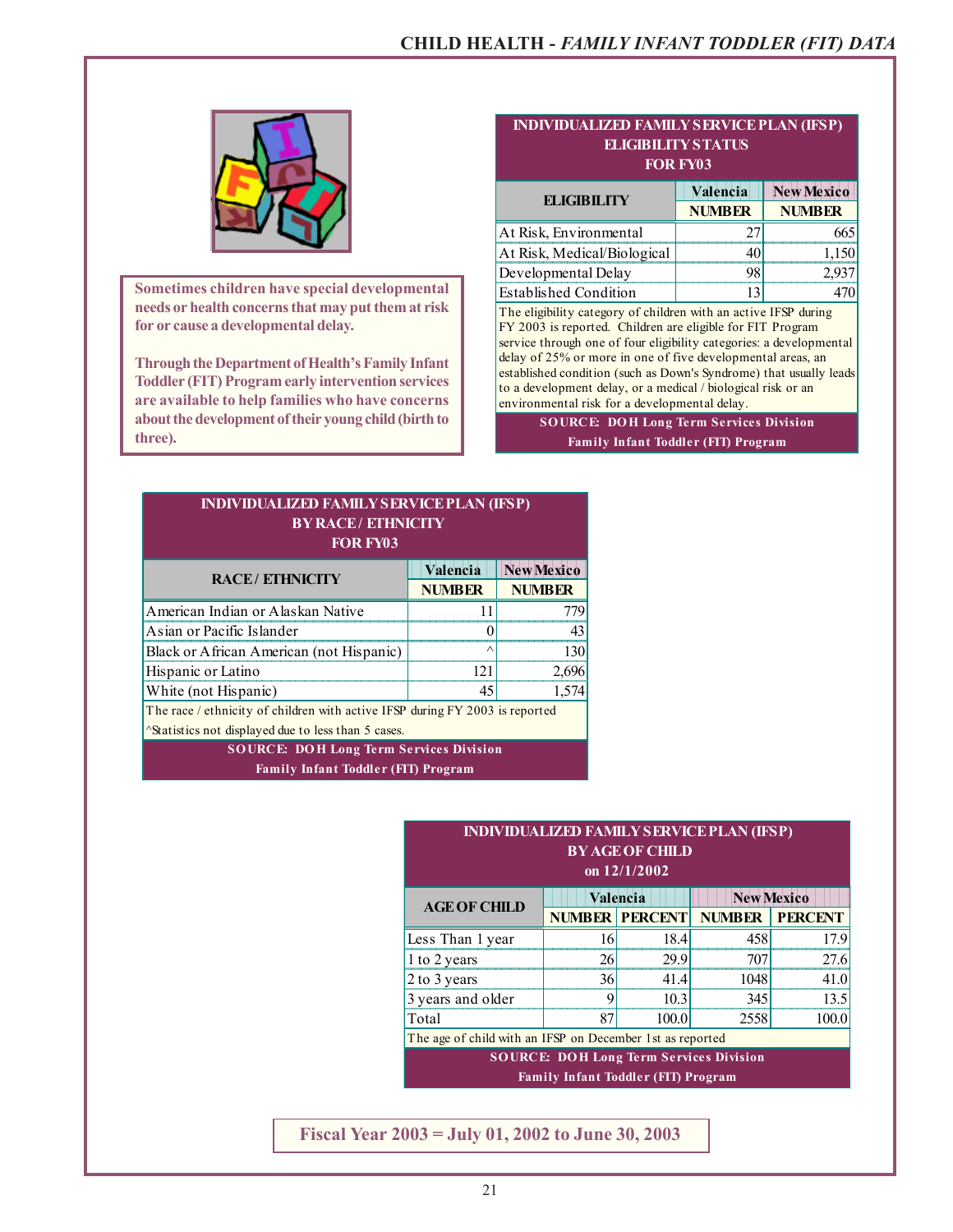

**Sometimes children have special developmental needs or health concerns that may put them at risk for or cause a developmental delay.**

**Through the Department of Health's Family Infant Toddler (FIT) Program early intervention services are available to help families who have concerns about the development of their young child (birth to three).**

| <b>ELIGIBILITY STATUS</b><br><b>FOR FY03</b>                                                                                                                                                                                                                                                                                                                                                                                                               |               |                   |  |  |  |  |  |
|------------------------------------------------------------------------------------------------------------------------------------------------------------------------------------------------------------------------------------------------------------------------------------------------------------------------------------------------------------------------------------------------------------------------------------------------------------|---------------|-------------------|--|--|--|--|--|
| <b>ELIGIBILITY</b>                                                                                                                                                                                                                                                                                                                                                                                                                                         | Valencia      | <b>New Mexico</b> |  |  |  |  |  |
|                                                                                                                                                                                                                                                                                                                                                                                                                                                            | <b>NUMBER</b> | <b>NUMBER</b>     |  |  |  |  |  |
| At Risk, Environmental                                                                                                                                                                                                                                                                                                                                                                                                                                     | 27            | 665               |  |  |  |  |  |
| At Risk, Medical/Biological                                                                                                                                                                                                                                                                                                                                                                                                                                | 40            | 1,150             |  |  |  |  |  |
| Developmental Delay                                                                                                                                                                                                                                                                                                                                                                                                                                        | 98            | 2,937             |  |  |  |  |  |
| <b>Established Condition</b>                                                                                                                                                                                                                                                                                                                                                                                                                               | 13            | 470               |  |  |  |  |  |
| The eligibility category of children with an active IFSP during<br>FY 2003 is reported. Children are eligible for FIT Program<br>service through one of four eligibility categories: a developmental<br>delay of 25% or more in one of five developmental areas, an<br>established condition (such as Down's Syndrome) that usually leads<br>to a development delay, or a medical / biological risk or an<br>environmental risk for a developmental delay. |               |                   |  |  |  |  |  |
| <b>SOURCE: DOH Long Term Services Division</b>                                                                                                                                                                                                                                                                                                                                                                                                             |               |                   |  |  |  |  |  |
| <b>Family Infant Toddler (FIT) Program</b>                                                                                                                                                                                                                                                                                                                                                                                                                 |               |                   |  |  |  |  |  |

**INDIVIDUALIZED FAMILY SERVICE PLAN (IFSP)**

| <b>INDIVIDUALIZED FAMILY SERVICE PLAN (IFSP)</b><br><b>BY RACE/ ETHNICITY</b><br><b>FOR FY03</b> |               |               |  |  |  |  |  |
|--------------------------------------------------------------------------------------------------|---------------|---------------|--|--|--|--|--|
| <b>New Mexico</b><br>Valencia<br><b>RACE/ETHNICITY</b>                                           |               |               |  |  |  |  |  |
|                                                                                                  | <b>NUMBER</b> | <b>NUMBER</b> |  |  |  |  |  |
| American Indian or Alaskan Native                                                                | 11            | 779           |  |  |  |  |  |
| Asian or Pacific Islander                                                                        | 0             | 43            |  |  |  |  |  |
| Black or African American (not Hispanic)                                                         | $\wedge$      | 130           |  |  |  |  |  |
| Hispanic or Latino                                                                               | 121           | 2,696         |  |  |  |  |  |
| 1,574<br>White (not Hispanic)<br>45                                                              |               |               |  |  |  |  |  |
| The race / ethnicity of children with active IFSP during FY 2003 is reported                     |               |               |  |  |  |  |  |
| <i><u>Asternatives not displayed due to less than 5 cases.</u></i>                               |               |               |  |  |  |  |  |
| <b>SOURCE: DOH Long Term Services Division</b>                                                   |               |               |  |  |  |  |  |

**Family Infant Toddler (FIT) Program**

| <b>INDIVIDUALIZED FAMILY SERVICE PLAN (IFSP)</b><br><b>BY AGE OF CHILD</b><br>on 12/1/2002   |                               |                       |               |                |  |  |  |  |
|----------------------------------------------------------------------------------------------|-------------------------------|-----------------------|---------------|----------------|--|--|--|--|
| <b>AGE OF CHILD</b>                                                                          | <b>New Mexico</b><br>Valencia |                       |               |                |  |  |  |  |
|                                                                                              |                               | <b>NUMBER PERCENT</b> | <b>NUMBER</b> | <b>PERCENT</b> |  |  |  |  |
| Less Than 1 year                                                                             | 16                            | 18.4                  | 458           | 17.9           |  |  |  |  |
| 1 to 2 years                                                                                 | 26                            | 29.9                  | 707           | 27.6           |  |  |  |  |
| 2 to 3 years                                                                                 | 36                            | 41.4                  | 1048          | 41.0           |  |  |  |  |
| 3 years and older                                                                            | 9                             | 10.3                  | 345           | 13.5           |  |  |  |  |
| Total                                                                                        | 87                            | 100.0                 | 2558          | 100.0          |  |  |  |  |
| The age of child with an IFSP on December 1st as reported                                    |                               |                       |               |                |  |  |  |  |
| <b>SOURCE: DOH Long Term Services Division</b><br><b>Family Infant Toddler (FIT) Program</b> |                               |                       |               |                |  |  |  |  |

**Fiscal Year 2003 = July 01, 2002 to June 30, 2003**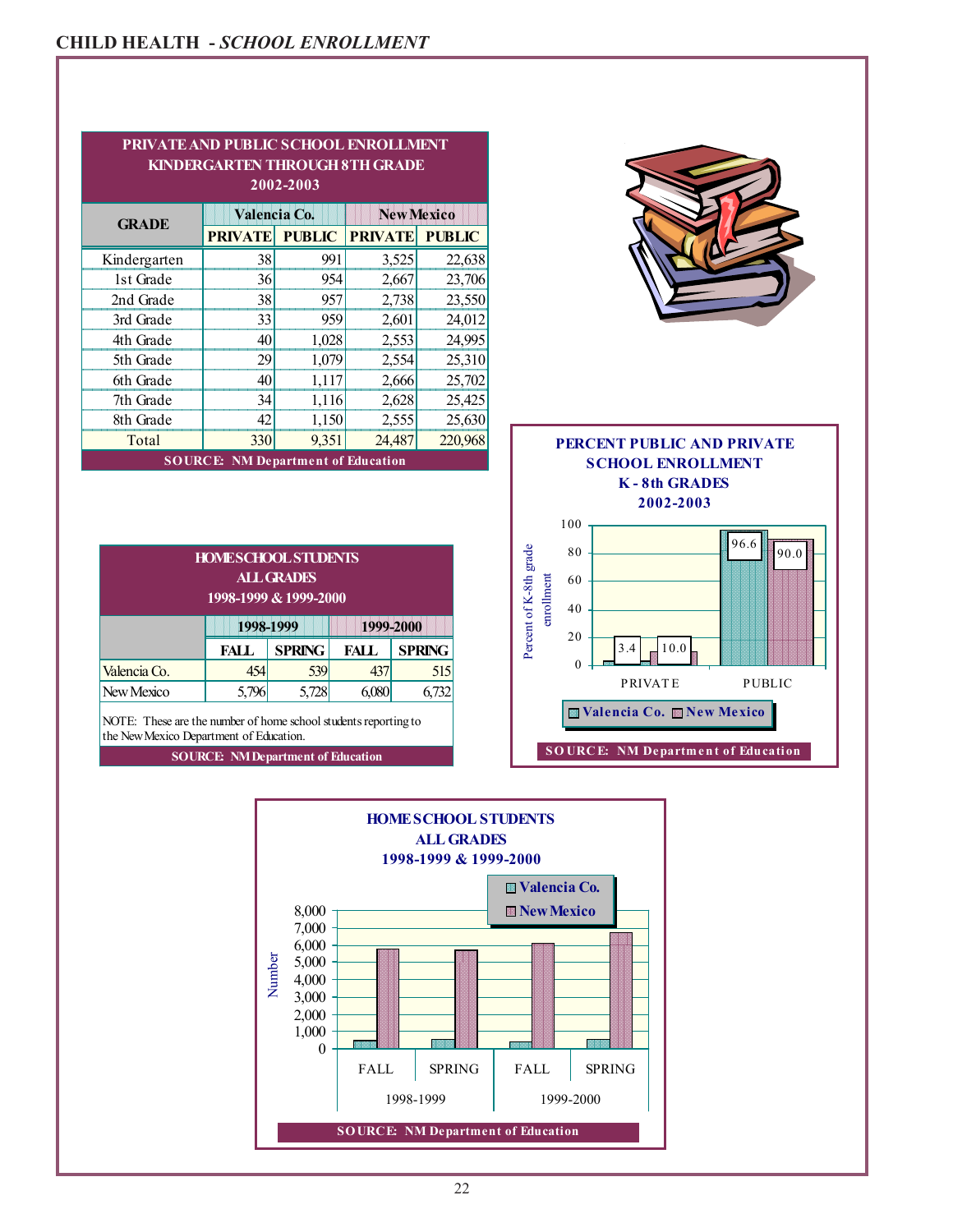|              |                                           | 2002-2003     |                   |               |                            |
|--------------|-------------------------------------------|---------------|-------------------|---------------|----------------------------|
| <b>GRADE</b> | Valencia Co.                              |               | <b>New Mexico</b> |               |                            |
|              | <b>PRIVATE</b>                            | <b>PUBLIC</b> | <b>PRIVATE</b>    | <b>PUBLIC</b> |                            |
| Kindergarten | 38                                        | 991           | 3,525             | 22,638        |                            |
| 1st Grade    | 36                                        | 954           | 2,667             | 23,706        |                            |
| 2nd Grade    | 38                                        | 957           | 2,738             | 23,550        |                            |
| 3rd Grade    | 33                                        | 959           | 2,601             | 24,012        |                            |
| 4th Grade    | 40                                        | 1,028         | 2,553             | 24,995        |                            |
| 5th Grade    | 29                                        | 1,079         | 2,554             | 25,310        |                            |
| 6th Grade    | 40                                        | 1,117         | 2,666             | 25,702        |                            |
| 7th Grade    | 34                                        | 1,116         | 2,628             | 25,425        |                            |
| 8th Grade    | 42                                        | 1,150         | 2,555             | 25,630        |                            |
| Total        | 330                                       | 9,351         | 24,487            | 220,968       | PERCENT PUBLIC AND PRIVATE |
|              | <b>SOURCE: NM Department of Education</b> |               |                   |               | <b>SCHOOL ENROLLMENT</b>   |
|              |                                           |               |                   |               | <b>K-8th GRADES</b>        |
|              |                                           |               |                   |               | 2002-2003                  |

| <b>HOMESCHOOL STUDENTS</b><br><b>ALL GRADES</b><br>1998-1999 & 1999-2000 |       |                        |       |               |  |  |
|--------------------------------------------------------------------------|-------|------------------------|-------|---------------|--|--|
|                                                                          |       | 1998-1999<br>1999-2000 |       |               |  |  |
|                                                                          | FALL  | <b>SPRING</b>          | FALL. | <b>SPRING</b> |  |  |
| Valencia Co.                                                             | 454   | 539                    | 437   | 515           |  |  |
| New Mexico                                                               | 5,796 | 5,728                  |       | 6,732         |  |  |

the New Mexico Department of Education. NOTE: These are the number of home school students reporting to

**SOURCE: NM Department of Education**



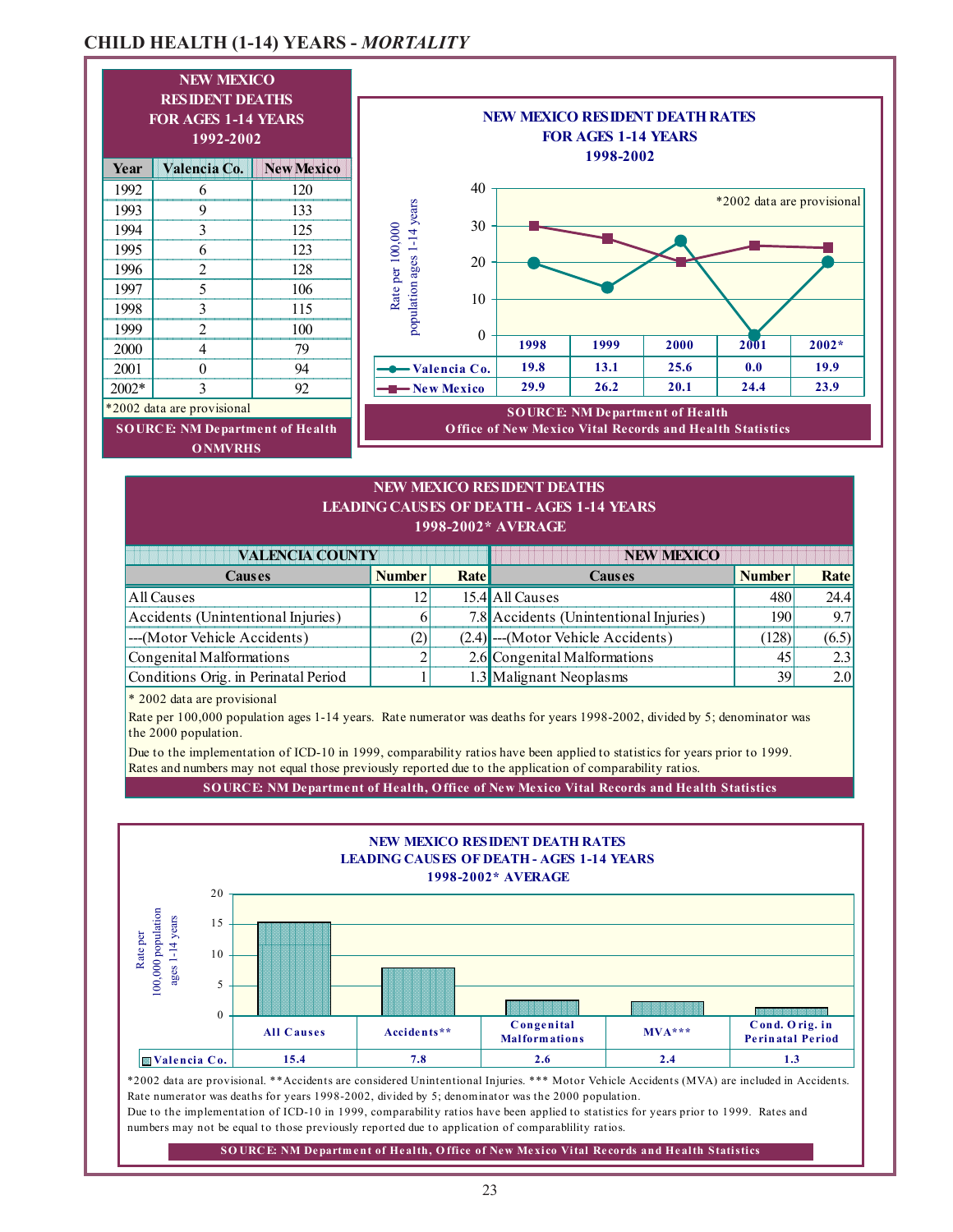### **CHILD HEALTH (1-14) YEARS -** *MORTALITY*



### **1998-2002\* AVERAGE NEW MEXICO RESIDENT DEATHS LEADING CAUSES OF DEATH - AGES 1-14 YEARS**

| <b>VALENCIA COUNTY</b>               |               |       | <b>NEW MEXICO</b>                      |               |       |
|--------------------------------------|---------------|-------|----------------------------------------|---------------|-------|
| <b>Causes</b>                        | <b>Number</b> | Ratel | <b>Causes</b>                          | <b>Number</b> | Rate  |
| All Causes                           | 12            |       | 15.4 All Causes                        | 480           | 24.4  |
| Accidents (Unintentional Injuries)   |               |       | 7.8 Accidents (Unintentional Injuries) | <b>190</b>    | 9.7   |
| ---(Motor Vehicle Accidents)         | 2)            |       | $(2.4)$ ---(Motor Vehicle Accidents)   | (128)         | (6.5) |
| Congenital Malformations             |               |       | 2.6 Congenital Malformations           |               |       |
| Conditions Orig. in Perinatal Period |               |       | 1.3 Malignant Neoplasms                | 39            | 2.0I  |

\* 2002 data are provisional

the 2000 population. Rate per 100,000 population ages 1-14 years. Rate numerator was deaths for years 1998-2002, divided by 5; denominator was

Rates and numbers may not equal those previously reported due to the application of comparability ratios. Due to the implementation of ICD-10 in 1999, comparability ratios have been applied to statistics for years prior to 1999.

**SOURCE: NM Department of Health, Office of New Mexico Vital Records and Health Statistics**



Due to the implementation of ICD-10 in 1999, comparability ratios have been applied to statistics for years prior to 1999. Rates and numbers may not be equal to those previously reported due to application of comparablility ratios.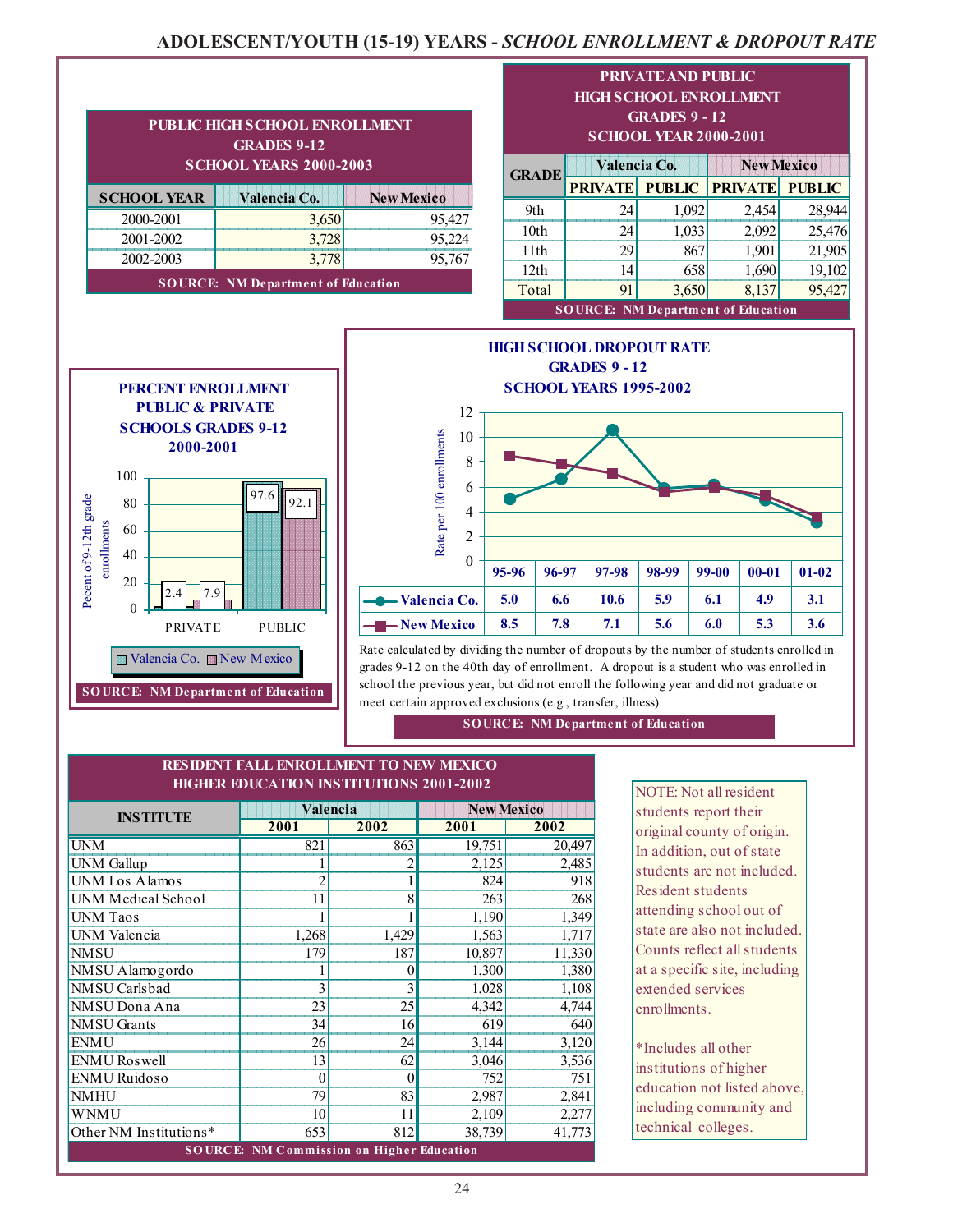### **ADOLESCENT/YOUTH (15-19) YEARS -** *SCHOOL ENROLLMENT & DROPOUT RATE*

| PUBLIC HIGH SCHOOL ENROLLMENT<br><b>GRADES 9-12</b><br><b>SCHOOL YEARS 2000-2003</b> |       |        |  |  |  |
|--------------------------------------------------------------------------------------|-------|--------|--|--|--|
| <b>SCHOOL YEAR</b><br>Valencia Co.<br><b>New Mexico</b>                              |       |        |  |  |  |
| 2000-2001                                                                            | 3,650 | 95,427 |  |  |  |
| 2001-2002                                                                            | 3,728 |        |  |  |  |
| 2002-2003<br>3,778<br>95,76                                                          |       |        |  |  |  |
| <b>SOURCE: NM Department of Education</b>                                            |       |        |  |  |  |

 97.6 **Concrete Processible**  *ENGINEERS SCHOOLS* 

  $97.6$  92.1 **A REPORT OF A RIVER STATE A REPORT OF A RIVER STATE A REPORT OF A RIVER STATE** 1012000000001201 **A REPORT OF A RIVER STATE** 

and the contract of the contract of

Pecent of 9-12th grade enrollments

Pecent of 9-12th grade enrollments

 **Contract Contract Contract Contract Contract Contract Contract Contract Contract Contract Contract Contract Contract Contract Contract Contract Contract Contract Contract Contract Contract Contract Contract Contract Contr** 

**New Mexico** Valencia Co. **New Mexico** 

**SO URCE: NM Department of Education**

PRIVATE PUBLIC

 $2.4$  7.9

**PERCENT ENROLLMENT PUBLIC & PRIVATE SCHOOLS GRADES 9-12 2000-2001**



| <b>GRADE</b>                              | Valencia Co.   |               | <b>New Mexico</b> |               |  |
|-------------------------------------------|----------------|---------------|-------------------|---------------|--|
|                                           | <b>PRIVATE</b> | <b>PUBLIC</b> | <b>PRIVATE</b>    | <b>PUBLIC</b> |  |
| 9th                                       | 24             | 1,092         | 2,454             | 28,944        |  |
| 10 <sub>th</sub>                          | 24             | 1,033         | 2,092             | 25,476        |  |
| 11th                                      | 29             | 867           | 1,901             | 21,905        |  |
| 12th                                      | 14             | 658           | 1,690             | 19,102        |  |
| Total                                     | 91             | 3,650         | 8,137             | 95,427        |  |
| <b>SOURCE: NM Department of Education</b> |                |               |                   |               |  |

**HIGH SCHOOL DROPOUT RATE GRADES 9 - 12 SCHOOL YEARS 1995-2002** 12 Rate per 100 enrollments 10 Rate per 100 enrollments 8 6 4 2  $\theta$ **95-96 96-97 97-98 98-99 99-00 00-01 01-02 Valencia Co. 5.0 6.6 10.6 5.9 6.1 4.9 3.1 New Mexico** 8.5 7.8 7.1 5.6 6.0 5.3 3.6

Rate calculated by dividing the number of dropouts by the number of students enrolled in grades 9-12 on the 40th day of enrollment. A dropout is a student who was enrolled in school the previous year, but did not enroll the following year and did not graduate or meet certain approved exclusions (e.g., transfer, illness).

**SOURCE: NM Department of Education**

#### **HIGHER EDUCATION INSTITUTIONS 2001-2002 RESIDENT FALL ENROLLMENT TO NEW MEXICO**

| <b>INSTITUTE</b>          |                                                  | Valencia | <b>New Mexico</b> |        |  |
|---------------------------|--------------------------------------------------|----------|-------------------|--------|--|
|                           | 2001                                             | 2002     | 2001              | 2002   |  |
| <b>UNM</b>                | 821                                              | 863      | 19,751            | 20,497 |  |
| <b>UNM</b> Gallup         |                                                  | 2        | 2,125             | 2,485  |  |
| <b>UNM</b> Los Alamos     | $\overline{2}$                                   |          | 824               | 918    |  |
| <b>UNM Medical School</b> | 11                                               | 8        | 263               | 268    |  |
| <b>UNM</b> Taos           |                                                  |          | 1,190             | 1,349  |  |
| UNM Valencia              | 1,268                                            | 1,429    | 1,563             | 1,717  |  |
| <b>NMSU</b>               | 179                                              | 187      | 10,897            | 11,330 |  |
| NMSU Alamogordo           |                                                  | $\theta$ | 1,300             | 1,380  |  |
| NMSU Carlsbad             | 3                                                | 3        | 1,028             | 1,108  |  |
| NMSU Dona Ana             | 23                                               | 25       | 4,342             | 4,744  |  |
| <b>NMSU</b> Grants        | 34                                               | 16       | 619               | 640    |  |
| <b>ENMU</b>               | 26                                               | 24       | 3,144             | 3,120  |  |
| <b>ENMU</b> Roswell       | 13                                               | 62       | 3,046             | 3,536  |  |
| <b>ENMU</b> Ruidoso       | $\theta$                                         | $\theta$ | 752               | 751    |  |
| <b>NMHU</b>               | 79                                               | 83       | 2,987             | 2,841  |  |
| <b>WNMU</b>               | 10                                               | 11       | 2,109             | 2,277  |  |
| Other NM Institutions*    | 653                                              | 812      | 38,739            | 41,773 |  |
|                           | <b>SOURCE: NM Commission on Higher Education</b> |          |                   |        |  |

NOTE: Not all resident students report their original county of origin. In addition, out of state students are not included. Resident students attending school out of state are also not included. Counts reflect all students at a specific site, including extended services enrollments.

\*Includes all other institutions of higher education not listed above, including community and technical colleges.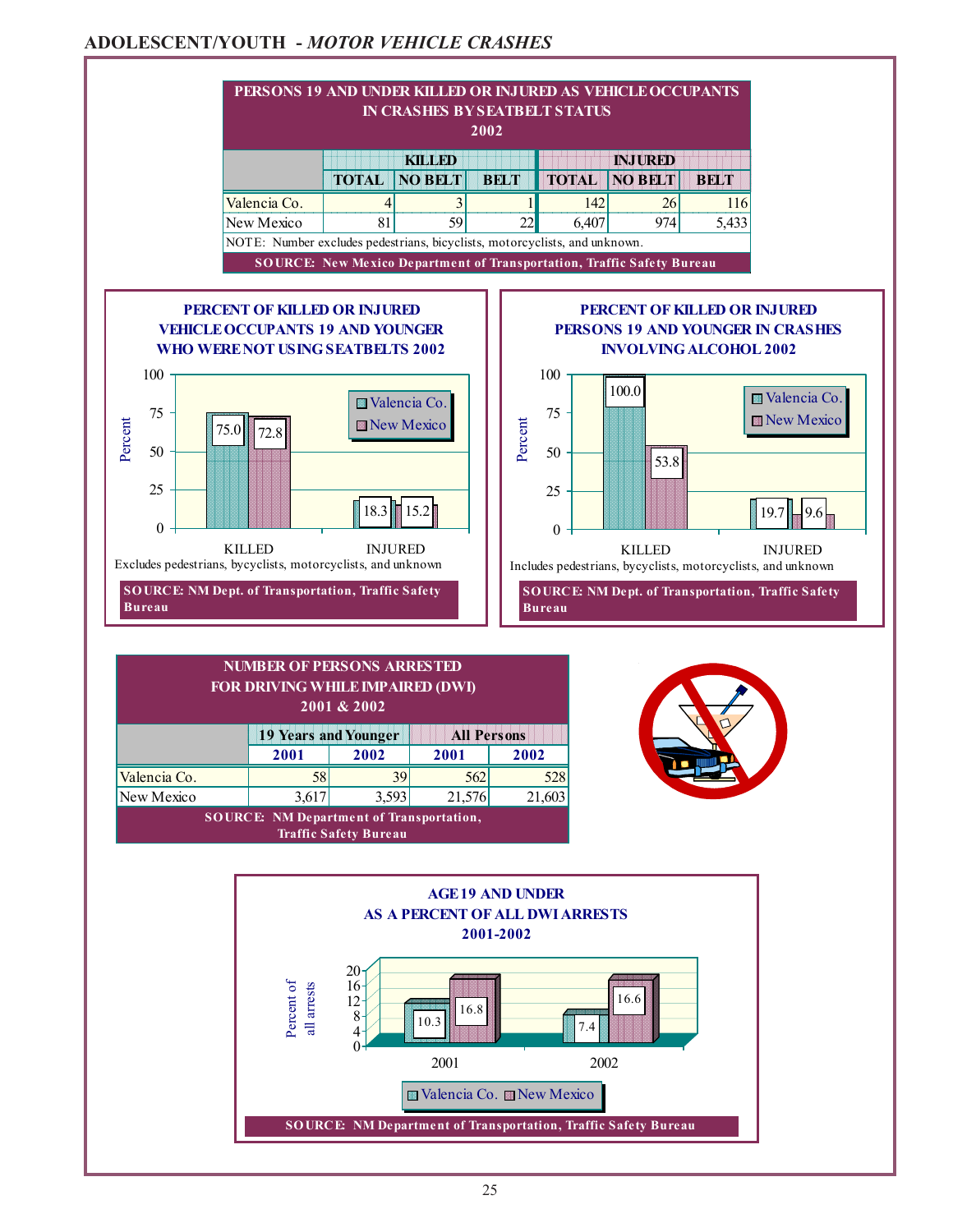### **ADOLESCENT/YOUTH -** *MOTOR VEHICLE CRASHES*

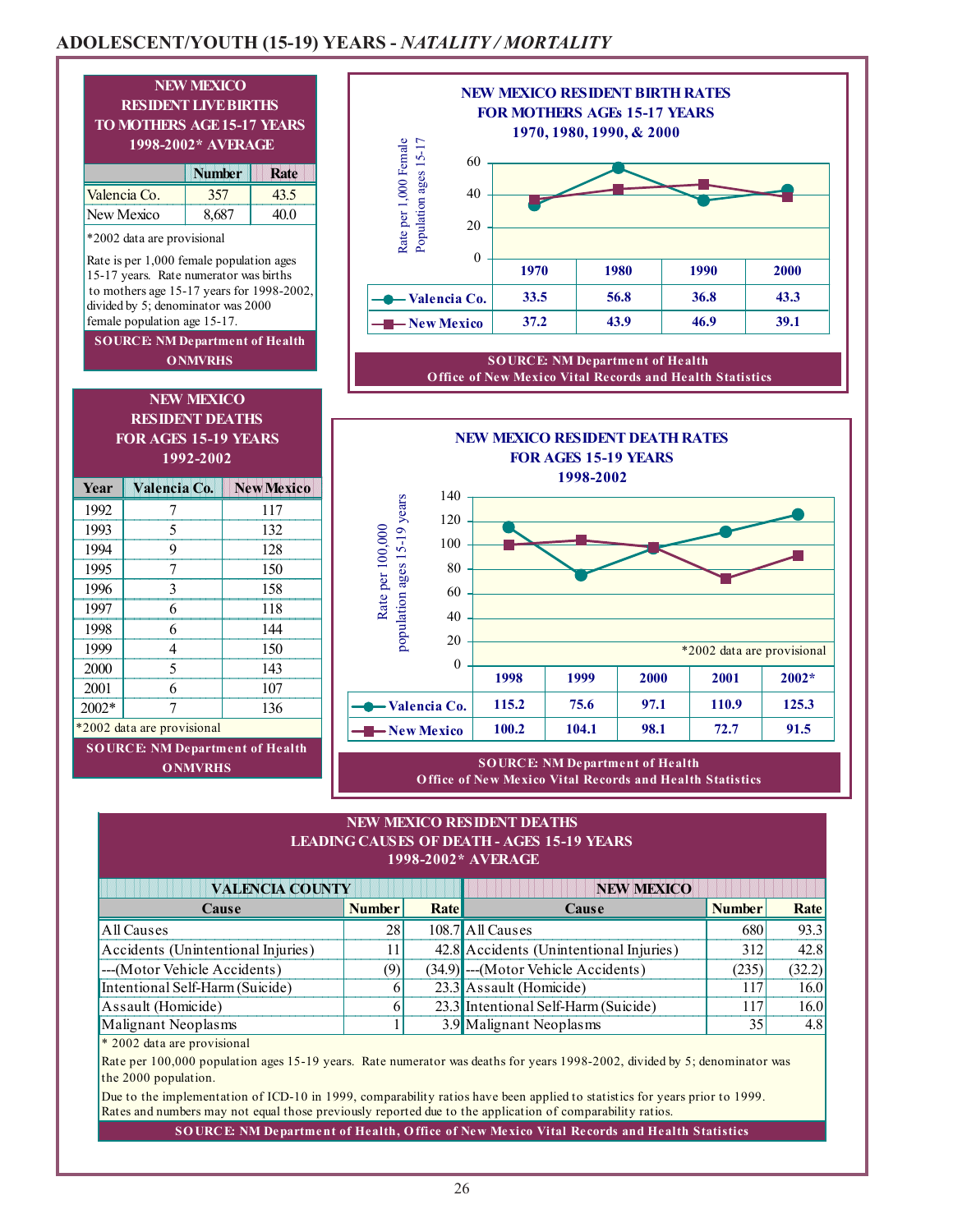## **ADOLESCENT/YOUTH (15-19) YEARS -** *NATALITY / MORTALITY*





 **Office of New Mexico Vital Records and Health Statistics**



**SOURCE: NM Department of Health O ffice of New Mexico Vital Records and Health Statistics**

,他们的人们就是一个人的人,他们的人们都是一个人的人,他们的人们都是一个人的人,他们的人们都是一个人的人,他们的人们都是一个人的人,他们的人们都是一个人的人,他们

#### **NEW MEXICO RESIDENT DEATHS LEADING CAUSES OF DEATH - AGES 15-19 YEARS 1998-2002\* AVERAGE**

| <b>VALENCIA COUNTY</b>             |               | <b>NEW MEXICO</b> |                                         |               |        |
|------------------------------------|---------------|-------------------|-----------------------------------------|---------------|--------|
| <b>Cause</b>                       | <b>Number</b> | <b>Rate</b>       | Cause                                   | <b>Number</b> | Rate   |
| All Causes                         | 28            |                   | 108.7 All Causes                        | 680           | 93.3   |
| Accidents (Unintentional Injuries) |               |                   | 42.8 Accidents (Unintentional Injuries) | 312           | 42.8   |
| ---(Motor Vehicle Accidents)       | (9)           |                   | (34.9) --- (Motor Vehicle Accidents)    | (235)         | (32.2) |
| Intentional Self-Harm (Suicide)    |               |                   | 23.3 Assault (Homicide)                 | 117           | 16.0   |
| Assault (Homicide)                 |               |                   | 23.3 Intentional Self-Harm (Suicide)    | 117           | 16.0   |
| Malignant Neoplasms                |               |                   | 3.9 Malignant Neoplasms                 | 35            | 4.8    |

\* 2002 data are provisional

Rate per 100,000 population ages 15-19 years. Rate numerator was deaths for years 1998-2002, divided by 5; denominator was the 2000 population.

Due to the implementation of ICD-10 in 1999, comparability ratios have been applied to statistics for years prior to 1999. Rates and numbers may not equal those previously reported due to the application of comparability ratios.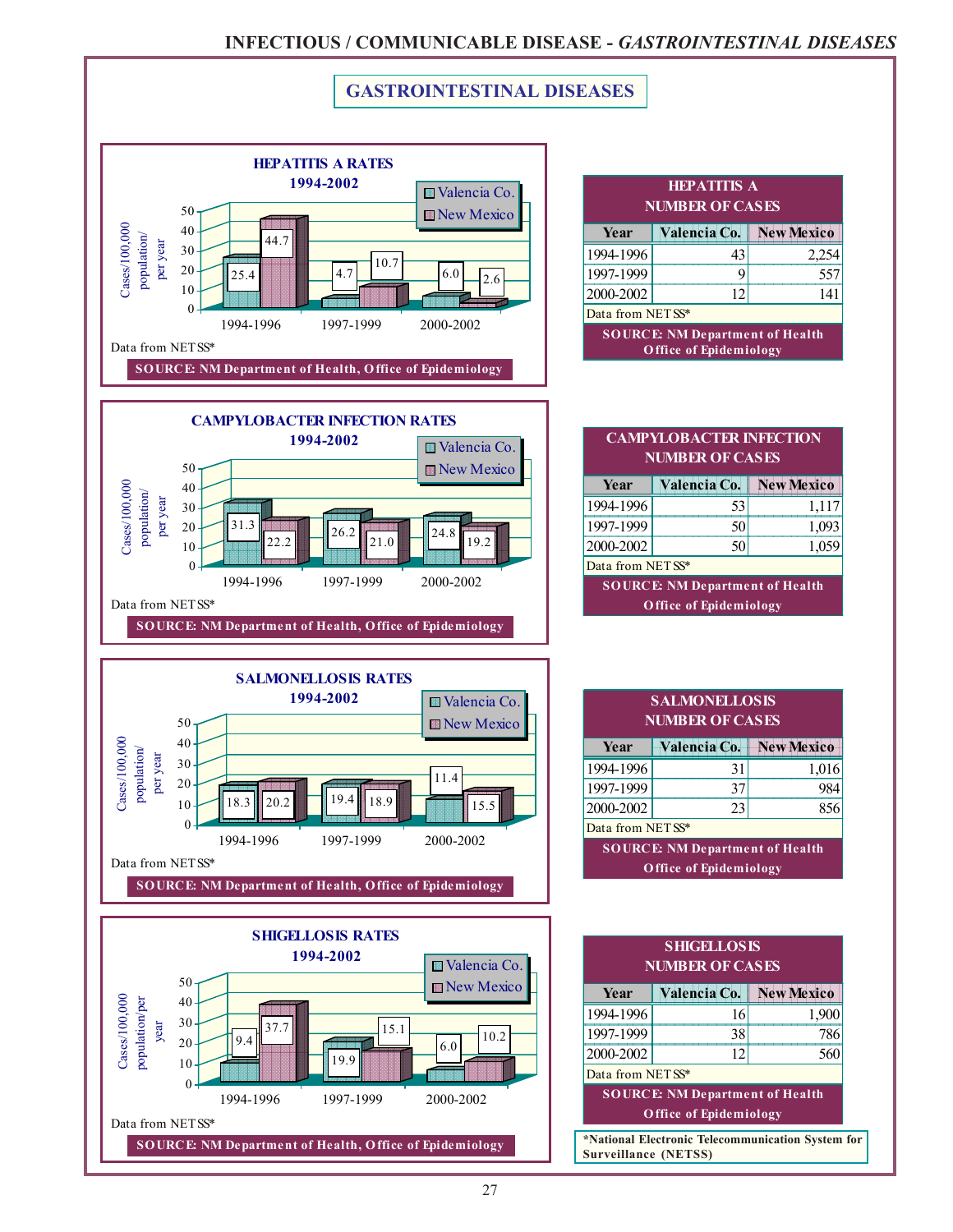### **INFECTIOUS / COMMUNICABLE DISEASE -** *GASTROINTESTINAL DISEASES*

557



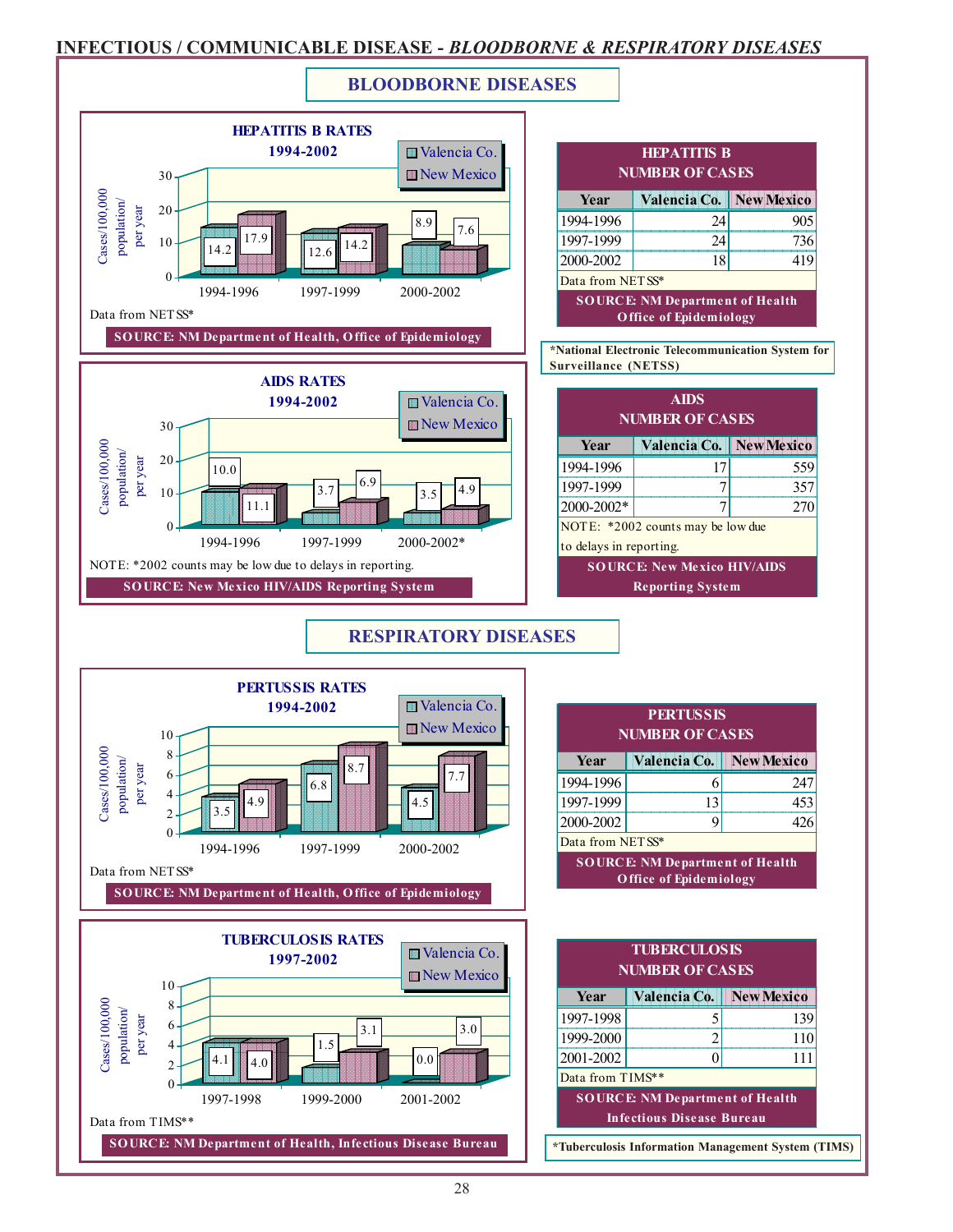### **INFECTIOUS / COMMUNICABLE DISEASE -** *BLOODBORNE & RESPIRATORY DISEASES*

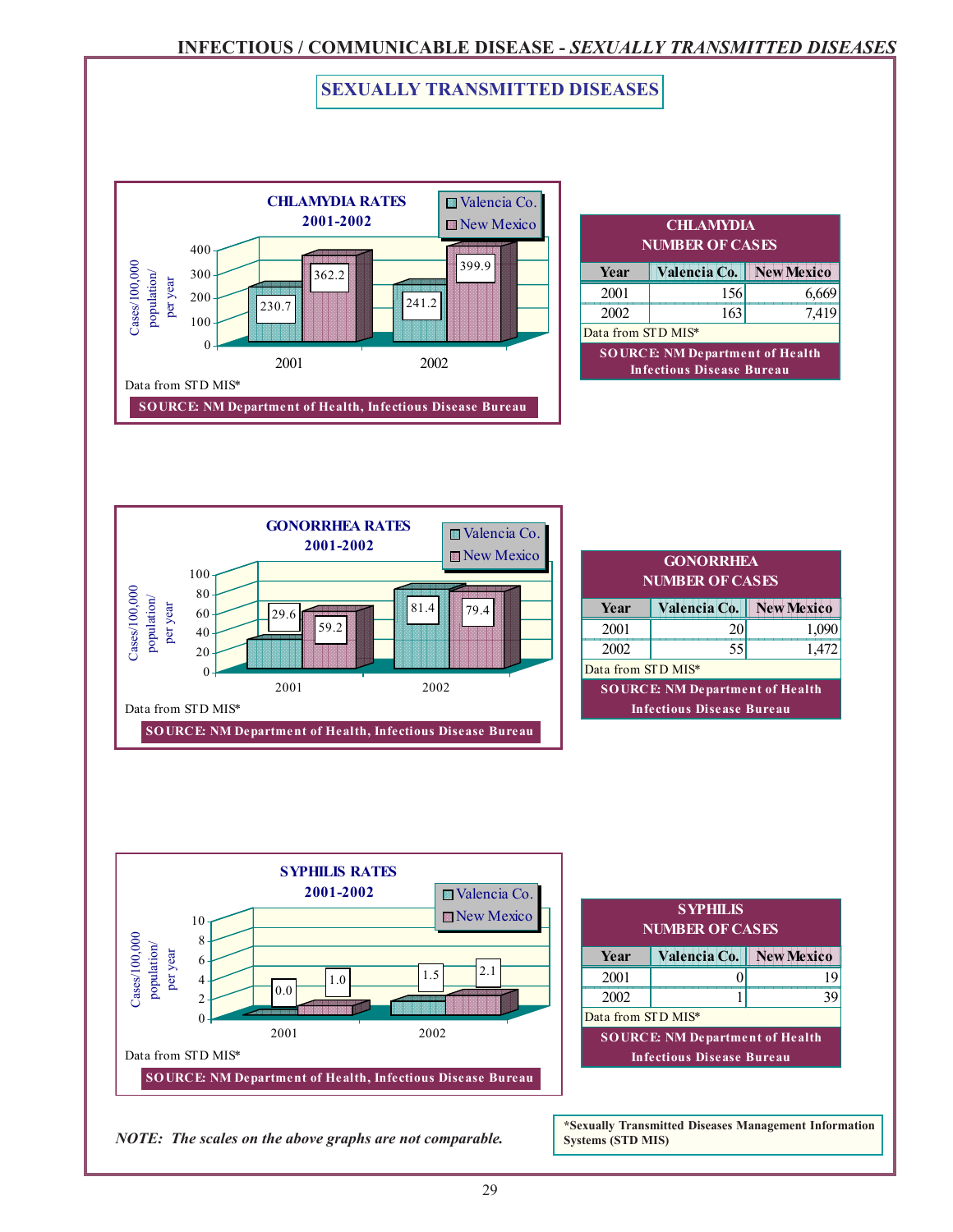### **INFECTIOUS / COMMUNICABLE DISEASE -** *SEXUALLY TRANSMITTED DISEASES*

### **SEXUALLY TRANSMITTED DISEASES**



| <b>CHLAMYDIA</b><br><b>NUMBER OF CASES</b> |                                                                            |  |  |  |  |  |
|--------------------------------------------|----------------------------------------------------------------------------|--|--|--|--|--|
| Valencia Co.   New Mexico<br>Year          |                                                                            |  |  |  |  |  |
| 2001                                       | 156                                                                        |  |  |  |  |  |
| 7,419<br>2002<br>163                       |                                                                            |  |  |  |  |  |
|                                            | Data from STD MIS*                                                         |  |  |  |  |  |
|                                            | <b>SOURCE: NM Department of Health</b><br><b>Infectious Disease Bureau</b> |  |  |  |  |  |



| <b>GONORRHEA</b><br><b>NUMBER OF CASES</b> |                                  |      |  |  |  |
|--------------------------------------------|----------------------------------|------|--|--|--|
| Valencia Co.   New Mexico<br>Year          |                                  |      |  |  |  |
| 2001                                       | 20                               | 1,09 |  |  |  |
| 1,472<br>2002<br>55                        |                                  |      |  |  |  |
| Data from STD MIS*                         |                                  |      |  |  |  |
| <b>SOURCE: NM Department of Health</b>     |                                  |      |  |  |  |
|                                            | <b>Infectious Disease Bureau</b> |      |  |  |  |



|                                   | <b>NUMBER OF CASES</b>                 |    |  |  |  |  |  |  |
|-----------------------------------|----------------------------------------|----|--|--|--|--|--|--|
| Valencia Co.   New Mexico<br>Year |                                        |    |  |  |  |  |  |  |
| 2001                              |                                        | 19 |  |  |  |  |  |  |
| 2002                              |                                        | 39 |  |  |  |  |  |  |
| Data from STD MIS*                |                                        |    |  |  |  |  |  |  |
|                                   | <b>SOURCE: NM Department of Health</b> |    |  |  |  |  |  |  |
| <b>Infectious Disease Bureau</b>  |                                        |    |  |  |  |  |  |  |

*NOTE: The scales on the above graphs are not comparable.*

**\*Sexually Transmitted Diseases Management Information Systems (STD MIS)**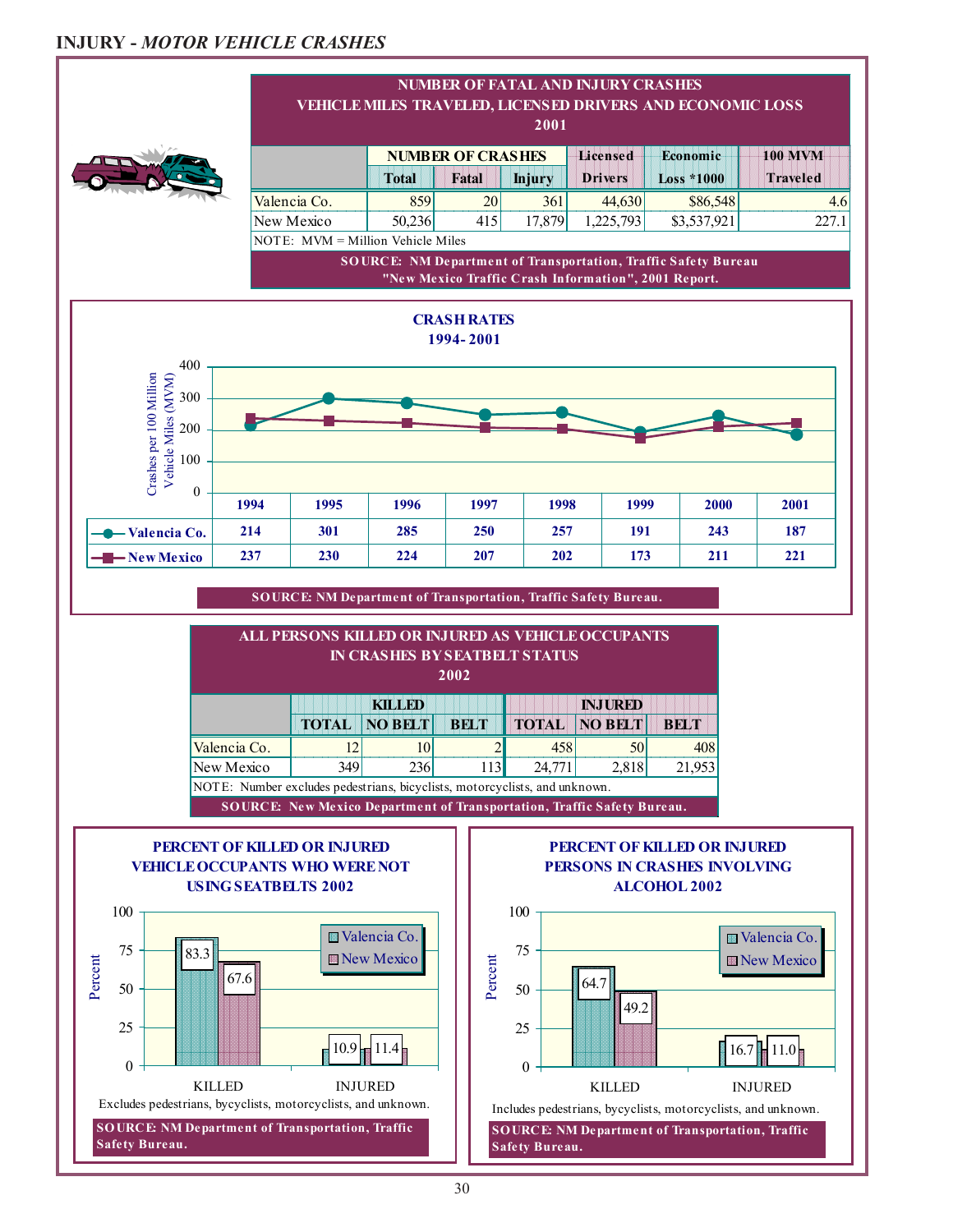### **INJURY -** *MOTOR VEHICLE CRASHES*

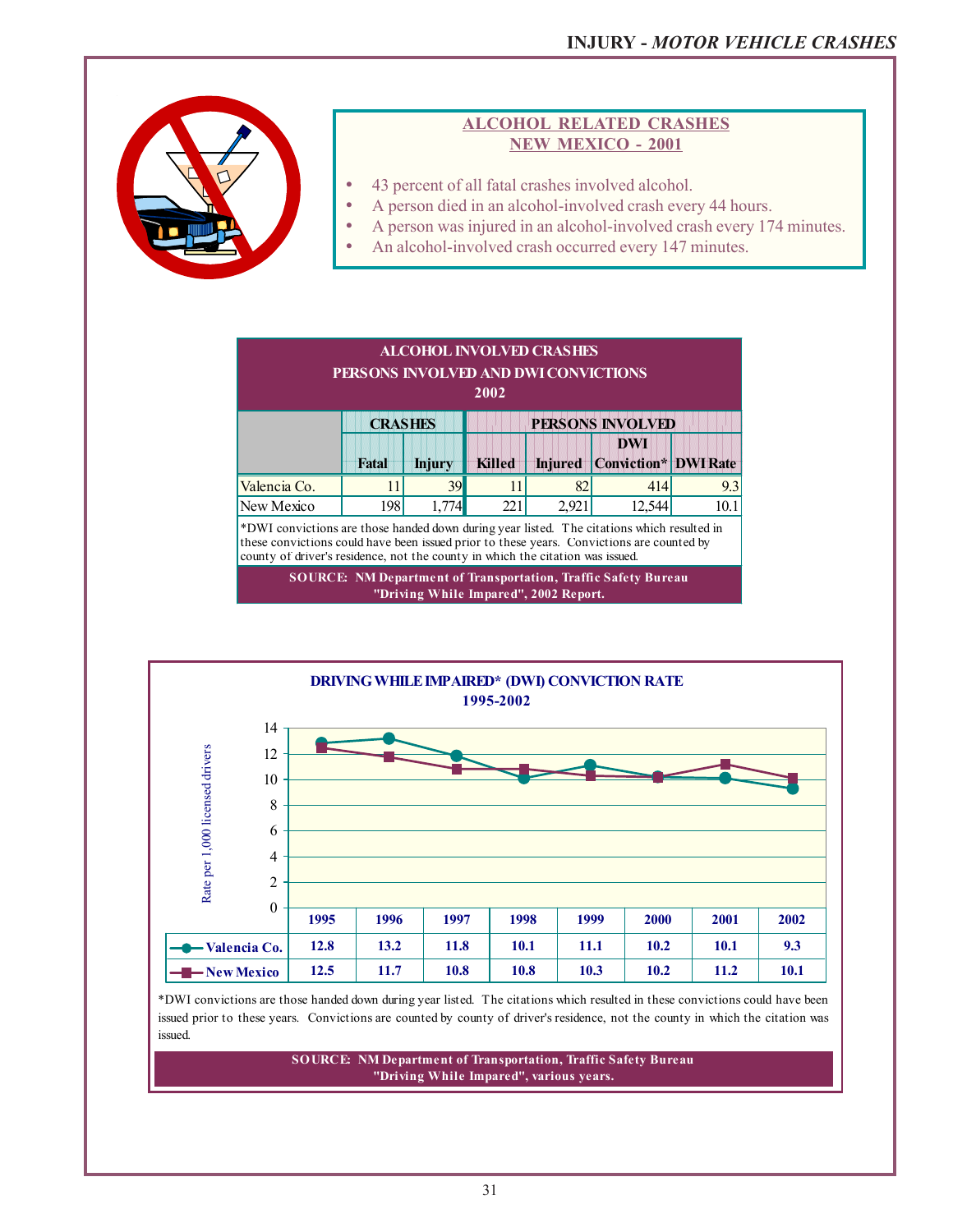

### **ALCOHOL RELATED CRASHES NEW MEXICO - 2001**

- 43 percent of all fatal crashes involved alcohol.
- A person died in an alcohol-involved crash every 44 hours.
- A person was injured in an alcohol-involved crash every 174 minutes.
- An alcohol-involved crash occurred every 147 minutes.



**SOURCE: NM Department of Transportation, Traffic Safety Bureau "Driving While Impared", 2002 Report.**



\*DWI convictions are those handed down during year listed. The citations which resulted in these convictions could have been issued prior to these years. Convictions are counted by county of driver's residence, not the county in which the citation was issued.

> **SOURCE: NM Department of Transportation, Traffic Safety Bureau "Driving While Impared", various years.**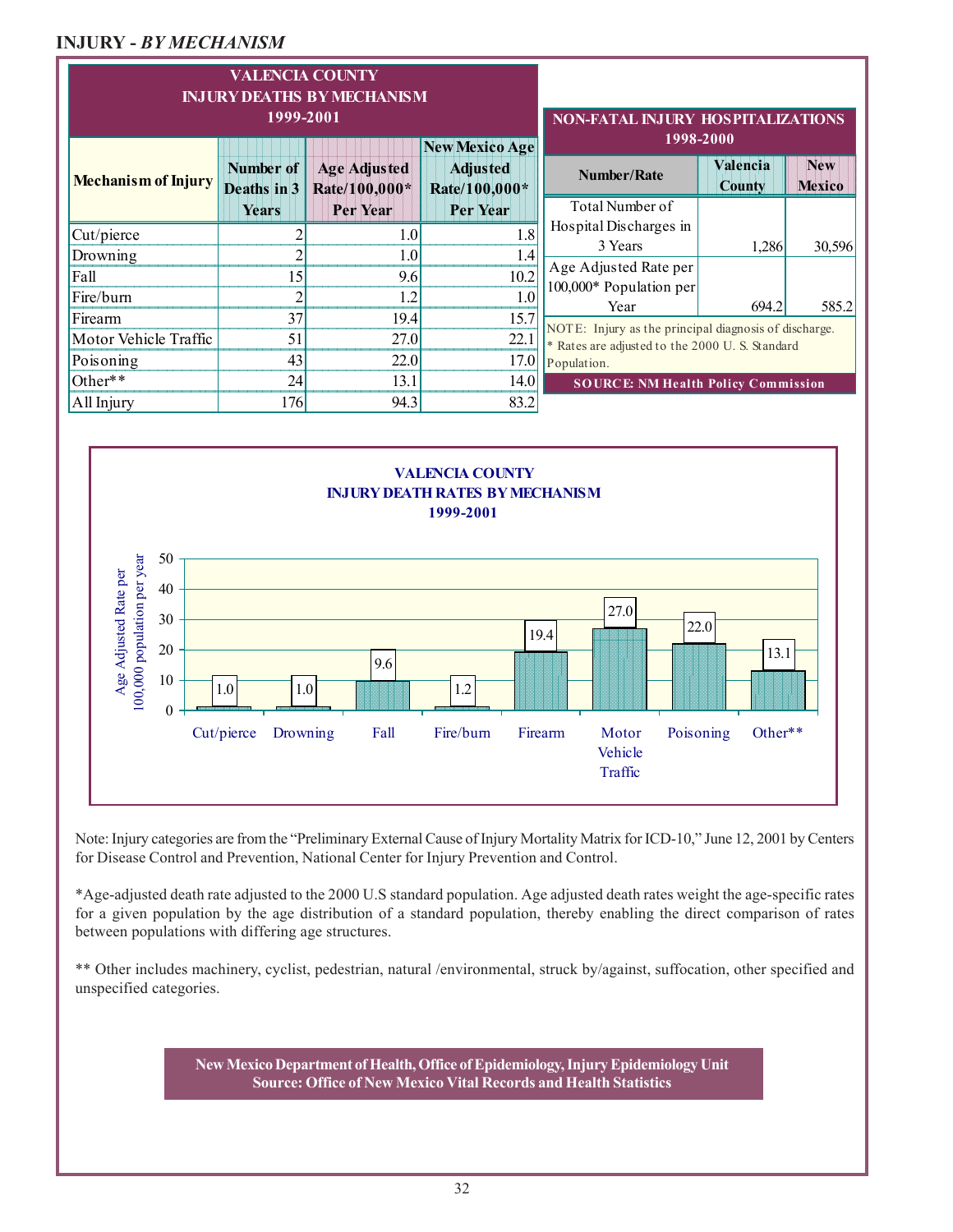### **INJURY -** *BY MECHANISM*

|                                                                                                | <b>VALENCIA COUNTY</b><br><b>INJURY DEATHS BY MECHANISM</b><br>1999-2001 | <b>NON-FATAL INJURY HOSPITALIZATIONS</b>                  |                                 |                                                                                                         |                             |        |  |
|------------------------------------------------------------------------------------------------|--------------------------------------------------------------------------|-----------------------------------------------------------|---------------------------------|---------------------------------------------------------------------------------------------------------|-----------------------------|--------|--|
| Number of<br><b>Age Adjusted</b><br><b>Mechanism of Injury</b><br>Rate/100,000*<br>Deaths in 3 |                                                                          | <b>New Mexico Age</b><br><b>Adjusted</b><br>Rate/100,000* | 1998-2000<br><b>Number/Rate</b> | Valencia<br><b>County</b>                                                                               | <b>New</b><br><b>Mexico</b> |        |  |
|                                                                                                | Years                                                                    | Per Year                                                  | Per Year                        | Total Number of                                                                                         |                             |        |  |
| Cut/pierce                                                                                     |                                                                          | 1.0                                                       | 1.8                             | Hospital Discharges in                                                                                  |                             |        |  |
| Drowning                                                                                       |                                                                          | 1.0                                                       | 1.4                             | 3 Years                                                                                                 | 1,286                       | 30,596 |  |
| Fall                                                                                           | 15                                                                       | 9.6                                                       | 10.2                            | Age Adjusted Rate per                                                                                   |                             |        |  |
| Fire/burn                                                                                      |                                                                          | 1.2                                                       | 10                              | 100,000* Population per<br>Year                                                                         | 694.2                       | 585.2  |  |
| Firearm                                                                                        | 37                                                                       | 19.4                                                      | 15.7                            |                                                                                                         |                             |        |  |
| Motor Vehicle Traffic                                                                          | 51                                                                       | 27.0                                                      | 22.1                            | NOTE: Injury as the principal diagnosis of discharge.<br>* Rates are adjusted to the 2000 U.S. Standard |                             |        |  |
| Poisoning                                                                                      | 43                                                                       | 22.0                                                      | 17.0                            | Population.                                                                                             |                             |        |  |
| Other**                                                                                        | 24                                                                       | 13.1                                                      | 14.0                            | <b>SOURCE: NM Health Policy Commission</b>                                                              |                             |        |  |
| All Injury                                                                                     | 176                                                                      | 94.3                                                      | 83.2                            |                                                                                                         |                             |        |  |



Note: Injury categories are from the "Preliminary External Cause of Injury Mortality Matrix for ICD-10," June 12, 2001 by Centers for Disease Control and Prevention, National Center for Injury Prevention and Control.

\*Age-adjusted death rate adjusted to the 2000 U.S standard population. Age adjusted death rates weight the age-specific rates for a given population by the age distribution of a standard population, thereby enabling the direct comparison of rates between populations with differing age structures.

\*\* Other includes machinery, cyclist, pedestrian, natural /environmental, struck by/against, suffocation, other specified and unspecified categories.

> **New Mexico Department of Health, Office of Epidemiology, Injury Epidemiology Unit Source: Office of New Mexico Vital Records and Health Statistics**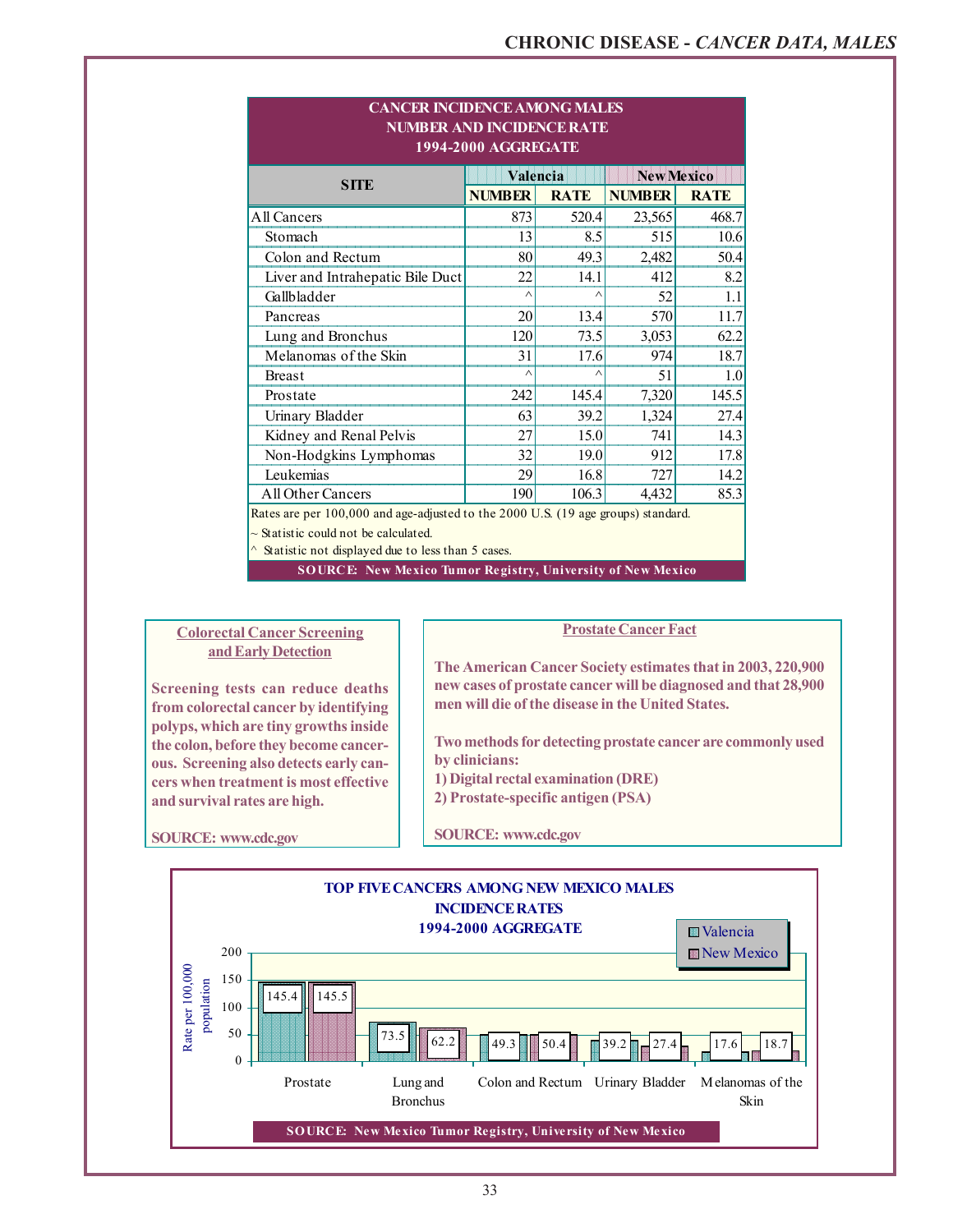| <b>NUMBER AND INCIDENCE RATE</b><br><b>1994-2000 AGGREGATE</b>                                                                 |               |             |                   |             |  |  |  |  |
|--------------------------------------------------------------------------------------------------------------------------------|---------------|-------------|-------------------|-------------|--|--|--|--|
| <b>SITE</b>                                                                                                                    | Valencia      |             | <b>New Mexico</b> |             |  |  |  |  |
|                                                                                                                                | <b>NUMBER</b> | <b>RATE</b> | <b>NUMBER</b>     | <b>RATE</b> |  |  |  |  |
| All Cancers                                                                                                                    | 873           | 520.4       | 23,565            | 468.7       |  |  |  |  |
| Stomach                                                                                                                        | 13            | 8.5         | 515               | 10.6        |  |  |  |  |
| Colon and Rectum                                                                                                               | 80            | 49.3        | 2,482             | 50.4        |  |  |  |  |
| Liver and Intrahepatic Bile Duct                                                                                               | 22            | 14.1        | 412               | 8.2         |  |  |  |  |
| Gallbladder                                                                                                                    | Λ             | $\wedge$    | 52                | 1.1         |  |  |  |  |
| Pancreas                                                                                                                       | 20            | 13.4        | 570               | 11.7        |  |  |  |  |
| Lung and Bronchus                                                                                                              | 120           | 73.5        | 3,053             | 62.2        |  |  |  |  |
| Melanomas of the Skin                                                                                                          | 31            | 17.6        | 974               | 18.7        |  |  |  |  |
| <b>Breast</b>                                                                                                                  | Λ             | $\wedge$    | 51                | 1.0         |  |  |  |  |
| Prostate                                                                                                                       | 242           | 145.4       | 7,320             | 145.5       |  |  |  |  |
| Urinary Bladder                                                                                                                | 63            | 39.2        | 1,324             | 27.4        |  |  |  |  |
| Kidney and Renal Pelvis                                                                                                        | 27            | 15.0        | 741               | 14.3        |  |  |  |  |
| Non-Hodgkins Lymphomas                                                                                                         | 32            | 19.0        | 912               | 17.8        |  |  |  |  |
| Leukemias                                                                                                                      | 29            | 16.8        | 727               | 14.2        |  |  |  |  |
| <b>All Other Cancers</b>                                                                                                       | 190           | 106.3       | 4,432             | 85.3        |  |  |  |  |
| Rates are per 100,000 and age-adjusted to the 2000 U.S. (19 age groups) standard.<br>$\sim$ Statistic could not be calculated. |               |             |                   |             |  |  |  |  |

**CANCER INCIDENCE AMONG MALES**

#### $\sim$  Statistic not displayed due to less than 5 cases.

**SOURCE: New Mexico Tumor Registry, University of New Mexico**

#### **Colorectal Cancer Screening and Early Detection**

**Screening tests can reduce deaths from colorectal cancer by identifying polyps, which are tiny growths inside the colon, before they become cancerous. Screening also detects early cancers when treatment is most effective and survival rates are high.**

**Prostate Cancer Fact**

**The American Cancer Society estimates that in 2003, 220,900 new cases of prostate cancer will be diagnosed and that 28,900 men will die of the disease in the United States.**

**Two methods for detecting prostate cancer are commonly used by clinicians:**

**1) Digital rectal examination (DRE)**

**2) Prostate-specific antigen (PSA)**

**SOURCE: www.cdc.gov**

**SOURCE: www.cdc.gov**

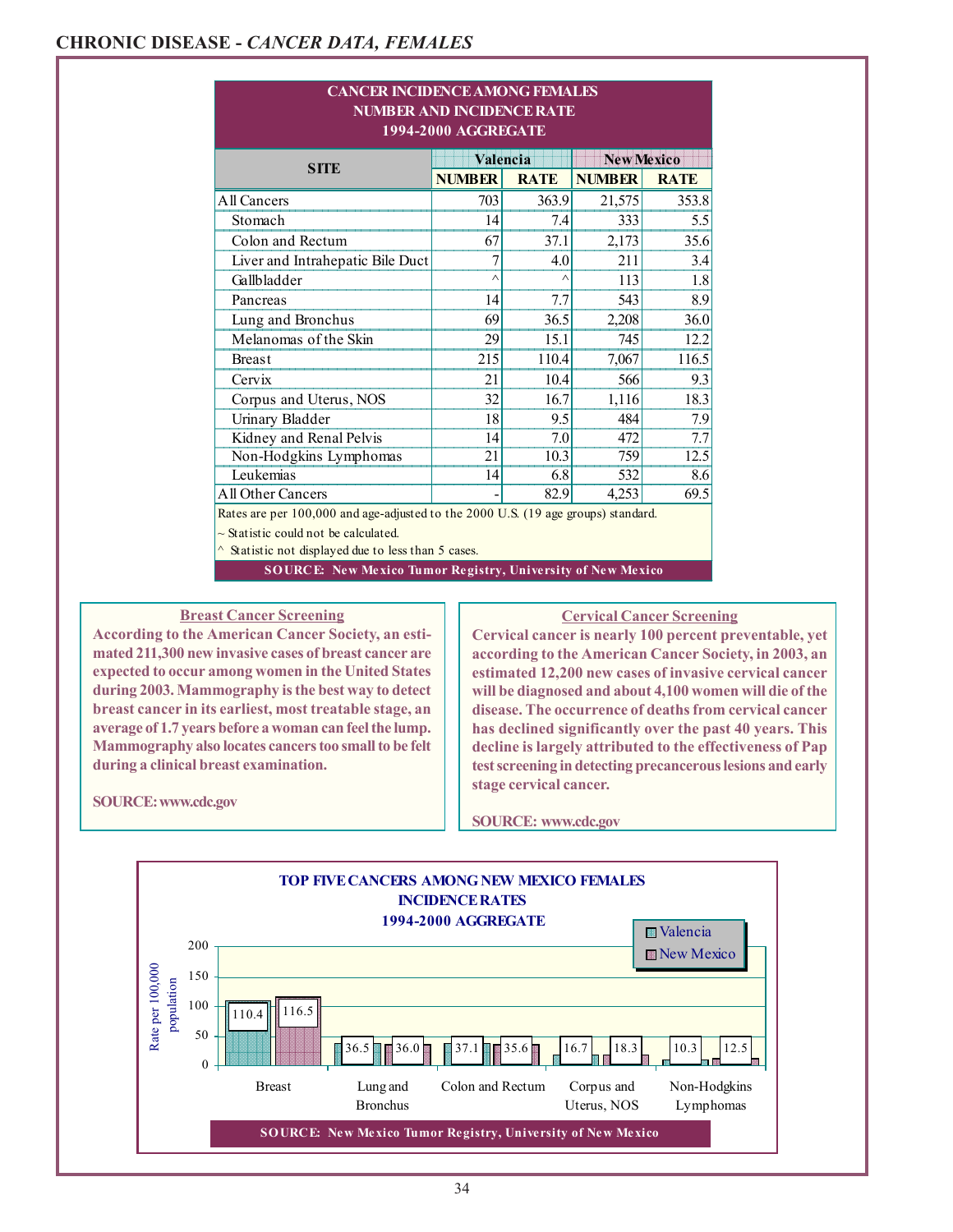| <b>CANCER INCIDENCE AMONG FEMALES</b><br><b>NUMBER AND INCIDENCE RATE</b><br>1994-2000 AGGREGATE                                                                                            |               |                   |               |             |  |  |  |  |
|---------------------------------------------------------------------------------------------------------------------------------------------------------------------------------------------|---------------|-------------------|---------------|-------------|--|--|--|--|
| <b>SITE</b>                                                                                                                                                                                 | Valencia      | <b>New Mexico</b> |               |             |  |  |  |  |
|                                                                                                                                                                                             | <b>NUMBER</b> | <b>RATE</b>       | <b>NUMBER</b> | <b>RATE</b> |  |  |  |  |
| All Cancers                                                                                                                                                                                 | 703           | 363.9             | 21,575        | 353.8       |  |  |  |  |
| Stomach                                                                                                                                                                                     | 14            | 7.4               | 333           | 5.5         |  |  |  |  |
| Colon and Rectum                                                                                                                                                                            | 67            | 37.1              | 2,173         | 35.6        |  |  |  |  |
| Liver and Intrahepatic Bile Duct                                                                                                                                                            | 7             | 4.0               | 211           | 3.4         |  |  |  |  |
| Gallbladder                                                                                                                                                                                 | $\wedge$      | $\wedge$          | 113           | 1.8         |  |  |  |  |
| Pancreas                                                                                                                                                                                    | 14            | 7.7               | 543           | 8.9         |  |  |  |  |
| Lung and Bronchus                                                                                                                                                                           | 69            | 36.5              | 2,208         | 36.0        |  |  |  |  |
| Melanomas of the Skin                                                                                                                                                                       | 29            | 15.1              | 745           | 12.2        |  |  |  |  |
| <b>Breast</b>                                                                                                                                                                               | 215           | 110.4             | 7,067         | 116.5       |  |  |  |  |
| Cervix                                                                                                                                                                                      | 21            | 10.4              | 566           | 9.3         |  |  |  |  |
| Corpus and Uterus, NOS                                                                                                                                                                      | 32            | 16.7              | 1,116         | 18.3        |  |  |  |  |
| Urinary Bladder                                                                                                                                                                             | 18            | 9.5               | 484           | 7.9         |  |  |  |  |
| Kidney and Renal Pelvis                                                                                                                                                                     | 14            | 7.0               | 472           | 7.7         |  |  |  |  |
| Non-Hodgkins Lymphomas                                                                                                                                                                      | 21            | 10.3              | 759           | 12.5        |  |  |  |  |
| Leukemias                                                                                                                                                                                   | 14            | 6.8               | 532           | 8.6         |  |  |  |  |
| <b>All Other Cancers</b>                                                                                                                                                                    |               | 82.9              | 4,253         | 69.5        |  |  |  |  |
| Rates are per 100,000 and age-adjusted to the 2000 U.S. (19 age groups) standard.<br>$\sim$ Statistic could not be calculated.<br>$\land$ Statistic not displayed due to less than 5 cases. |               |                   |               |             |  |  |  |  |

**SOURCE: New Mexico Tumor Registry, University of New Mexico**

### **Breast Cancer Screening**

**According to the American Cancer Society, an estimated 211,300 new invasive cases of breast cancer are expected to occur among women in the United States during 2003. Mammography is the best way to detect breast cancer in its earliest, most treatable stage, an average of 1.7 years before a woman can feel the lump. Mammography also locates cancers too small to be felt during a clinical breast examination.**

**Cervical Cancer Screening**

**Cervical cancer is nearly 100 percent preventable, yet according to the American Cancer Society, in 2003, an estimated 12,200 new cases of invasive cervical cancer will be diagnosed and about 4,100 women will die of the disease. The occurrence of deaths from cervical cancer has declined significantly over the past 40 years. This decline is largely attributed to the effectiveness of Pap test screening in detecting precancerous lesions and early stage cervical cancer.**

**SOURCE: www.cdc.gov**

#### **SOURCE: www.cdc.gov**

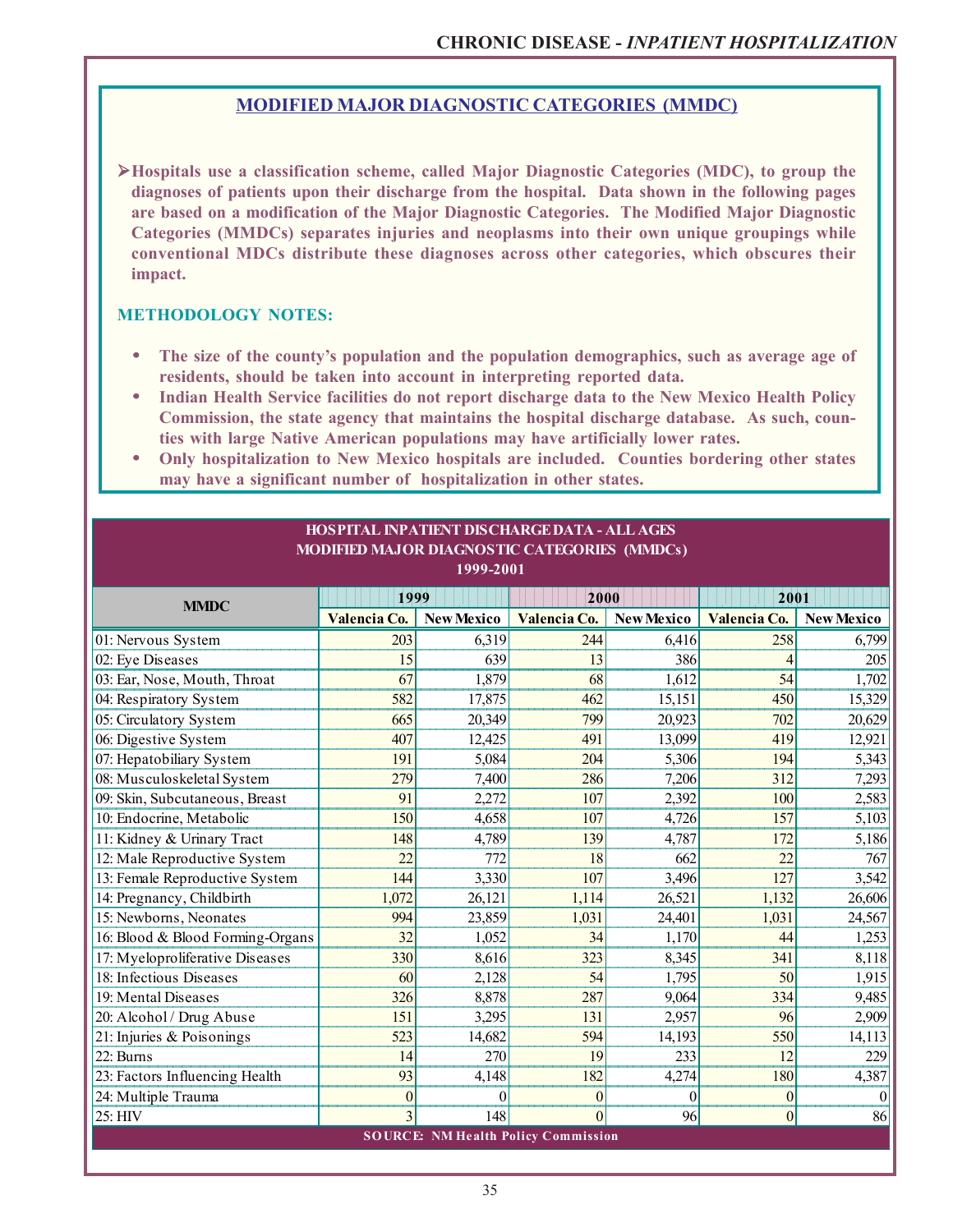### **MODIFIED MAJOR DIAGNOSTIC CATEGORIES (MMDC)**

¾**Hospitals use a classification scheme, called Major Diagnostic Categories (MDC), to group the diagnoses of patients upon their discharge from the hospital. Data shown in the following pages are based on a modification of the Major Diagnostic Categories. The Modified Major Diagnostic Categories (MMDCs) separates injuries and neoplasms into their own unique groupings while conventional MDCs distribute these diagnoses across other categories, which obscures their impact.**

### **METHODOLOGY NOTES:**

- **The size of the county's population and the population demographics, such as average age of residents, should be taken into account in interpreting reported data.**
- **Indian Health Service facilities do not report discharge data to the New Mexico Health Policy Commission, the state agency that maintains the hospital discharge database. As such, counties with large Native American populations may have artificially lower rates.**
- **Only hospitalization to New Mexico hospitals are included. Counties bordering other states may have a significant number of hospitalization in other states.**

| HOSPITAL INPATIENT DISCHARGE DATA - ALL AGES<br>MODIFIED MAJOR DIAGNOSTIC CATEGORIES (MMDCs)<br>$1999 - 2001$ |                  |                  |                                            |                   |                |                   |  |  |
|---------------------------------------------------------------------------------------------------------------|------------------|------------------|--------------------------------------------|-------------------|----------------|-------------------|--|--|
| <b>MMDC</b>                                                                                                   | 1999             |                  | 2000                                       |                   | 2001           |                   |  |  |
|                                                                                                               | Valencia Co.     | New Mexico       | Valencia Co.                               | <b>New Mexico</b> | Valencia Co.   | <b>New Mexico</b> |  |  |
| 01: Nervous System                                                                                            | 203              | 6,319            | 244                                        | 6,416             | 258            | 6,799             |  |  |
| 02: Eye Diseases                                                                                              | 15               | 639              | 13                                         | 386               | $\overline{4}$ | 205               |  |  |
| 03: Ear, Nose, Mouth, Throat                                                                                  | 67               | 1,879            | 68                                         | 1,612             | 54             | 1,702             |  |  |
| 04: Respiratory System                                                                                        | 582              | 17,875           | 462                                        | 15,151            | 450            | 15,329            |  |  |
| 05: Circulatory System                                                                                        | 665              | 20,349           | 799                                        | 20,923            | 702            | 20,629            |  |  |
| 06: Digestive System                                                                                          | 407              | 12,425           | 491                                        | 13,099            | 419            | 12,921            |  |  |
| 07: Hepatobiliary System                                                                                      | 191              | 5,084            | 204                                        | 5,306             | 194            | 5,343             |  |  |
| 08: Musculoskeletal System                                                                                    | 279              | 7,400            | 286                                        | 7,206             | 312            | 7,293             |  |  |
| 09: Skin, Subcutaneous, Breast                                                                                | 91               | 2,272            | 107                                        | 2,392             | 100            | 2,583             |  |  |
| 10: Endocrine, Metabolic                                                                                      | 150              | 4,658            | 107                                        | 4,726             | 157            | 5,103             |  |  |
| 11: Kidney & Urinary Tract                                                                                    | 148              | 4,789            | 139                                        | 4,787             | 172            | 5,186             |  |  |
| 12: Male Reproductive System                                                                                  | 22               | 772              | 18                                         | 662               | 22             | 767               |  |  |
| 13: Female Reproductive System                                                                                | 144              | 3,330            | 107                                        | 3,496             | 127            | 3,542             |  |  |
| 14: Pregnancy, Childbirth                                                                                     | 1,072            | 26,121           | 1,114                                      | 26,521            | 1,132          | 26,606            |  |  |
| 15: Newborns, Neonates                                                                                        | 994              | 23,859           | 1,031                                      | 24,401            | 1,031          | 24,567            |  |  |
| 16: Blood & Blood Forming-Organs                                                                              | 32               | 1,052            | 34                                         | 1,170             | 44             | 1,253             |  |  |
| 17: Myeloproliferative Diseases                                                                               | 330              | 8,616            | 323                                        | 8,345             | 341            | 8,118             |  |  |
| 18: Infectious Diseases                                                                                       | 60               | 2,128            | 54                                         | 1,795             | 50             | 1,915             |  |  |
| 19: Mental Diseases                                                                                           | 326              | 8,878            | 287                                        | 9,064             | 334            | 9,485             |  |  |
| 20: Alcohol / Drug Abuse                                                                                      | 151              | 3,295            | 131                                        | 2,957             | 96             | 2,909             |  |  |
| 21: Injuries & Poisonings                                                                                     | 523              | 14,682           | 594                                        | 14,193            | 550            | 14,113            |  |  |
| 22: Burns                                                                                                     | 14               | 270              | 19                                         | 233               | 12             | 229               |  |  |
| 23: Factors Influencing Health                                                                                | 93               | 4,148            | 182                                        | 4,274             | 180            | 4,387             |  |  |
| 24: Multiple Trauma                                                                                           | $\boldsymbol{0}$ | $\boldsymbol{0}$ | $\boldsymbol{0}$                           | $\theta$          | 0              |                   |  |  |
| 25: HIV                                                                                                       | 3                | 148              | $\overline{0}$                             | 96                | 0              | 86                |  |  |
|                                                                                                               |                  |                  | <b>SOURCE: NM Health Policy Commission</b> |                   |                |                   |  |  |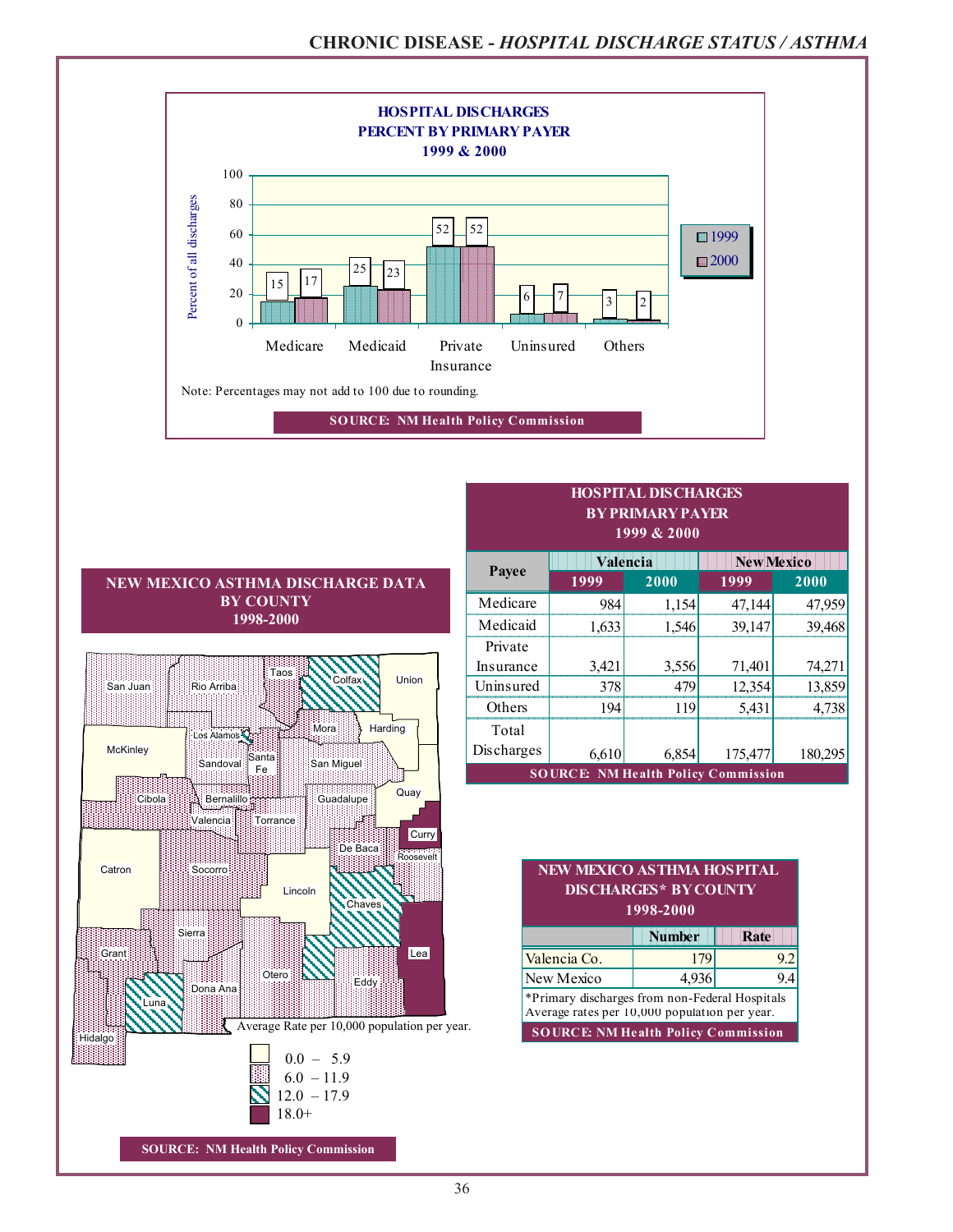

| <b>BY COUNTY</b><br>1998-2000<br>Taos<br>Colfax <sup>1</sup><br><b>Union</b><br>San Juan<br>Rio Arriba<br>Mora<br>Harding<br>Los Alamos<br>McKinley<br>Santa<br>San Miguel<br>Sandoval<br>Fe<br>Quay<br>Guadalupe<br>Cibola<br>Bernalillo<br>Valencia<br>Torrance<br>Curry<br>De Baca<br>Roosevelt<br>Catron<br>Socorro<br>Lincoln<br>Chaves<br>Sierra<br>Grant<br>Lea<br>Otero<br>Eddy<br>Dona Ana<br>Luna<br>Average Rate per 10,000 population per year.<br>Hidalgo<br>$0.0 - 5.9$<br>$6.0 - 11.9$ | Payee      | 19 <sub>2</sub>             |
|-------------------------------------------------------------------------------------------------------------------------------------------------------------------------------------------------------------------------------------------------------------------------------------------------------------------------------------------------------------------------------------------------------------------------------------------------------------------------------------------------------|------------|-----------------------------|
|                                                                                                                                                                                                                                                                                                                                                                                                                                                                                                       | Medicare   |                             |
|                                                                                                                                                                                                                                                                                                                                                                                                                                                                                                       | Medicaid   |                             |
|                                                                                                                                                                                                                                                                                                                                                                                                                                                                                                       | Private    |                             |
|                                                                                                                                                                                                                                                                                                                                                                                                                                                                                                       | Insurance  |                             |
|                                                                                                                                                                                                                                                                                                                                                                                                                                                                                                       | Uninsured  |                             |
|                                                                                                                                                                                                                                                                                                                                                                                                                                                                                                       | Others     |                             |
|                                                                                                                                                                                                                                                                                                                                                                                                                                                                                                       | Total      |                             |
|                                                                                                                                                                                                                                                                                                                                                                                                                                                                                                       | Discharges |                             |
|                                                                                                                                                                                                                                                                                                                                                                                                                                                                                                       |            | <b>SOURCE:</b>              |
|                                                                                                                                                                                                                                                                                                                                                                                                                                                                                                       |            |                             |
|                                                                                                                                                                                                                                                                                                                                                                                                                                                                                                       |            |                             |
|                                                                                                                                                                                                                                                                                                                                                                                                                                                                                                       |            |                             |
|                                                                                                                                                                                                                                                                                                                                                                                                                                                                                                       |            | <b>NEW M</b>                |
|                                                                                                                                                                                                                                                                                                                                                                                                                                                                                                       |            | <b>DIS</b>                  |
|                                                                                                                                                                                                                                                                                                                                                                                                                                                                                                       |            |                             |
|                                                                                                                                                                                                                                                                                                                                                                                                                                                                                                       |            |                             |
|                                                                                                                                                                                                                                                                                                                                                                                                                                                                                                       |            |                             |
|                                                                                                                                                                                                                                                                                                                                                                                                                                                                                                       |            | Valencia C                  |
|                                                                                                                                                                                                                                                                                                                                                                                                                                                                                                       |            | New Mexic                   |
|                                                                                                                                                                                                                                                                                                                                                                                                                                                                                                       |            | *Primary di<br>Average rate |
|                                                                                                                                                                                                                                                                                                                                                                                                                                                                                                       |            | <b>SOURCE</b>               |
|                                                                                                                                                                                                                                                                                                                                                                                                                                                                                                       |            |                             |
|                                                                                                                                                                                                                                                                                                                                                                                                                                                                                                       |            |                             |
| $12.0 - 17.9$                                                                                                                                                                                                                                                                                                                                                                                                                                                                                         |            |                             |
| $18.0+$                                                                                                                                                                                                                                                                                                                                                                                                                                                                                               |            |                             |
| <b>SOURCE: NM Health Policy Commission</b>                                                                                                                                                                                                                                                                                                                                                                                                                                                            |            |                             |

| .<br>IN IMARIN U BAULUN<br>1999 & 2000     |          |       |                   |         |  |  |  |  |
|--------------------------------------------|----------|-------|-------------------|---------|--|--|--|--|
|                                            | Valencia |       | <b>New Mexico</b> |         |  |  |  |  |
| Payee                                      | 1999     | 2000  | 1999              | 2000    |  |  |  |  |
| Medicare                                   | 984      | 1,154 | 47,144            | 47,959  |  |  |  |  |
| Medicaid                                   | 1,633    | 1,546 | 39,147            | 39,468  |  |  |  |  |
| Private                                    |          |       |                   |         |  |  |  |  |
| Insurance                                  | 3,421    | 3,556 | 71,401            | 74,271  |  |  |  |  |
| Uninsured                                  | 378      | 479   | 12,354            | 13,859  |  |  |  |  |
| Others                                     | 194      | 119   | 5,431             | 4,738   |  |  |  |  |
| Total                                      |          |       |                   |         |  |  |  |  |
| Discharges                                 | 6,610    | 6,854 | 175,477           | 180,295 |  |  |  |  |
| <b>SOURCE: NM Health Policy Commission</b> |          |       |                   |         |  |  |  |  |

**HOSPITAL DISCHARGES BY PRIMARY PAYER**

#### **1998-2000** the contract of the contract of the contract of the contract of the **NEW MEXICO ASTHMA HOSPITAL CHARGES\* BY COUNTY**

|                                                                                                 | <b>Number</b> | Rate |  |  |  |  |  |
|-------------------------------------------------------------------------------------------------|---------------|------|--|--|--|--|--|
| Valencia Co.<br>179                                                                             |               |      |  |  |  |  |  |
| New Mexico                                                                                      | 4,936         |      |  |  |  |  |  |
| *Primary discharges from non-Federal Hospitals<br>Average rates per 10,000 population per year. |               |      |  |  |  |  |  |
| <b>SOURCE: NM Health Policy Commission</b>                                                      |               |      |  |  |  |  |  |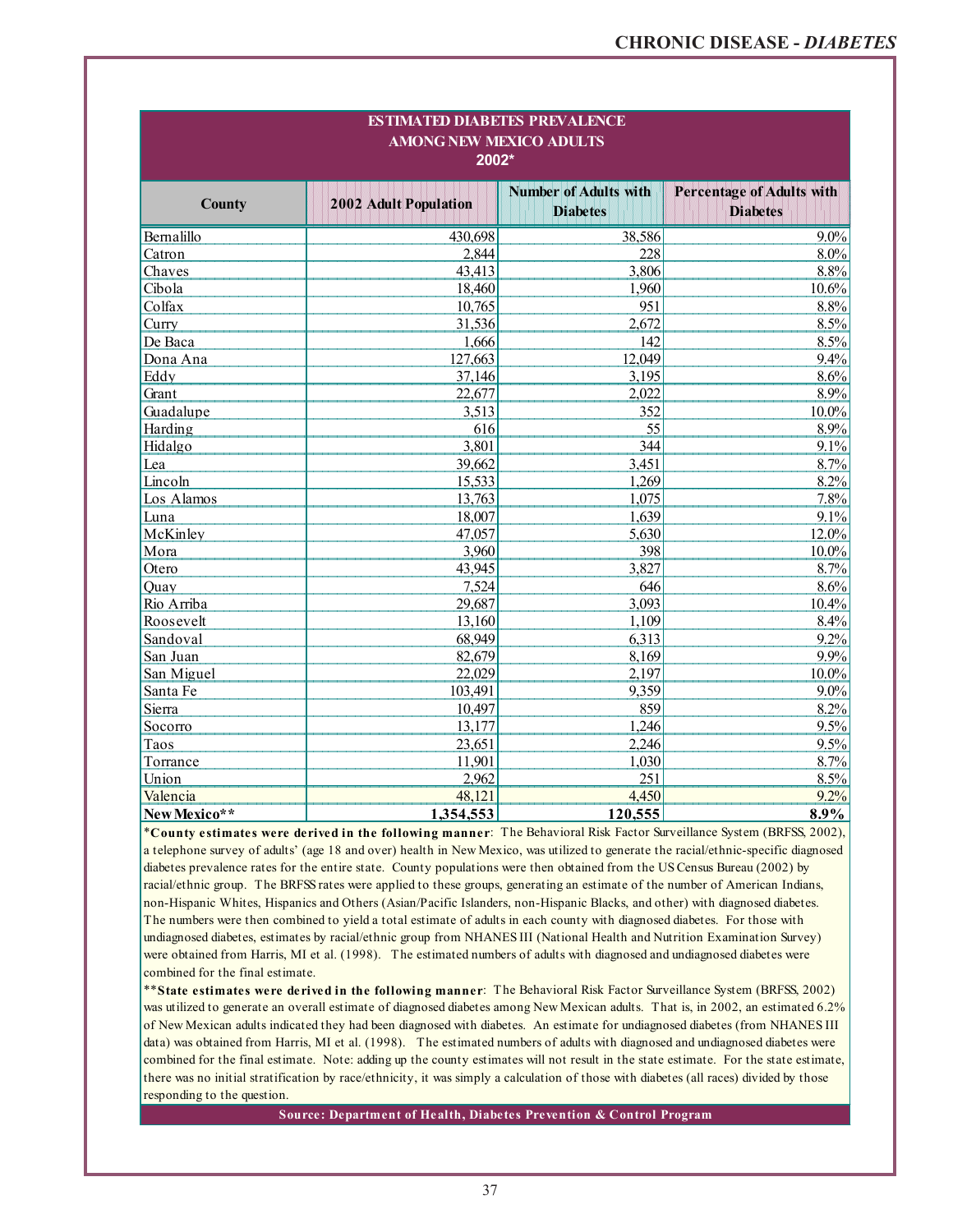| <b>ESTIMATED DIABETES PREVALENCE</b><br><b>AMONG NEW MEXICO ADULTS</b><br>$2002*$ |                       |                                                 |                                                     |  |  |  |  |
|-----------------------------------------------------------------------------------|-----------------------|-------------------------------------------------|-----------------------------------------------------|--|--|--|--|
| <b>County</b>                                                                     | 2002 Adult Population | <b>Number of Adults with</b><br><b>Diabetes</b> | <b>Percentage of Adults with</b><br><b>Diabetes</b> |  |  |  |  |
| Bernalillo                                                                        | 430,698               | 38,586                                          | $9.0\%$                                             |  |  |  |  |
| Catron                                                                            | 2,844                 | 228                                             | $8.0\%$                                             |  |  |  |  |
| Chaves                                                                            | 43,413                | 3,806                                           | 8.8%                                                |  |  |  |  |
| Cibola                                                                            | 18,460                | 1,960                                           | 10.6%                                               |  |  |  |  |
| Colfax                                                                            | 10,765                | 951                                             | 8.8%                                                |  |  |  |  |
| Curry                                                                             | 31,536                | 2,672                                           | 8.5%                                                |  |  |  |  |
| De Baca                                                                           | 1,666                 | 142                                             | 8.5%                                                |  |  |  |  |
| Dona Ana                                                                          | 127,663               | 12,049                                          | 9.4%                                                |  |  |  |  |
| Eddy                                                                              | 37,146                | 3,195                                           | 8.6%                                                |  |  |  |  |
| Grant                                                                             | 22,677                | 2,022                                           | 8.9%                                                |  |  |  |  |
| Guadalupe                                                                         | 3,513                 | 352                                             | $10.0\%$                                            |  |  |  |  |
| Harding                                                                           | 616                   | 55                                              | 8.9%                                                |  |  |  |  |
| Hidalgo                                                                           | 3,801                 | 344                                             | 9.1%                                                |  |  |  |  |
| Lea                                                                               | 39,662                | 3,451                                           | 8.7%                                                |  |  |  |  |
| Lincoln                                                                           | 15,533                | 1,269                                           | 8.2%                                                |  |  |  |  |
| Los Alamos                                                                        | 13,763                | 1,075                                           | 7.8%                                                |  |  |  |  |
| Luna                                                                              | 18,007                | 1,639                                           | 9.1%                                                |  |  |  |  |
| McKinley                                                                          | 47,057                | 5,630                                           | 12.0%                                               |  |  |  |  |
| Mora                                                                              | 3,960                 | 398                                             | 10.0%                                               |  |  |  |  |
| Otero                                                                             | 43,945                | 3,827                                           | 8.7%                                                |  |  |  |  |
| Quay                                                                              | 7,524                 | 646                                             | 8.6%                                                |  |  |  |  |
| Rio Arriba                                                                        | 29,687                | 3,093                                           | 10.4%                                               |  |  |  |  |
| Roosevelt                                                                         | 13,160                | 1,109                                           | 8.4%                                                |  |  |  |  |
| Sandoval                                                                          | 68,949                | 6,313                                           | 9.2%                                                |  |  |  |  |
| San Juan                                                                          | 82,679                | 8,169                                           | 9.9%                                                |  |  |  |  |
| San Miguel                                                                        | 22,029                | 2,197                                           | $10.0\%$                                            |  |  |  |  |
| Santa Fe                                                                          | 103,491               | 9,359                                           | 9.0%                                                |  |  |  |  |
| Sierra                                                                            | 10,497                | 859                                             | 8.2%                                                |  |  |  |  |
| Socorro                                                                           | 13,177                | 1,246                                           | 9.5%                                                |  |  |  |  |
| Taos                                                                              | 23,651                | 2,246                                           | 9.5%                                                |  |  |  |  |
| Torrance                                                                          | 11,901                | 1,030                                           | 8.7%                                                |  |  |  |  |
| Union                                                                             | 2,962                 | 251                                             | 8.5%                                                |  |  |  |  |
| Valencia                                                                          | 48,121                | 4,450                                           | 9.2%                                                |  |  |  |  |
| New Mexico**                                                                      | 1,354,553             | 120,555                                         | 8.9%                                                |  |  |  |  |

\***County estimates were derived in the following manner**: The Behavioral Risk Factor Surveillance System (BRFSS, 2002), a telephone survey of adults' (age 18 and over) health in New Mexico, was utilized to generate the racial/ethnic-specific diagnosed diabetes prevalence rates for the entire state. County populations were then obtained from the US Census Bureau (2002) by racial/ethnic group. The BRFSS rates were applied to these groups, generating an estimate of the number of American Indians, non-Hispanic Whites, Hispanics and Others (Asian/Pacific Islanders, non-Hispanic Blacks, and other) with diagnosed diabetes. The numbers were then combined to yield a total estimate of adults in each county with diagnosed diabetes. For those with undiagnosed diabetes, estimates by racial/ethnic group from NHANES III (National Health and Nutrition Examination Survey) were obtained from Harris, MI et al. (1998).The estimated numbers of adults with diagnosed and undiagnosed diabetes were combined for the final estimate.

\*\***State estimates were derived in the following manner**: The Behavioral Risk Factor Surveillance System (BRFSS, 2002) was utilized to generate an overall estimate of diagnosed diabetes among New Mexican adults. That is, in 2002, an estimated 6.2% of New Mexican adults indicated they had been diagnosed with diabetes. An estimate for undiagnosed diabetes (from NHANES III data) was obtained from Harris, MI et al. (1998). The estimated numbers of adults with diagnosed and undiagnosed diabetes were combined for the final estimate. Note: adding up the county estimates will not result in the state estimate. For the state estimate, there was no initial stratification by race/ethnicity, it was simply a calculation of those with diabetes (all races) divided by those responding to the question.

**Source: Department of Health, Diabetes Prevention & Control Program**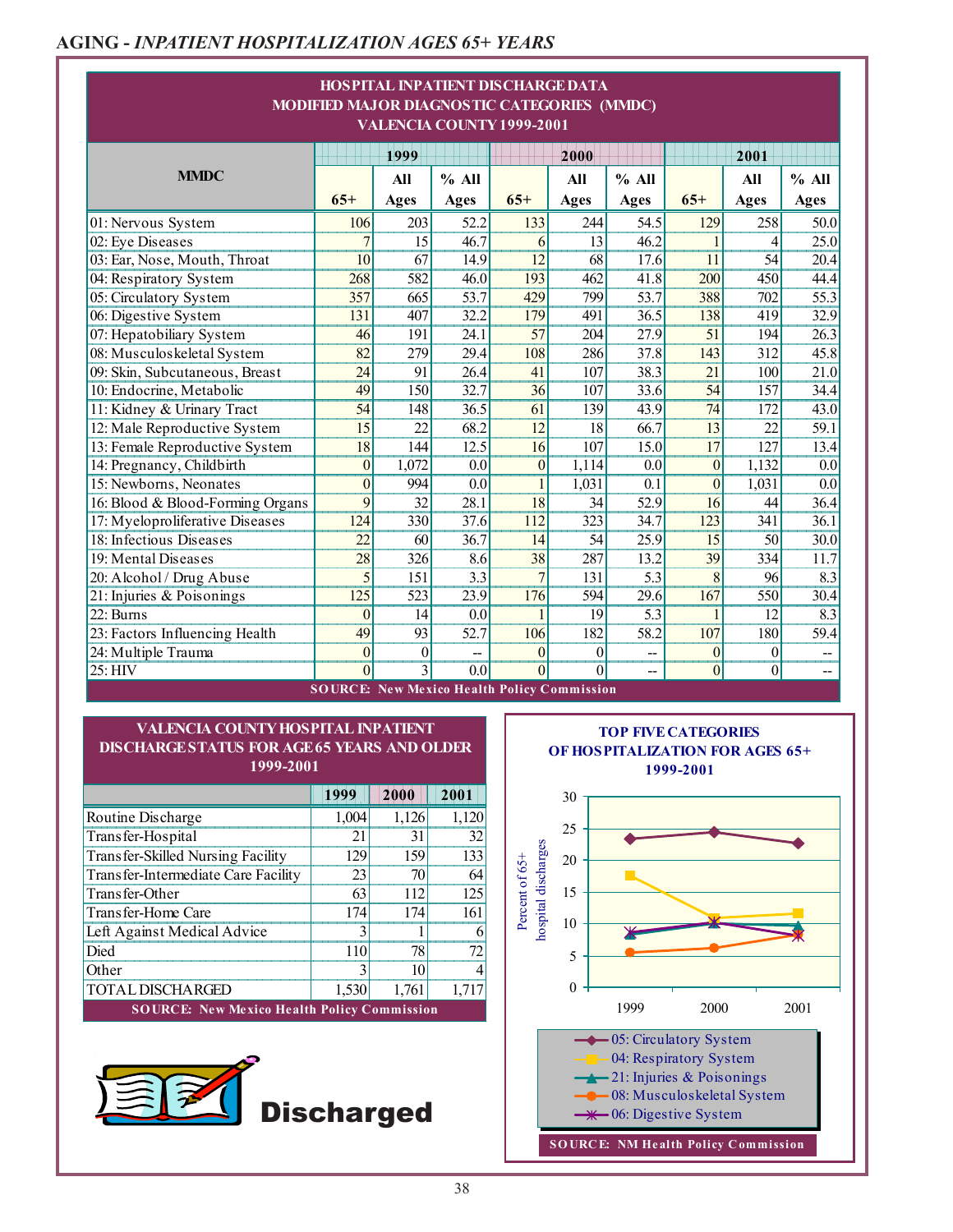# **AGING -** *INPATIENT HOSPITALIZATION AGES 65+ YEARS*

| HOSPITAL INPATIENT DISCHARGE DATA<br>MODIFIED MAJOR DIAGNOSTIC CATEGORIES (MMDC)<br>VALENCIA COUNTY 1999-2001 |                 |                 |                  |                 |                 |                          |                 |                  |                          |  |
|---------------------------------------------------------------------------------------------------------------|-----------------|-----------------|------------------|-----------------|-----------------|--------------------------|-----------------|------------------|--------------------------|--|
|                                                                                                               |                 | 1999            |                  |                 | 2000            |                          |                 | 2001             |                          |  |
| <b>MMDC</b>                                                                                                   |                 | All             | $%$ All          |                 | All             | $%$ All                  |                 | All              | $%$ All                  |  |
|                                                                                                               | $65+$           | Ages            | <b>Ages</b>      | $65+$           | <b>Ages</b>     | <b>Ages</b>              | $65+$           | <b>Ages</b>      | <b>Ages</b>              |  |
| 01: Nervous System                                                                                            | 106             | 203             | 52.2             | 133             | 244             | 54.5                     | 129             | 258              | 50.0                     |  |
| 02: Eye Diseases                                                                                              | $\overline{7}$  | 15              | 46.7             | 6               | 13              | 46.2                     |                 | 4                | 25.0                     |  |
| 03: Ear, Nose, Mouth, Throat                                                                                  | $\overline{10}$ | 67              | 14.9             | $\overline{12}$ | 68              | 17.6                     | $\overline{11}$ | 54               | 20.4                     |  |
| 04: Respiratory System                                                                                        | 268             | 582             | 46.0             | 193             | 462             | 41.8                     | 200             | 450              | 44.4                     |  |
| 05: Circulatory System                                                                                        | 357             | 665             | 53.7             | 429             | 799             | 53.7                     | 388             | 702              | 55.3                     |  |
| 06: Digestive System                                                                                          | 131             | 407             | 32.2             | 179             | 491             | 36.5                     | 138             | 419              | 32.9                     |  |
| 07: Hepatobiliary System                                                                                      | 46              | 191             | 24.1             | $\overline{57}$ | 204             | 27.9                     | 51              | 194              | 26.3                     |  |
| 08: Musculoskeletal System                                                                                    | 82              | 279             | 29.4             | 108             | 286             | 37.8                     | 143             | 312              | 45.8                     |  |
| 09: Skin, Subcutaneous, Breast                                                                                | $\overline{24}$ | 91              | 26.4             | 41              | 107             | 38.3                     | 21              | 100              | 21.0                     |  |
| 10: Endocrine, Metabolic                                                                                      | 49              | 150             | 32.7             | $\overline{36}$ | 107             | 33.6                     | 54              | 157              | 34.4                     |  |
| 11: Kidney & Urinary Tract                                                                                    | 54              | 148             | 36.5             | 61              | 139             | 43.9                     | 74              | 172              | 43.0                     |  |
| 12: Male Reproductive System                                                                                  | $\overline{15}$ | $\overline{22}$ | 68.2             | $\overline{12}$ | 18              | 66.7                     | $\overline{13}$ | $\overline{22}$  | 59.1                     |  |
| 13: Female Reproductive System                                                                                | $\overline{18}$ | 144             | 12.5             | 16              | 107             | 15.0                     | 17              | 127              | 13.4                     |  |
| 14: Pregnancy, Childbirth                                                                                     | $\theta$        | 1,072           | 0.0              | $\theta$        | 1,114           | 0.0                      | $\theta$        | 1,132            | 0.0                      |  |
| 15: Newborns, Neonates                                                                                        | $\theta$        | 994             | 0.0              | $\mathbf{1}$    | 1,031           | $\overline{0.1}$         | $\theta$        | 1,031            | 0.0                      |  |
| 16: Blood & Blood-Forming Organs                                                                              | 9               | $\overline{32}$ | 28.1             | $\overline{18}$ | $\overline{34}$ | 52.9                     | 16              | 44               | 36.4                     |  |
| 17: Myeloproliferative Diseases                                                                               | 124             | 330             | 37.6             | 112             | 323             | 34.7                     | 123             | 341              | 36.1                     |  |
| 18: Infectious Diseases                                                                                       | 22              | 60              | 36.7             | 14              | 54              | 25.9                     | 15              | 50               | 30.0                     |  |
| 19: Mental Diseases                                                                                           | 28              | 326             | 8.6              | 38              | 287             | 13.2                     | 39              | 334              | 11.7                     |  |
| 20: Alcohol / Drug Abuse                                                                                      | 5               | 151             | $\overline{3.3}$ | $\overline{7}$  | 131             | 5.3                      | 8               | 96               | 8.3                      |  |
| 21: Injuries & Poisonings                                                                                     | 125             | 523             | 23.9             | 176             | 594             | 29.6                     | 167             | 550              | 30.4                     |  |
| 22: Burns                                                                                                     | $\theta$        | $\overline{14}$ | 0.0              |                 | 19              | 5.3                      |                 | $\overline{12}$  | 8.3                      |  |
| 23: Factors Influencing Health                                                                                | 49              | 93              | 52.7             | 106             | 182             | 58.2                     | 107             | 180              | 59.4                     |  |
| 24: Multiple Trauma                                                                                           | $\overline{0}$  | $\theta$        |                  | $\theta$        | $\theta$        |                          | $\theta$        | $\mathbf{0}$     | $\overline{\phantom{a}}$ |  |
| $25:$ HIV                                                                                                     | $\theta$        | $\overline{3}$  | $\overline{0.0}$ | $\theta$        | $\theta$        | $\overline{\phantom{a}}$ | $\overline{0}$  | $\boldsymbol{0}$ | --                       |  |

#### **1999-2001 VALENCIA COUNTY HOSPITAL INPATIENT DISCHARGE STATUS FOR AGE 65 YEARS AND OLDER**

|                                                    | 1999  | 2000  | 2001  |  |  |  |  |  |
|----------------------------------------------------|-------|-------|-------|--|--|--|--|--|
| Routine Discharge                                  | 1,004 | 1,126 | 1,120 |  |  |  |  |  |
| Transfer-Hospital                                  | 21    | 31    | 32    |  |  |  |  |  |
| Transfer-Skilled Nursing Facility                  | 129   | 159   | 133   |  |  |  |  |  |
| Transfer-Intermediate Care Facility                | 23    | 70    | 64    |  |  |  |  |  |
| Transfer-Other                                     | 63    | 112   | 125   |  |  |  |  |  |
| Transfer-Home Care                                 | 174   | 174   | 161   |  |  |  |  |  |
| Left Against Medical Advice                        |       |       | 6     |  |  |  |  |  |
| Died                                               | 110   | 78    | 72    |  |  |  |  |  |
| Other                                              |       | 10    | 4     |  |  |  |  |  |
| <b>TOTAL DISCHARGED</b>                            | 1,530 | 1,761 | 1,717 |  |  |  |  |  |
| <b>SOURCE: New Mexico Health Policy Commission</b> |       |       |       |  |  |  |  |  |



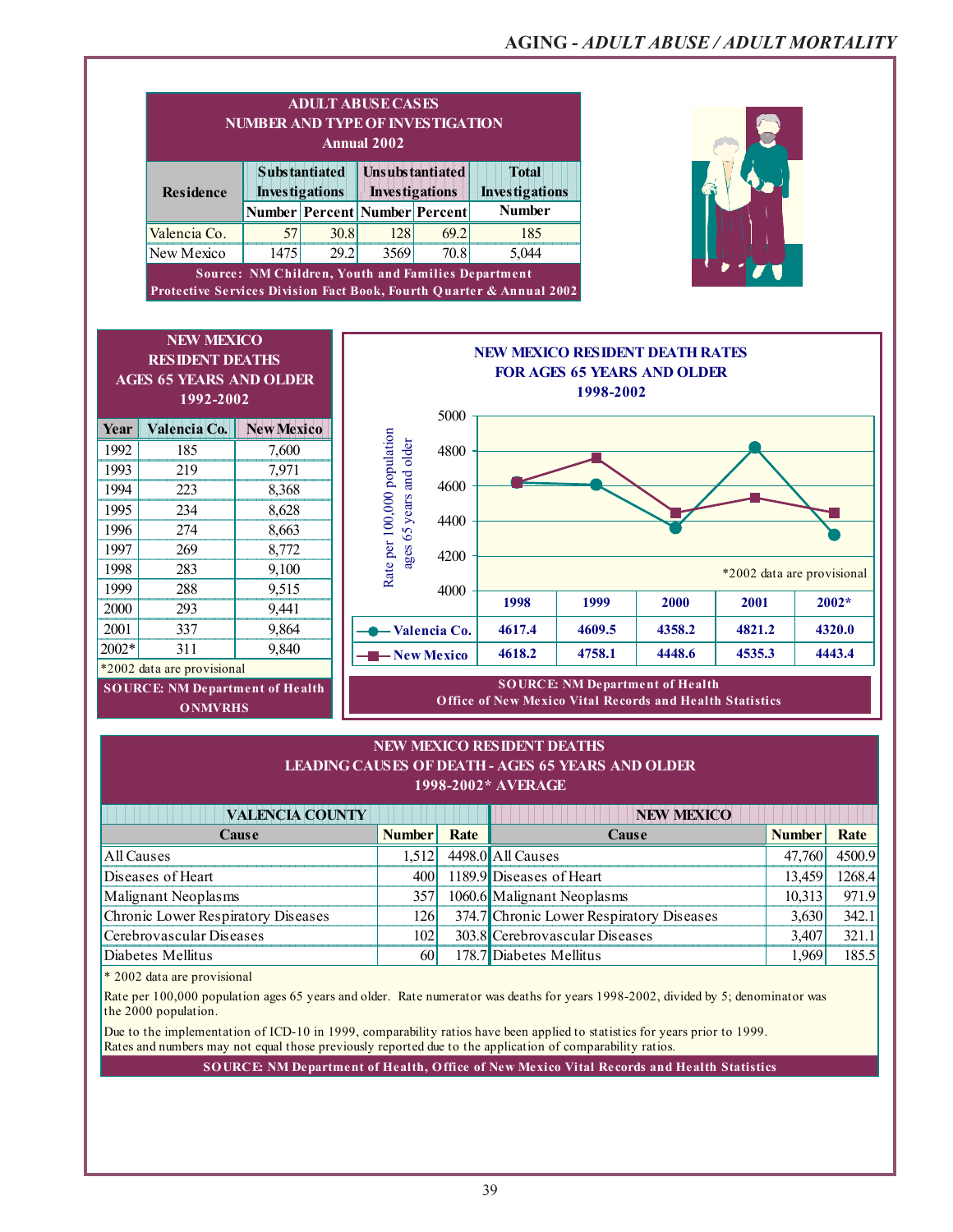,他们的人们就是一个人的人,他们的人们就是一个人的人,他们的人们都是一个人的人,他们的人们都是一个人的人,他们的人们都是一个人的人,他们的人们都是一个人的人,他们

|              | <b>ADULT ABUSE CASES</b><br><b>NUMBER AND TYPE OF INVESTIGATION</b><br><b>Annual 2002</b>                           |                                                    |                               |                                                                            |               |                                                                      |           |                                        |        |                            |
|--------------|---------------------------------------------------------------------------------------------------------------------|----------------------------------------------------|-------------------------------|----------------------------------------------------------------------------|---------------|----------------------------------------------------------------------|-----------|----------------------------------------|--------|----------------------------|
|              | <b>Substantiated</b><br><b>Residence</b><br><b>Investigations</b>                                                   |                                                    |                               | <b>Total</b><br>Unsubstantiated<br><b>Investigations</b><br>Investigations |               |                                                                      |           |                                        |        |                            |
|              |                                                                                                                     |                                                    | Number Percent Number Percent |                                                                            |               | <b>Number</b>                                                        |           |                                        |        |                            |
|              | Valencia Co.                                                                                                        | 57                                                 | 30.8                          | 128                                                                        | 69.2          | 185                                                                  |           |                                        |        |                            |
|              | New Mexico                                                                                                          | 1475                                               | 29.2                          | 3569                                                                       | 70.8          | 5,044                                                                |           |                                        |        |                            |
|              |                                                                                                                     | Source: NM Children, Youth and Families Department |                               |                                                                            |               |                                                                      |           |                                        |        |                            |
|              |                                                                                                                     |                                                    |                               |                                                                            |               | Protective Services Division Fact Book, Fourth Quarter & Annual 2002 |           |                                        |        |                            |
|              |                                                                                                                     |                                                    |                               |                                                                            |               |                                                                      |           |                                        |        |                            |
|              | <b>NEW MEXICO</b>                                                                                                   |                                                    |                               |                                                                            |               |                                                                      |           |                                        |        |                            |
|              | <b>RESIDENT DEATHS</b>                                                                                              |                                                    |                               |                                                                            |               | <b>NEW MEXICO RESIDENT DEATH RATES</b>                               |           |                                        |        |                            |
|              | <b>AGES 65 YEARS AND OLDER</b>                                                                                      |                                                    |                               |                                                                            |               |                                                                      |           | <b>FOR AGES 65 YEARS AND OLDER</b>     |        |                            |
|              | 1992-2002                                                                                                           |                                                    |                               |                                                                            |               |                                                                      | 1998-2002 |                                        |        |                            |
|              |                                                                                                                     |                                                    |                               |                                                                            | 5000          |                                                                      |           |                                        |        |                            |
| Year         | Valencia Co.                                                                                                        | <b>New Mexico</b>                                  |                               | Rate per 100,000 population                                                |               |                                                                      |           |                                        |        |                            |
| 1992         | 185                                                                                                                 | 7,600                                              |                               |                                                                            | 4800          |                                                                      |           |                                        |        |                            |
| 1993         | 219                                                                                                                 | 7,971                                              |                               |                                                                            | 4600          |                                                                      |           |                                        |        |                            |
| 1994         | 223                                                                                                                 | 8,368                                              |                               | ages 65 years and older                                                    |               |                                                                      |           |                                        |        |                            |
| 1995         | 234                                                                                                                 | 8,628                                              |                               |                                                                            | 4400          |                                                                      |           |                                        |        |                            |
| 1996         | 274                                                                                                                 | 8,663                                              |                               |                                                                            |               |                                                                      |           |                                        |        |                            |
| 1997         | 269                                                                                                                 | 8,772                                              |                               |                                                                            | 4200          |                                                                      |           |                                        |        |                            |
| 1998         | 283                                                                                                                 | 9,100                                              |                               |                                                                            |               |                                                                      |           |                                        |        | *2002 data are provisional |
| 1999         | 288                                                                                                                 | 9,515                                              |                               |                                                                            | 4000          | 1998                                                                 | 1999      | 2000                                   | 2001   | $2002*$                    |
| 2000<br>2001 | 293<br>337                                                                                                          | 9,441<br>9,864                                     |                               |                                                                            |               | 4617.4                                                               | 4609.5    | 4358.2                                 | 4821.2 | 4320.0                     |
| 2002*        | 311                                                                                                                 | 9,840                                              |                               |                                                                            | -Valencia Co. |                                                                      |           |                                        |        |                            |
|              | *2002 data are provisional                                                                                          |                                                    |                               |                                                                            | -New Mexico   | 4618.2                                                               | 4758.1    | 4448.6                                 | 4535.3 | 4443.4                     |
|              | <b>SOURCE: NM Department of Health</b>                                                                              |                                                    |                               |                                                                            |               | <b>Office of New Mexico Vital Records and Health Statistics</b>      |           | <b>SOURCE: NM Department of Health</b> |        |                            |
|              | <b>ONMVRHS</b>                                                                                                      |                                                    |                               |                                                                            |               |                                                                      |           |                                        |        |                            |
|              | <b>NEW MEXICO RESIDENT DEATHS</b><br><b>LEADING CAUSES OF DEATH - AGES 65 YEARS AND OLDER</b><br>1998-2002* AVERAGE |                                                    |                               |                                                                            |               |                                                                      |           |                                        |        |                            |

| <b>VALENCIA COUNTY</b>             |                 |      | <b>NEW MEXICO</b>                        |               |        |
|------------------------------------|-----------------|------|------------------------------------------|---------------|--------|
| <b>Number</b><br><b>Cause</b>      |                 | Rate | Cause                                    | <b>Number</b> | Rate   |
| All Causes                         | l 512l          |      | 4498.0 All Causes                        | 47.760        | 4500.9 |
| Diseases of Heart                  |                 |      | 400 1189.9 Diseases of Heart             | 13.459        | 1268.4 |
| Malignant Neoplasms                | 3571            |      | 1060.6 Malignant Neoplasms               | 10.313        | 971.9  |
| Chronic Lower Respiratory Diseases | 1261            |      | 374.7 Chronic Lower Respiratory Diseases | 3.630         | 342.1  |
| Cerebrovascular Diseases           | 1021            |      | 303.8 Cerebrovascular Diseases           | 3.407         | 321.1  |
| Diabetes Mellitus                  | 60 <sup> </sup> |      | 178.7 Diabetes Mellitus                  | .969          | 185.5  |

\* 2002 data are provisional

Rate per 100,000 population ages 65 years and older. Rate numerator was deaths for years 1998-2002, divided by 5; denominator was the 2000 population.

Rates and numbers may not equal those previously reported due to the application of comparability ratios. Due to the implementation of ICD-10 in 1999, comparability ratios have been applied to statistics for years prior to 1999.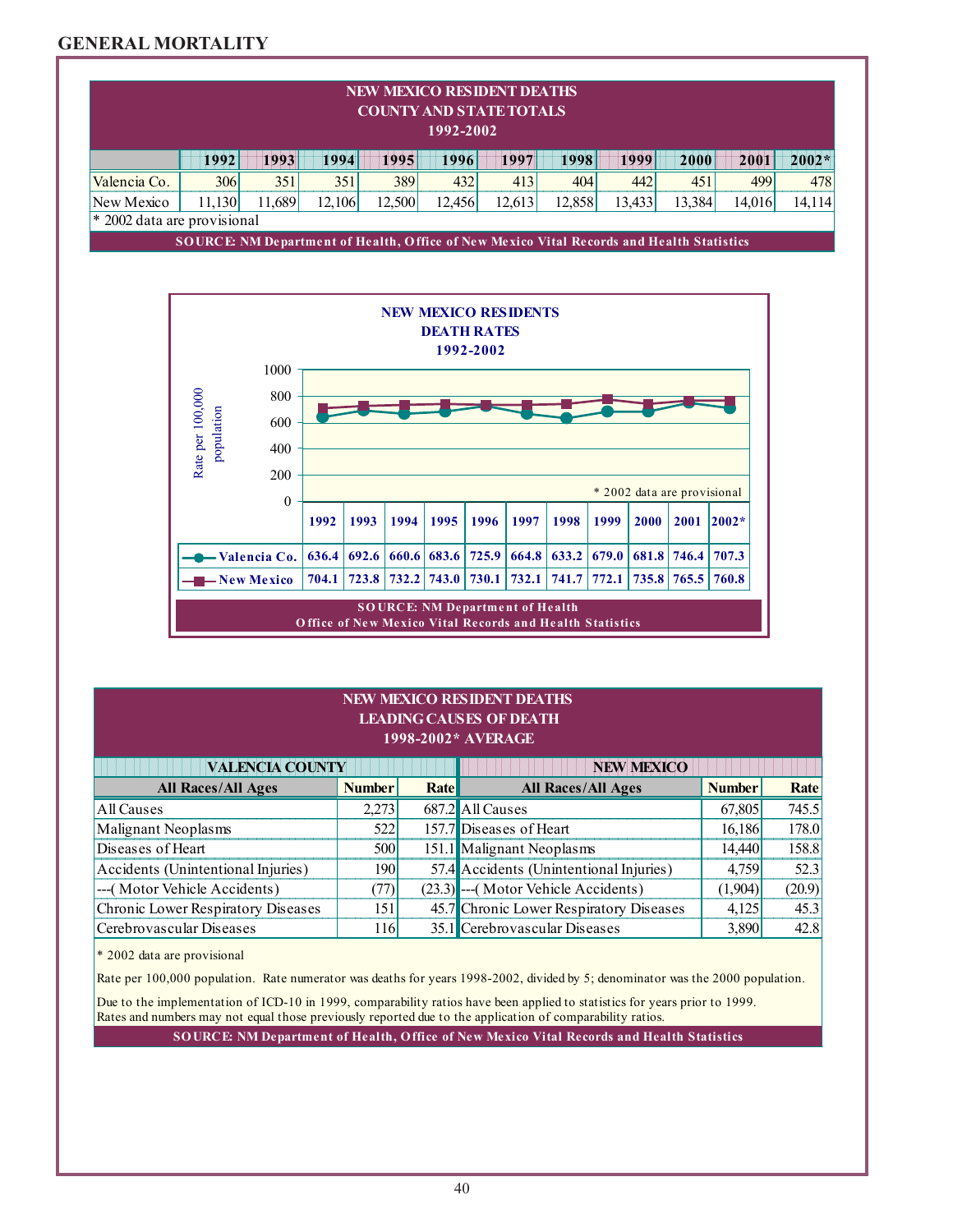### **GENERAL MORTALITY**

| <b>NEW MEXICO RESIDENT DEATHS</b><br><b>COUNTY AND STATE TOTALS</b><br>1992-2002 |                                                                                                           |                          |        |       |                         |             |       |        |               |       |        |                             |         |            |
|----------------------------------------------------------------------------------|-----------------------------------------------------------------------------------------------------------|--------------------------|--------|-------|-------------------------|-------------|-------|--------|---------------|-------|--------|-----------------------------|---------|------------|
|                                                                                  | 1992                                                                                                      | 1993                     | 1994   |       | 1995                    | 1996        |       | 1997   | 1998          |       | 1999   | 2000                        | 2001    | $2002*$    |
| Valencia Co.                                                                     | 306                                                                                                       | 351                      | 351    |       | 389                     | 432         |       | 413    | 404           |       | 442    | 451                         |         | 499<br>478 |
| New Mexico                                                                       | 11,130                                                                                                    | 11,689                   | 12,106 |       | 12,500                  | 12,456      |       | 12,613 | 12,858        |       | 13,433 | 13,384                      | 14,016  | 14,114     |
| * 2002 data are provisional                                                      | SOURCE: NM Department of Health, Office of New Mexico Vital Records and Health Statistics                 |                          |        |       |                         |             |       |        |               |       |        |                             |         |            |
|                                                                                  |                                                                                                           |                          |        |       |                         |             |       |        |               |       |        |                             |         |            |
|                                                                                  | <b>NEW MEXICO RESIDENTS</b><br><b>DEATH RATES</b><br>1992-2002                                            |                          |        |       |                         |             |       |        |               |       |        |                             |         |            |
|                                                                                  | 1000<br>Rate per 100,000<br>800<br>population<br>600<br>400                                               |                          |        |       |                         |             |       |        |               |       |        |                             |         |            |
|                                                                                  |                                                                                                           | 200<br>$\mathbf{0}$      |        |       |                         |             |       |        |               |       |        | * 2002 data are provisional |         |            |
|                                                                                  |                                                                                                           |                          | 1992   | 1993  | 1994                    | 1995        | 1996  | 1997   | 1998          | 1999  | 2000   | 2001                        | $2002*$ |            |
|                                                                                  |                                                                                                           | -Valencia Co.            | 636.4  | 692.6 |                         | 660.6 683.6 | 725.9 |        | $664.8$ 633.2 | 679.0 |        | 681.8 746.4                 | 707.3   |            |
|                                                                                  |                                                                                                           | $\rightarrow$ New Mexico |        |       | 704.1 723.8 732.2 743.0 |             | 730.1 | 732.1  | 1741.7        | 772.1 |        | 735.8 765.5                 | 760.8   |            |
|                                                                                  | <b>SOURCE: NM Department of Health</b><br><b>Office of New Mexico Vital Records and Health Statistics</b> |                          |        |       |                         |             |       |        |               |       |        |                             |         |            |

#### ,他们的人们就是一个人,他们的人们就是一个人,他们的人们,他们的人们就是一个人,他们的人们,他们的人们,他们的人们,他们的人们,他们的人们,他们的人们,他们的人 ,他们的人们也不会不会不会。""我们,我们也不会不会不会不会。""我们,我们也不会不会不会不会。""我们,我们也不会不会不会。""我们,我们也不会不会不会。"" **NEW MEXICO RESIDENT DEATHS LEADING CAUSES OF DEATH 1998-2002\* AVERAGE**

| <b>VALENCIA COUNTY</b>             | <b>NEW MEXICO</b> |      |                                         |               |        |
|------------------------------------|-------------------|------|-----------------------------------------|---------------|--------|
| <b>All Races/All Ages</b>          | <b>Number</b>     | Rate | <b>All Races/All Ages</b>               | <b>Number</b> | Rate   |
| All Causes                         | 2.273             |      | 687.2 All Causes                        | 67,805        | 745.5  |
| Malignant Neoplasms                | 522               |      | 157.7 Diseases of Heart                 | 16,186        | 178.0  |
| Diseases of Heart                  | 500l              |      | 151.1 Malignant Neoplasms               | 14.440        | 158.8  |
| Accidents (Unintentional Injuries) | 1901              |      | 57.4 Accidents (Unintentional Injuries) | 4.759         | 52.3   |
| ---(Motor Vehicle Accidents)       | (77)I             |      | (23.3) --- (Motor Vehicle Accidents)    | (1,904)       | (20.9) |
| Chronic Lower Respiratory Diseases | 1511              |      | 45.7 Chronic Lower Respiratory Diseases | 4,125         | 45.3   |
| Cerebrovascular Diseases           | 116               |      | 35.1 Cerebrovascular Diseases           | 3,890         | 42.8   |

\* 2002 data are provisional

Rate per 100,000 population. Rate numerator was deaths for years 1998-2002, divided by 5; denominator was the 2000 population.

Rates and numbers may not equal those previously reported due to the application of comparability ratios. Due to the implementation of ICD-10 in 1999, comparability ratios have been applied to statistics for years prior to 1999.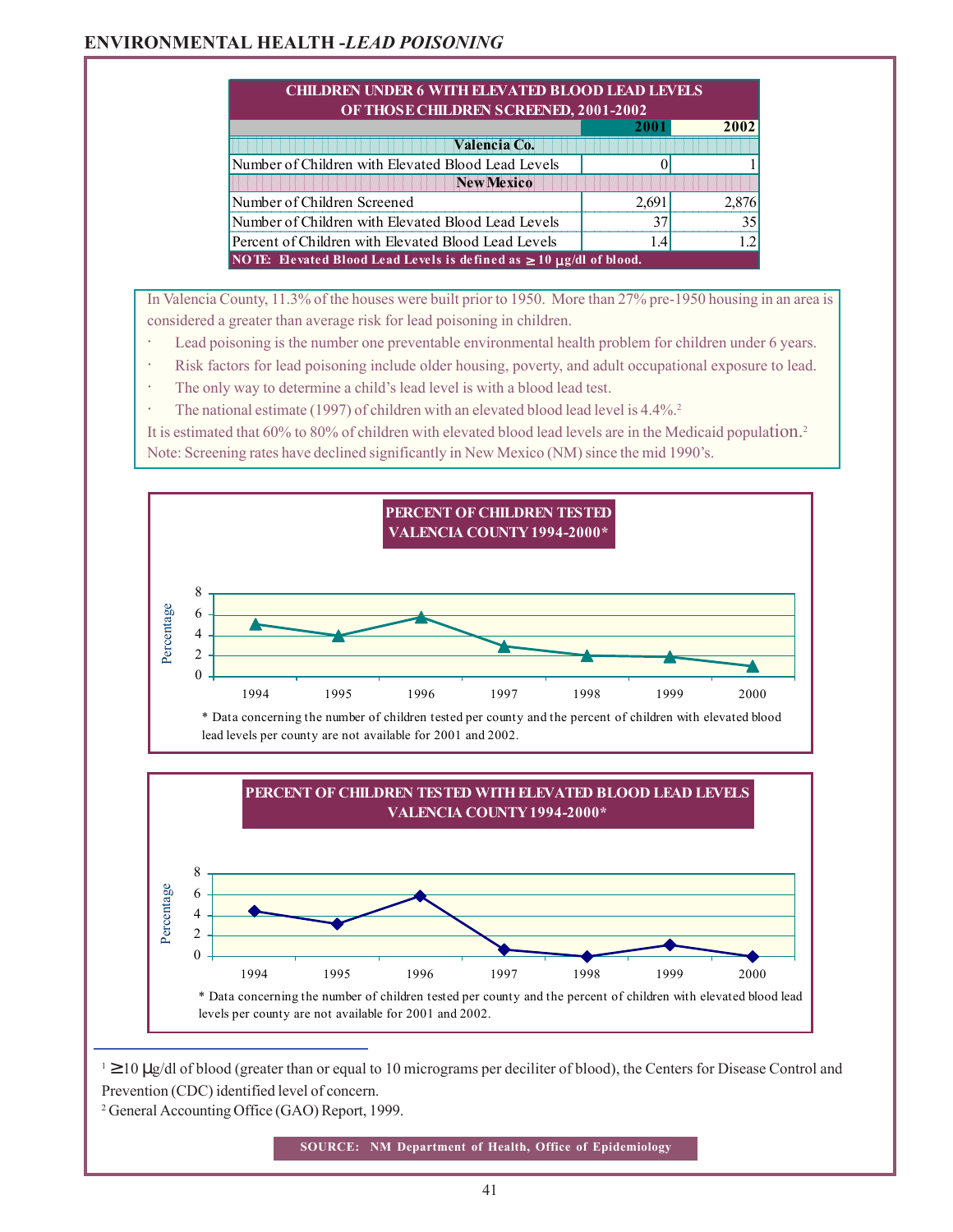### **ENVIRONMENTAL HEALTH -***LEAD POISONING*

|                                                                             |       | 2002           |  |  |
|-----------------------------------------------------------------------------|-------|----------------|--|--|
| Valencia Co.                                                                |       |                |  |  |
| Number of Children with Elevated Blood Lead Levels                          |       |                |  |  |
| <b>New Mexico</b>                                                           |       |                |  |  |
| Number of Children Screened                                                 | 2.691 | 2.876          |  |  |
| Number of Children with Elevated Blood Lead Levels                          |       | 3 <sup>4</sup> |  |  |
| Percent of Children with Elevated Blood Lead Levels                         | 1.4   |                |  |  |
| NOTE: Elevated Blood Lead Levels is defined as $\geq 10 \mu$ g/dl of blood. |       |                |  |  |

In Valencia County, 11.3% of the houses were built prior to 1950. More than 27% pre-1950 housing in an area is considered a greater than average risk for lead poisoning in children.

- Lead poisoning is the number one preventable environmental health problem for children under 6 years.
- Risk factors for lead poisoning include older housing, poverty, and adult occupational exposure to lead.
- The only way to determine a child's lead level is with a blood lead test.
- The national estimate (1997) of children with an elevated blood lead level is 4.4%.<sup>2</sup>

It is estimated that 60% to 80% of children with elevated blood lead levels are in the Medicaid population.2 Note: Screening rates have declined significantly in New Mexico (NM) since the mid 1990's.





 $1 \ge 10$  µg/dl of blood (greater than or equal to 10 micrograms per deciliter of blood), the Centers for Disease Control and Prevention (CDC) identified level of concern.

2 General Accounting Office (GAO) Report, 1999.

**SOURCE: NM Department of Health, Office of Epidemiology**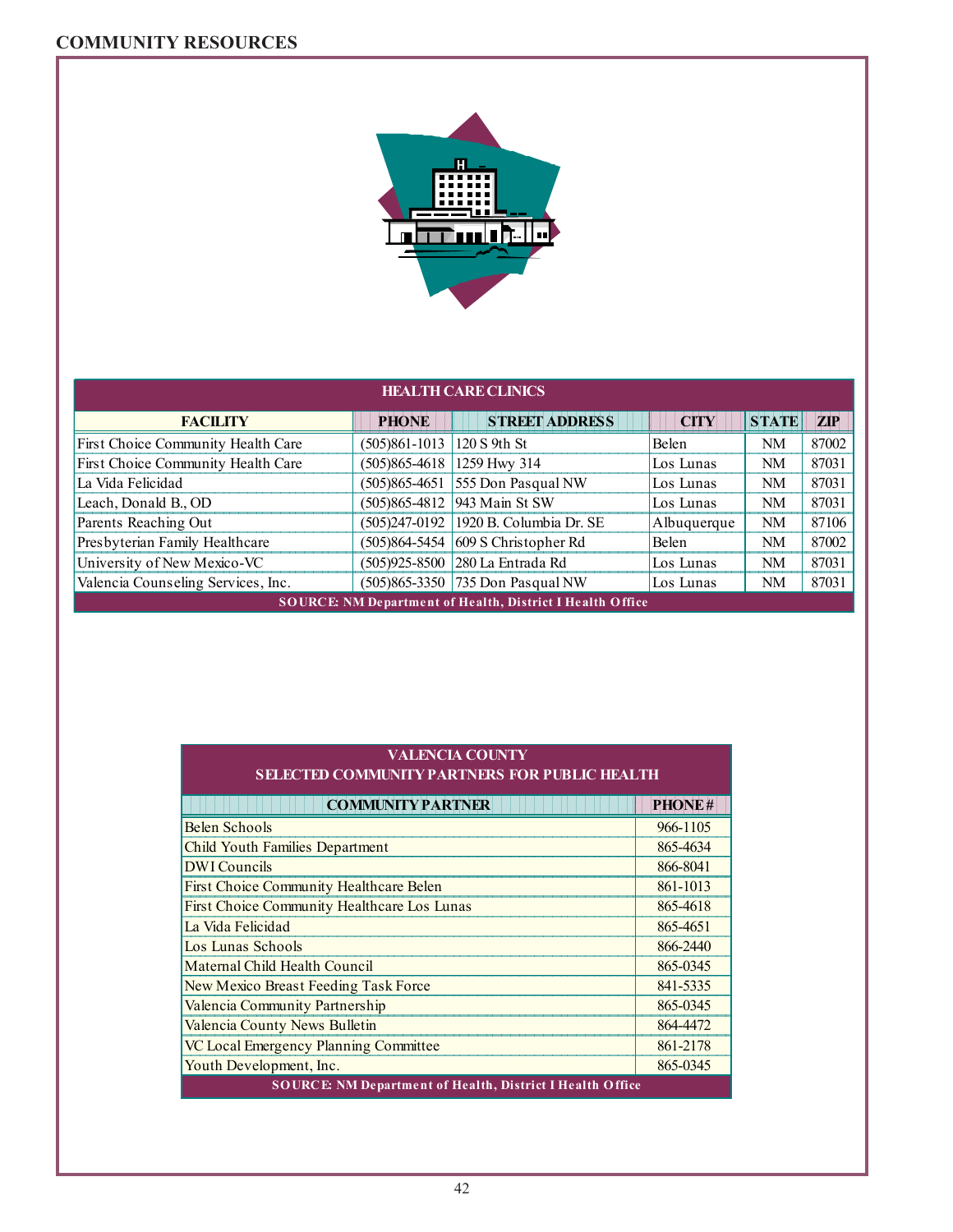### **COMMUNITY RESOURCES**



| <b>HEALTH CARE CLINICS</b>                                       |                 |                                          |              |              |            |  |  |
|------------------------------------------------------------------|-----------------|------------------------------------------|--------------|--------------|------------|--|--|
| <b>FACILITY</b>                                                  | <b>PHONE</b>    | <b>STREET ADDRESS</b>                    | <b>CITY</b>  | <b>STATE</b> | <b>ZIP</b> |  |  |
| First Choice Community Health Care                               | $(505)861-1013$ | 120 S 9th St                             | <b>Belen</b> | NM           | 87002      |  |  |
| First Choice Community Health Care                               | $(505)865-4618$ | 1259 Hwy 314                             | Los Lunas    | <b>NM</b>    | 87031      |  |  |
| La Vida Felicidad                                                | $(505)865-4651$ | 555 Don Pasqual NW                       | Los Lunas    | <b>NM</b>    | 87031      |  |  |
| Leach, Donald B., OD                                             |                 | (505)865-4812  943 Main St SW            | Los Lunas    | <b>NM</b>    | 87031      |  |  |
| Parents Reaching Out                                             |                 | (505)247-0192 1920 B. Columbia Dr. SE    | Albuquerque  | <b>NM</b>    | 87106      |  |  |
| Presbyterian Family Healthcare                                   |                 | $(505)864 - 5454   609 S$ Christopher Rd | Belen        | <b>NM</b>    | 87002      |  |  |
| University of New Mexico-VC                                      |                 | (505)925-8500   280 La Entrada Rd        | Los Lunas    | NM           | 87031      |  |  |
| Valencia Counseling Services, Inc.                               |                 | (505)865-3350 735 Don Pasqual NW         | Los Lunas    | NM           | 87031      |  |  |
| <b>SOURCE: NM Department of Health, District I Health Office</b> |                 |                                          |              |              |            |  |  |

| VALENCIA COUNTY!                                      |     |  |  |  |  |
|-------------------------------------------------------|-----|--|--|--|--|
| <u> SELECTED COMMUNITY PARTNERS FOR PUBLIC HEALTH</u> |     |  |  |  |  |
| <b>COMMUNITY PARTNER</b>                              | PHC |  |  |  |  |

| <b>COMMUNITY PARTNER</b>                                         | PHONE#   |  |  |
|------------------------------------------------------------------|----------|--|--|
| Belen Schools                                                    | 966-1105 |  |  |
| <b>Child Youth Families Department</b>                           | 865-4634 |  |  |
| <b>DWI</b> Councils                                              | 866-8041 |  |  |
| <b>First Choice Community Healthcare Belen</b>                   | 861-1013 |  |  |
| First Choice Community Healthcare Los Lunas                      | 865-4618 |  |  |
| La Vida Felicidad                                                | 865-4651 |  |  |
| Los Lunas Schools                                                | 866-2440 |  |  |
| Maternal Child Health Council                                    | 865-0345 |  |  |
| New Mexico Breast Feeding Task Force                             | 841-5335 |  |  |
| Valencia Community Partnership                                   | 865-0345 |  |  |
| Valencia County News Bulletin                                    | 864-4472 |  |  |
| VC Local Emergency Planning Committee                            | 861-2178 |  |  |
| Youth Development, Inc.                                          | 865-0345 |  |  |
| <b>SOURCE: NM Department of Health, District I Health Office</b> |          |  |  |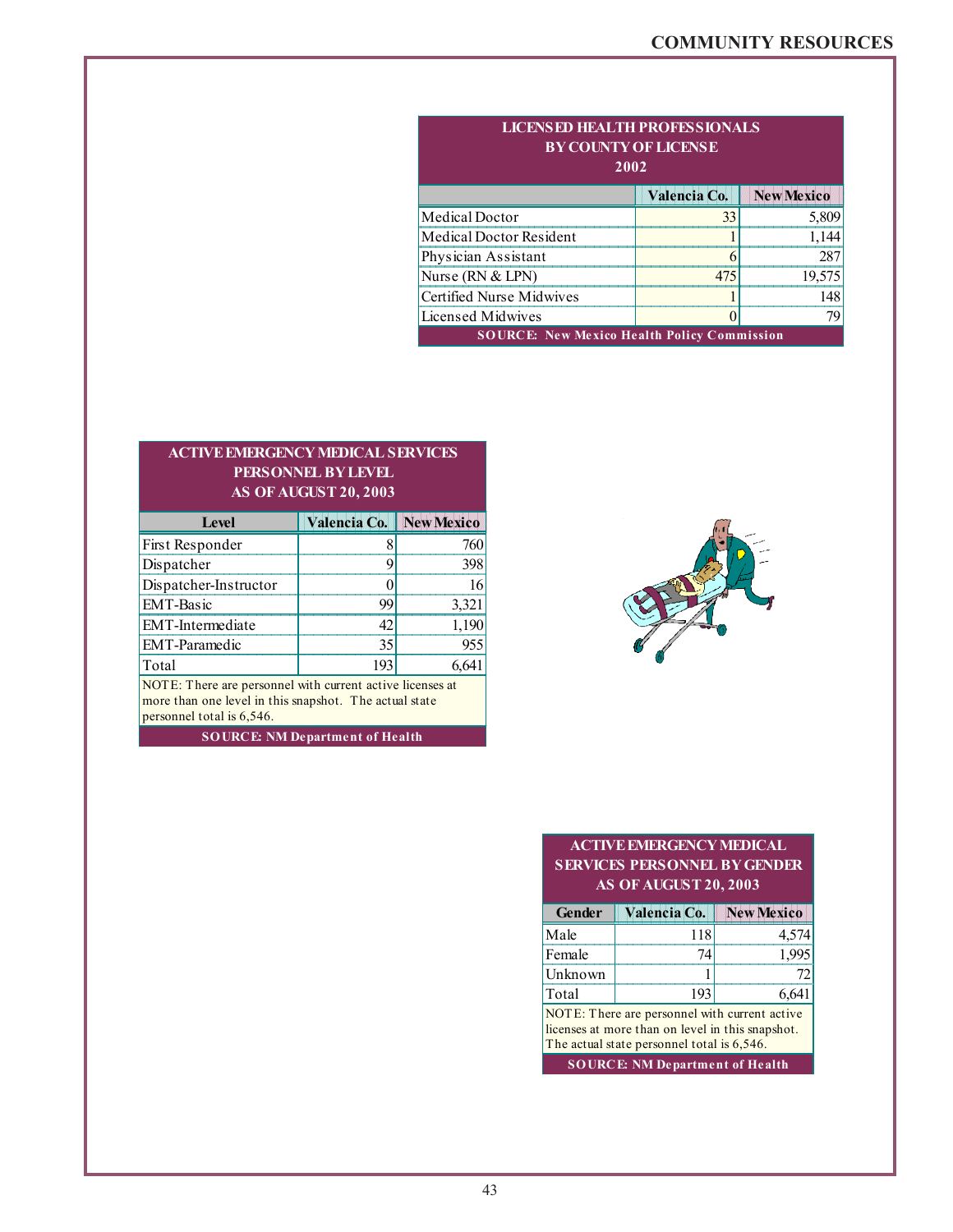| <b>LICENSED HEALTH PROFESSIONALS</b><br><b>BY COUNTY OF LICENSE</b><br>2002 |              |                   |  |  |  |
|-----------------------------------------------------------------------------|--------------|-------------------|--|--|--|
|                                                                             | Valencia Co. | <b>New Mexico</b> |  |  |  |
| Medical Doctor                                                              | 33           | 5,809             |  |  |  |
| Medical Doctor Resident                                                     |              | 1,144             |  |  |  |
| Physician Assistant                                                         |              | 287               |  |  |  |
| Nurse (RN & LPN)                                                            | 475          | 19,575            |  |  |  |
| Certified Nurse Midwives                                                    |              | 148               |  |  |  |
| Licensed Midwives<br>79                                                     |              |                   |  |  |  |
| <b>SOURCE:</b> New Mexico Health Policy Commission                          |              |                   |  |  |  |

### **AS OF AUGUST 20, 2003 ACTIVE EMERGENCY MEDICAL SERVICES PERSONNEL BY LEVEL**

| Level                                                         | Valencia Co. | <b>New Mexico</b> |  |  |
|---------------------------------------------------------------|--------------|-------------------|--|--|
| First Responder                                               |              | 760               |  |  |
| Dispatcher                                                    |              | 398               |  |  |
| Dispatcher-Instructor                                         |              |                   |  |  |
| <b>EMT-Basic</b>                                              | 99           | 3,321             |  |  |
| EMT-Intermediate                                              | 42           | 1,190             |  |  |
| <b>EMT-Paramedic</b>                                          | 35           | 955               |  |  |
| Total                                                         | 193          | 6,641             |  |  |
| NOTE, Thank are management with assument active linear and of |              |                   |  |  |

personnel total is 6,546. NOTE: There are personnel with current active licenses at more than one level in this snapshot. The actual state

**SOURCE: NM Department of Health**



#### **AS OF AUGUST 20, 2003 SERVICES PERSONNEL BY GENDER ACTIVE EMERGENCY MEDICAL**

| Gender                                         | Valencia Co. | <b>New Mexico</b> |  |  |
|------------------------------------------------|--------------|-------------------|--|--|
| Male                                           | 118          | 4,574             |  |  |
| Female                                         |              |                   |  |  |
| Unknown                                        |              |                   |  |  |
| <b>Total</b>                                   | 193          | 6,641             |  |  |
| $NOTF$ There are personnel with current active |              |                   |  |  |

NOTE: There are personnel with current active licenses at more than on level in this snapshot. The actual state personnel total is 6,546.

**SOURCE: NM Department of Health**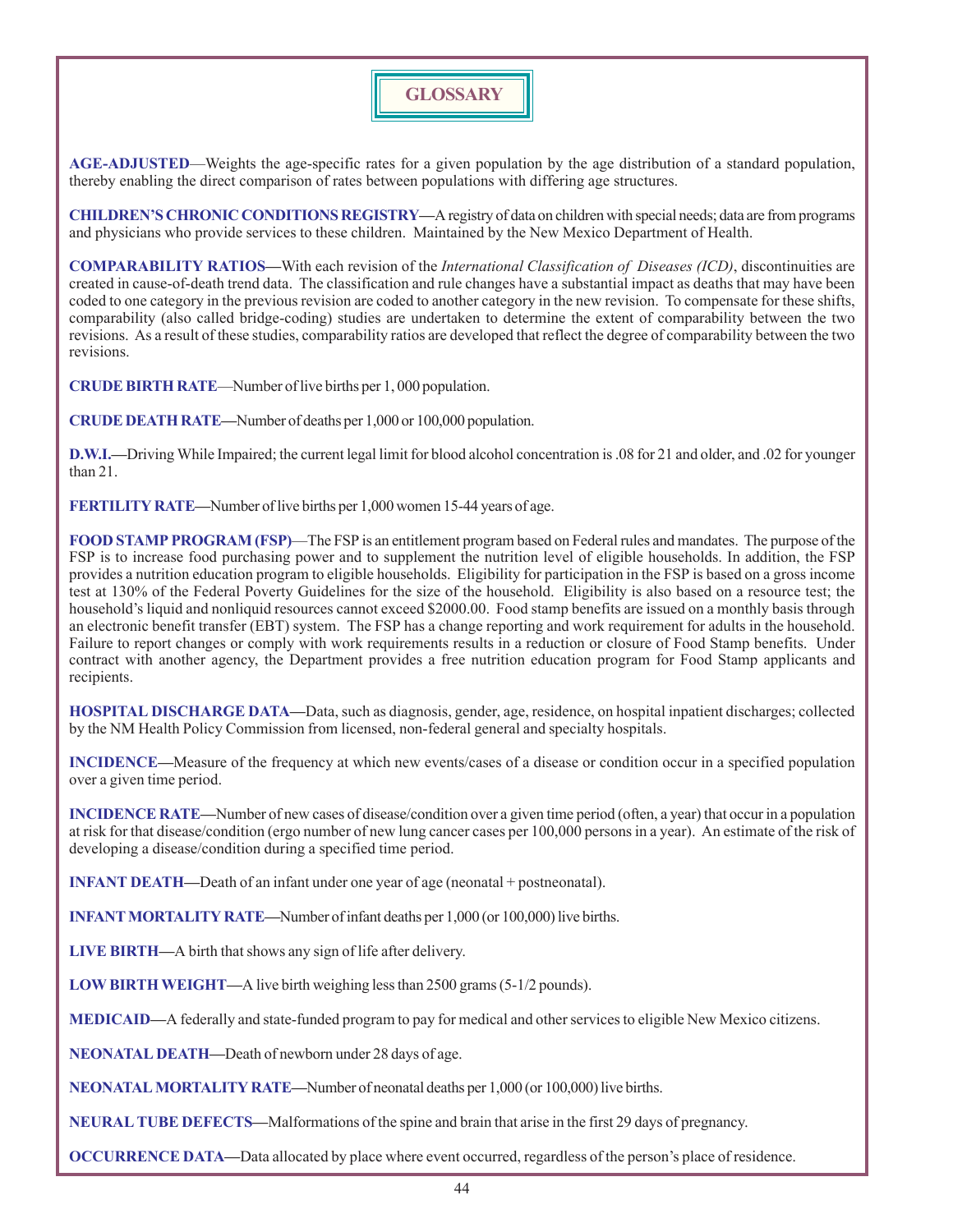# **GLOSSARY**

**AGE-ADJUSTED**—Weights the age-specific rates for a given population by the age distribution of a standard population, thereby enabling the direct comparison of rates between populations with differing age structures.

**CHILDREN'S CHRONIC CONDITIONS REGISTRY—**A registry of data on children with special needs; data are from programs and physicians who provide services to these children. Maintained by the New Mexico Department of Health.

**COMPARABILITY RATIOS—**With each revision of the *International Classification of Diseases (ICD)*, discontinuities are created in cause-of-death trend data. The classification and rule changes have a substantial impact as deaths that may have been coded to one category in the previous revision are coded to another category in the new revision. To compensate for these shifts, comparability (also called bridge-coding) studies are undertaken to determine the extent of comparability between the two revisions. As a result of these studies, comparability ratios are developed that reflect the degree of comparability between the two revisions.

**CRUDE BIRTH RATE**—Number of live births per 1, 000 population.

**CRUDE DEATH RATE—**Number of deaths per 1,000 or 100,000 population.

**D.W.I.—**Driving While Impaired; the current legal limit for blood alcohol concentration is .08 for 21 and older, and .02 for younger than 21.

**FERTILITY RATE—**Number of live births per 1,000 women 15-44 years of age.

**FOOD STAMP PROGRAM (FSP)**—The FSP is an entitlement program based on Federal rules and mandates. The purpose of the FSP is to increase food purchasing power and to supplement the nutrition level of eligible households. In addition, the FSP provides a nutrition education program to eligible households. Eligibility for participation in the FSP is based on a gross income test at 130% of the Federal Poverty Guidelines for the size of the household. Eligibility is also based on a resource test; the household's liquid and nonliquid resources cannot exceed \$2000.00. Food stamp benefits are issued on a monthly basis through an electronic benefit transfer (EBT) system. The FSP has a change reporting and work requirement for adults in the household. Failure to report changes or comply with work requirements results in a reduction or closure of Food Stamp benefits. Under contract with another agency, the Department provides a free nutrition education program for Food Stamp applicants and recipients.

**HOSPITAL DISCHARGE DATA—**Data, such as diagnosis, gender, age, residence, on hospital inpatient discharges; collected by the NM Health Policy Commission from licensed, non-federal general and specialty hospitals.

**INCIDENCE—**Measure of the frequency at which new events/cases of a disease or condition occur in a specified population over a given time period.

**INCIDENCE RATE—**Number of new cases of disease/condition over a given time period (often, a year) that occur in a population at risk for that disease/condition (ergo number of new lung cancer cases per 100,000 persons in a year). An estimate of the risk of developing a disease/condition during a specified time period.

**INFANT DEATH—**Death of an infant under one year of age (neonatal + postneonatal).

**INFANT MORTALITY RATE—**Number of infant deaths per 1,000 (or 100,000) live births.

**LIVE BIRTH—**A birth that shows any sign of life after delivery.

**LOW BIRTH WEIGHT—**A live birth weighing less than 2500 grams (5-1/2 pounds).

**MEDICAID—**A federally and state-funded program to pay for medical and other services to eligible New Mexico citizens.

**NEONATAL DEATH—**Death of newborn under 28 days of age.

**NEONATAL MORTALITY RATE—**Number of neonatal deaths per 1,000 (or 100,000) live births.

**NEURAL TUBE DEFECTS—**Malformations of the spine and brain that arise in the first 29 days of pregnancy.

**OCCURRENCE DATA—**Data allocated by place where event occurred, regardless of the person's place of residence.